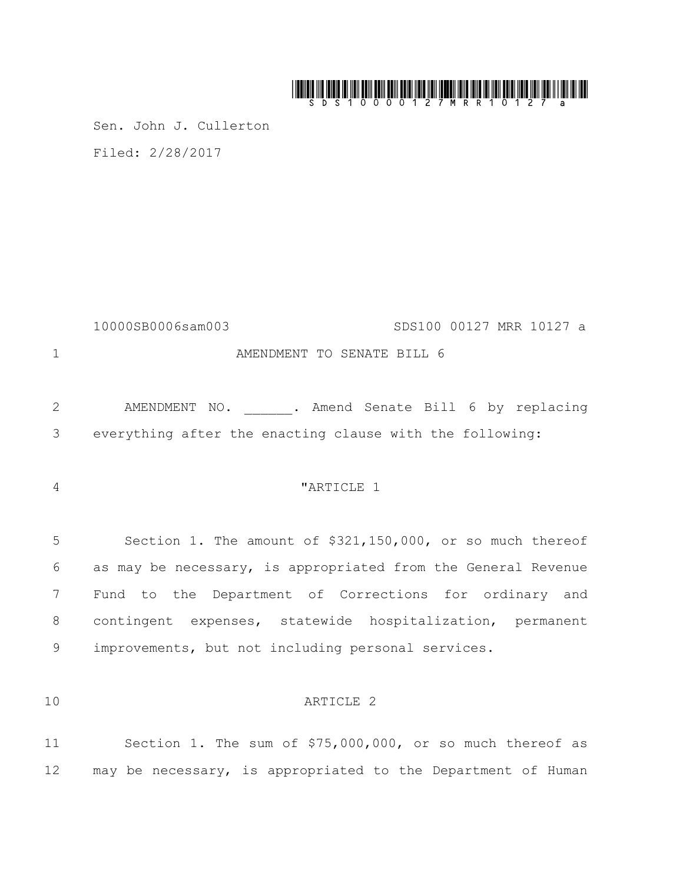# 

Sen. John J. Cullerton Filed: 2/28/2017

10000SB0006sam003 SDS100 00127 MRR 10127 a 1 AMENDMENT TO SENATE BILL 6

2 AMENDMENT NO. . Amend Senate Bill 6 by replacing 3 everything after the enacting clause with the following:

#### <sup>4</sup>  $\blacksquare$   $\blacksquare$   $\blacksquare$   $\blacksquare$   $\blacksquare$   $\blacksquare$   $\blacksquare$   $\blacksquare$   $\blacksquare$   $\blacksquare$   $\blacksquare$   $\blacksquare$   $\blacksquare$   $\blacksquare$   $\blacksquare$   $\blacksquare$   $\blacksquare$   $\blacksquare$   $\blacksquare$   $\blacksquare$   $\blacksquare$   $\blacksquare$   $\blacksquare$   $\blacksquare$   $\blacksquare$   $\blacksquare$   $\blacksquare$   $\blacksquare$   $\blacksquare$   $\blacksquare$   $\blacksquare$

 Section 1. The amount of \$321,150,000, or so much thereof as may be necessary, is appropriated from the General Revenue Fund to the Department of Corrections for ordinary and contingent expenses, statewide hospitalization, permanent improvements, but not including personal services.

## 10 ARTICLE 2

11 Section 1. The sum of \$75,000,000, or so much thereof as 12 may be necessary, is appropriated to the Department of Human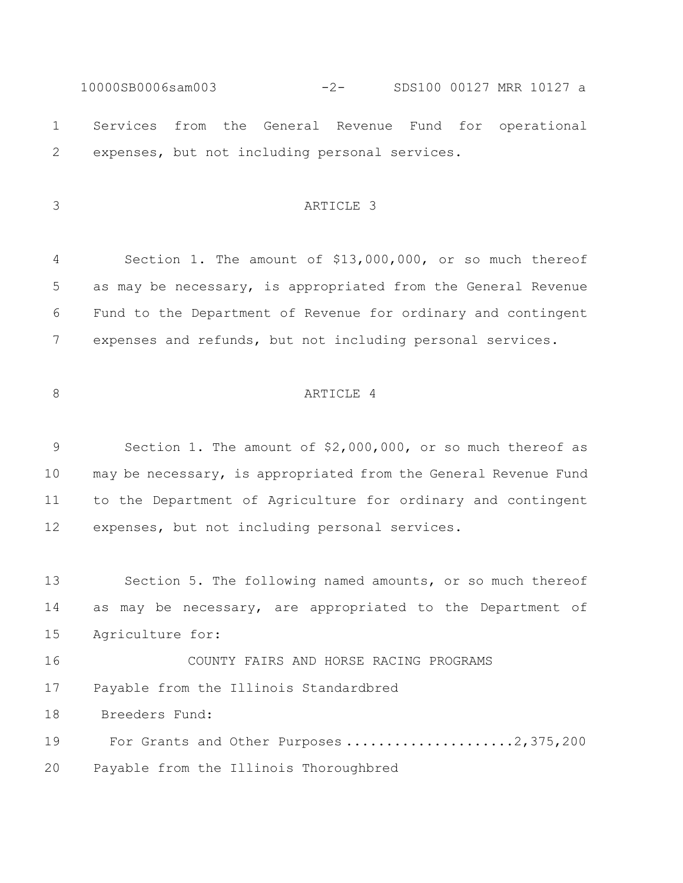10000SB0006sam003 -2- SDS100 00127 MRR 10127 a Services from the General Revenue Fund for operational expenses, but not including personal services.

## ARTICLE 3

 Section 1. The amount of \$13,000,000, or so much thereof as may be necessary, is appropriated from the General Revenue Fund to the Department of Revenue for ordinary and contingent expenses and refunds, but not including personal services.

## 8 ARTICLE 4

 Section 1. The amount of \$2,000,000, or so much thereof as may be necessary, is appropriated from the General Revenue Fund to the Department of Agriculture for ordinary and contingent expenses, but not including personal services.

 Section 5. The following named amounts, or so much thereof as may be necessary, are appropriated to the Department of Agriculture for:

 COUNTY FAIRS AND HORSE RACING PROGRAMS Payable from the Illinois Standardbred

Breeders Fund:

19 For Grants and Other Purposes .....................2,375,200

Payable from the Illinois Thoroughbred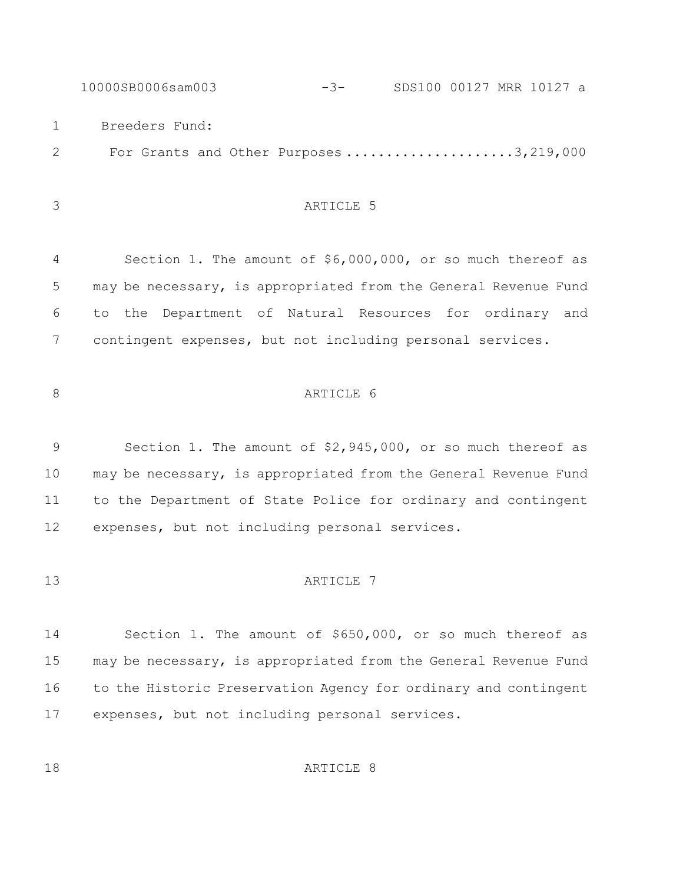10000SB0006sam003 -3- SDS100 00127 MRR 10127 a Breeders Fund: 2 For Grants and Other Purposes .....................3,219,000

# ARTICLE 5

 Section 1. The amount of \$6,000,000, or so much thereof as may be necessary, is appropriated from the General Revenue Fund to the Department of Natural Resources for ordinary and contingent expenses, but not including personal services.

# 8 ARTICLE 6

 Section 1. The amount of \$2,945,000, or so much thereof as may be necessary, is appropriated from the General Revenue Fund to the Department of State Police for ordinary and contingent expenses, but not including personal services.

#### 13 ARTICLE 7

 Section 1. The amount of \$650,000, or so much thereof as may be necessary, is appropriated from the General Revenue Fund to the Historic Preservation Agency for ordinary and contingent expenses, but not including personal services.

18 ARTICLE 8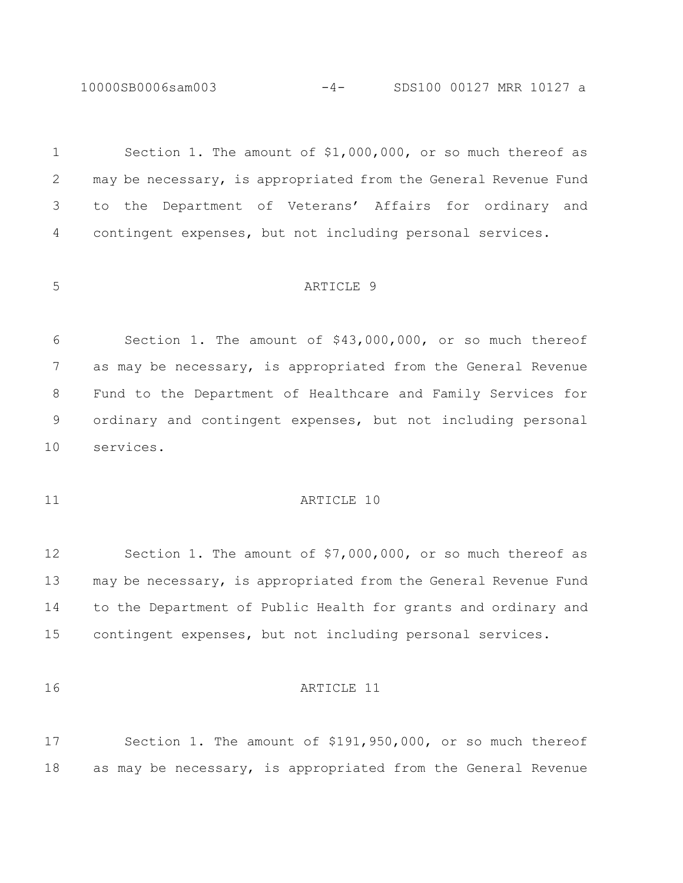10000SB0006sam003 -4- SDS100 00127 MRR 10127 a

 Section 1. The amount of \$1,000,000, or so much thereof as may be necessary, is appropriated from the General Revenue Fund to the Department of Veterans' Affairs for ordinary and contingent expenses, but not including personal services.

#### ARTICLE 9

 Section 1. The amount of \$43,000,000, or so much thereof as may be necessary, is appropriated from the General Revenue Fund to the Department of Healthcare and Family Services for ordinary and contingent expenses, but not including personal services.

## 11 ARTICLE 10

 Section 1. The amount of \$7,000,000, or so much thereof as may be necessary, is appropriated from the General Revenue Fund to the Department of Public Health for grants and ordinary and contingent expenses, but not including personal services.

### ARTICLE 11

 Section 1. The amount of \$191,950,000, or so much thereof as may be necessary, is appropriated from the General Revenue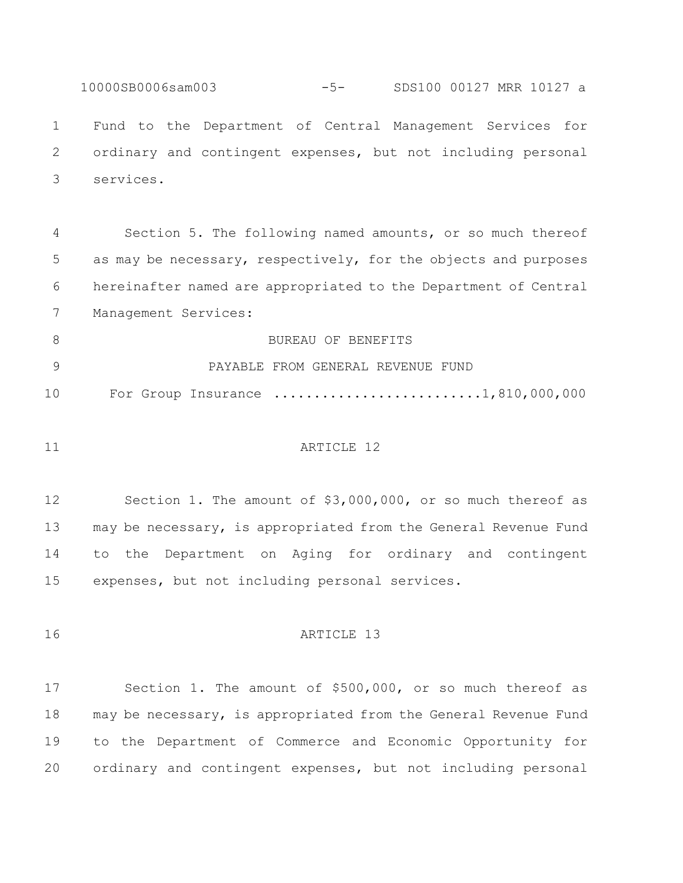10000SB0006sam003 -5- SDS100 00127 MRR 10127 a Fund to the Department of Central Management Services for ordinary and contingent expenses, but not including personal services.

 Section 5. The following named amounts, or so much thereof as may be necessary, respectively, for the objects and purposes hereinafter named are appropriated to the Department of Central Management Services:

8 BUREAU OF BENEFITS PAYABLE FROM GENERAL REVENUE FUND 10 For Group Insurance ..........................1,810,000,000

#### 11 ARTICLE 12

 Section 1. The amount of \$3,000,000, or so much thereof as may be necessary, is appropriated from the General Revenue Fund to the Department on Aging for ordinary and contingent expenses, but not including personal services.

**ARTICLE** 13

 Section 1. The amount of \$500,000, or so much thereof as may be necessary, is appropriated from the General Revenue Fund to the Department of Commerce and Economic Opportunity for ordinary and contingent expenses, but not including personal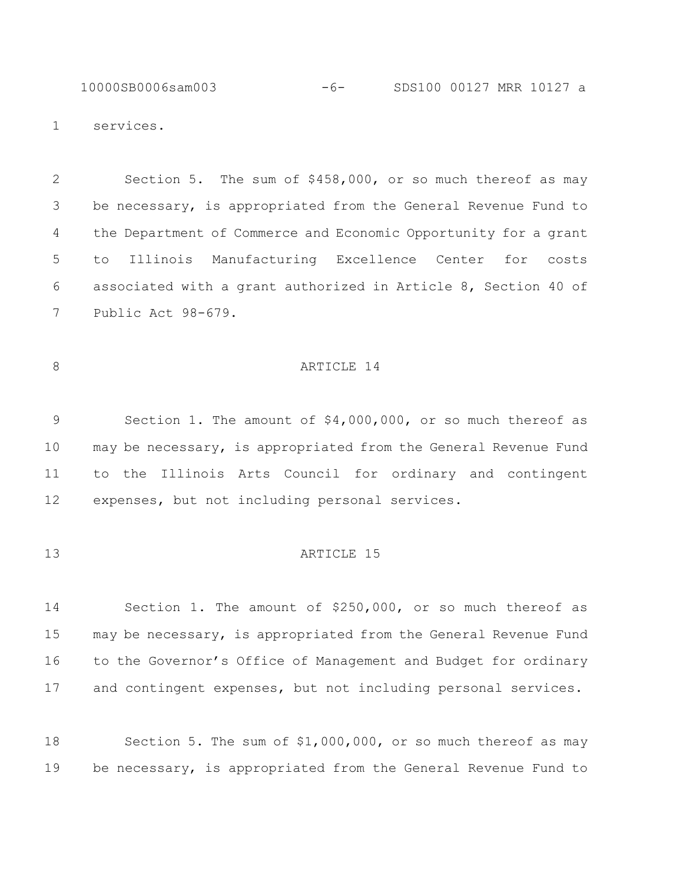10000SB0006sam003 -6- SDS100 00127 MRR 10127 a

services.

 Section 5. The sum of \$458,000, or so much thereof as may be necessary, is appropriated from the General Revenue Fund to the Department of Commerce and Economic Opportunity for a grant to Illinois Manufacturing Excellence Center for costs associated with a grant authorized in Article 8, Section 40 of Public Act 98-679.

## 8 ARTICLE 14

 Section 1. The amount of \$4,000,000, or so much thereof as may be necessary, is appropriated from the General Revenue Fund to the Illinois Arts Council for ordinary and contingent expenses, but not including personal services.

## **ARTICLE** 15

 Section 1. The amount of \$250,000, or so much thereof as may be necessary, is appropriated from the General Revenue Fund to the Governor's Office of Management and Budget for ordinary and contingent expenses, but not including personal services.

 Section 5. The sum of \$1,000,000, or so much thereof as may be necessary, is appropriated from the General Revenue Fund to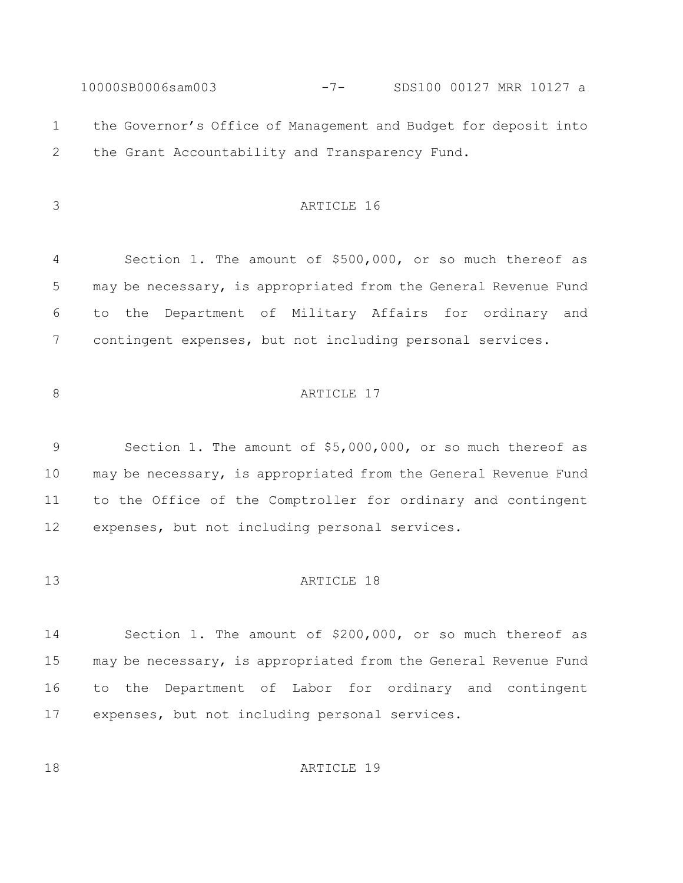10000SB0006sam003 -7- SDS100 00127 MRR 10127 a the Governor's Office of Management and Budget for deposit into the Grant Accountability and Transparency Fund.

# ARTICLE 16

 Section 1. The amount of \$500,000, or so much thereof as may be necessary, is appropriated from the General Revenue Fund to the Department of Military Affairs for ordinary and contingent expenses, but not including personal services.

# 8 ARTICLE 17

 Section 1. The amount of \$5,000,000, or so much thereof as may be necessary, is appropriated from the General Revenue Fund to the Office of the Comptroller for ordinary and contingent expenses, but not including personal services.

#### **ARTICLE** 18

 Section 1. The amount of \$200,000, or so much thereof as may be necessary, is appropriated from the General Revenue Fund to the Department of Labor for ordinary and contingent expenses, but not including personal services.

18 ARTICLE 19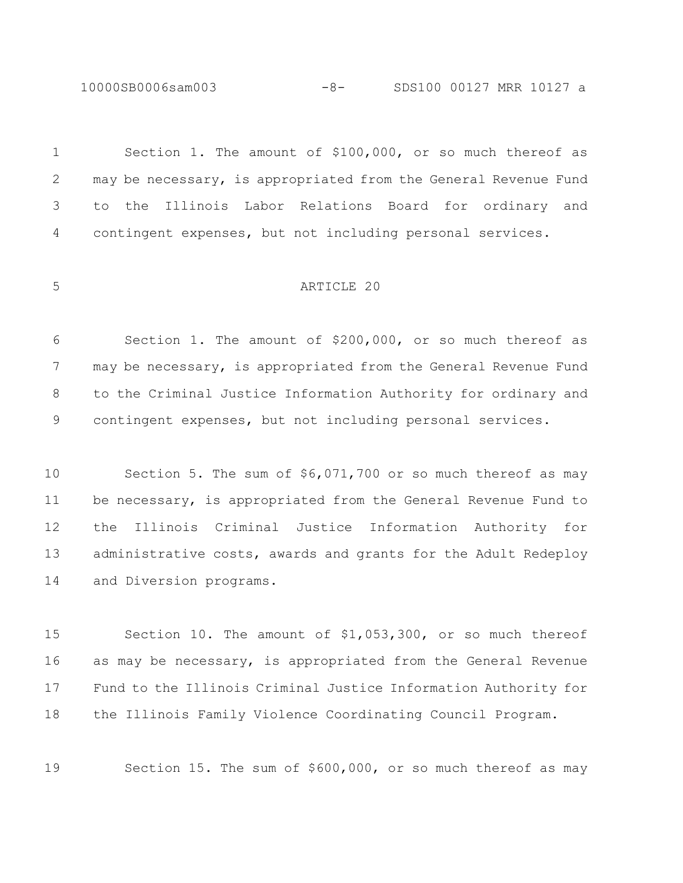10000SB0006sam003 -8- SDS100 00127 MRR 10127 a

 Section 1. The amount of \$100,000, or so much thereof as may be necessary, is appropriated from the General Revenue Fund to the Illinois Labor Relations Board for ordinary and contingent expenses, but not including personal services. ARTICLE 20 Section 1. The amount of \$200,000, or so much thereof as may be necessary, is appropriated from the General Revenue Fund to the Criminal Justice Information Authority for ordinary and contingent expenses, but not including personal services. Section 5. The sum of \$6,071,700 or so much thereof as may

 be necessary, is appropriated from the General Revenue Fund to the Illinois Criminal Justice Information Authority for 13 administrative costs, awards and grants for the Adult Redeploy and Diversion programs.

 Section 10. The amount of \$1,053,300, or so much thereof as may be necessary, is appropriated from the General Revenue Fund to the Illinois Criminal Justice Information Authority for the Illinois Family Violence Coordinating Council Program.

Section 15. The sum of \$600,000, or so much thereof as may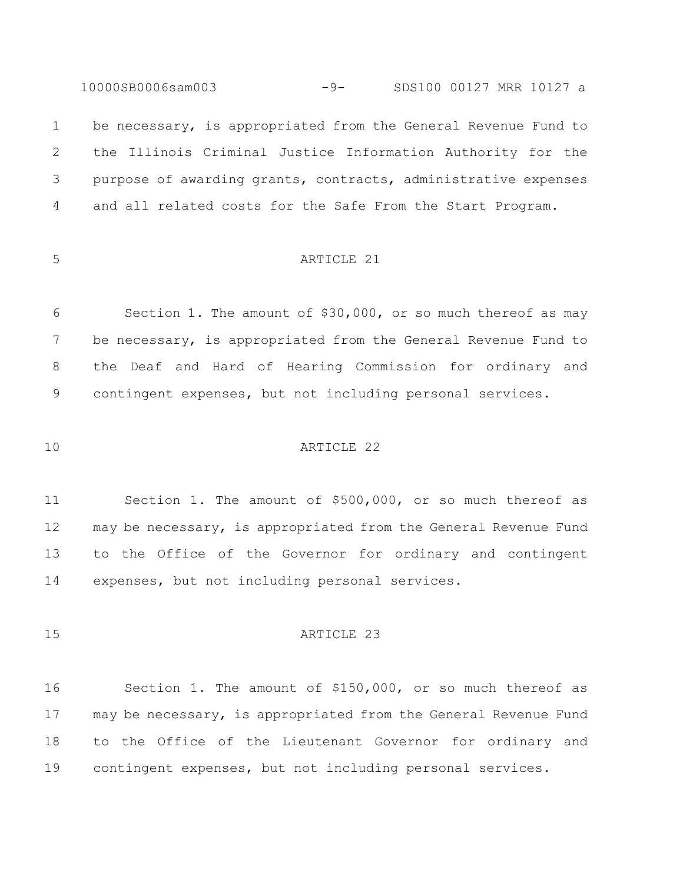10000SB0006sam003 -9- SDS100 00127 MRR 10127 a

1 be necessary, is appropriated from the General Revenue Fund to the Illinois Criminal Justice Information Authority for the purpose of awarding grants, contracts, administrative expenses and all related costs for the Safe From the Start Program.

# ARTICLE 21

 Section 1. The amount of \$30,000, or so much thereof as may be necessary, is appropriated from the General Revenue Fund to the Deaf and Hard of Hearing Commission for ordinary and contingent expenses, but not including personal services.

## ARTICLE 22

 Section 1. The amount of \$500,000, or so much thereof as may be necessary, is appropriated from the General Revenue Fund to the Office of the Governor for ordinary and contingent expenses, but not including personal services.

#### 15 ARTICLE 23

 Section 1. The amount of \$150,000, or so much thereof as may be necessary, is appropriated from the General Revenue Fund to the Office of the Lieutenant Governor for ordinary and contingent expenses, but not including personal services.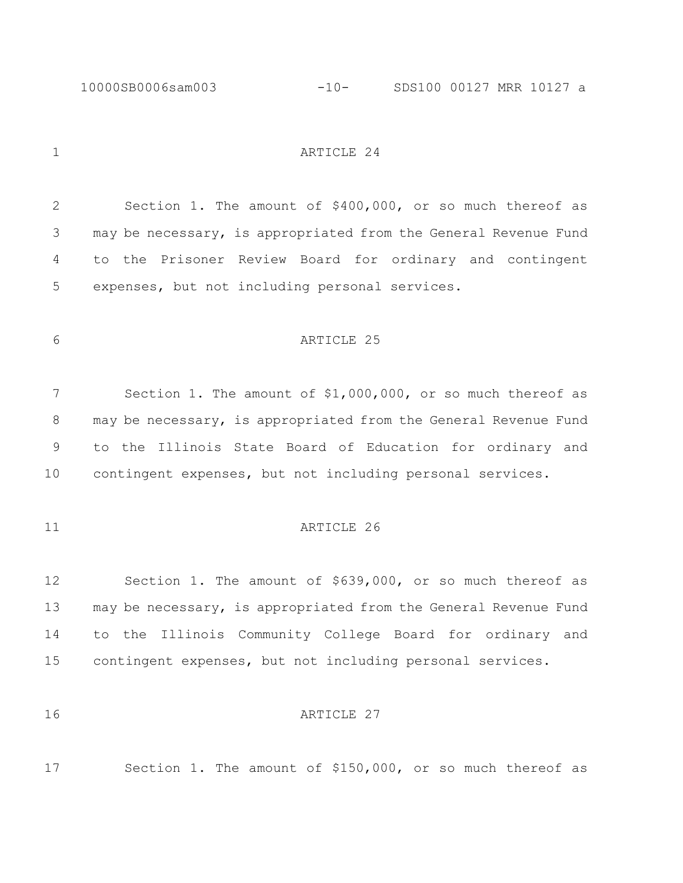10000SB0006sam003 -10- SDS100 00127 MRR 10127 a

1 ARTICLE 24

 Section 1. The amount of \$400,000, or so much thereof as may be necessary, is appropriated from the General Revenue Fund to the Prisoner Review Board for ordinary and contingent expenses, but not including personal services.

## ARTICLE 25

 Section 1. The amount of \$1,000,000, or so much thereof as 8 may be necessary, is appropriated from the General Revenue Fund to the Illinois State Board of Education for ordinary and contingent expenses, but not including personal services.

## 11 ARTICLE 26

 Section 1. The amount of \$639,000, or so much thereof as may be necessary, is appropriated from the General Revenue Fund to the Illinois Community College Board for ordinary and contingent expenses, but not including personal services.

#### **ARTICLE** 27

Section 1. The amount of \$150,000, or so much thereof as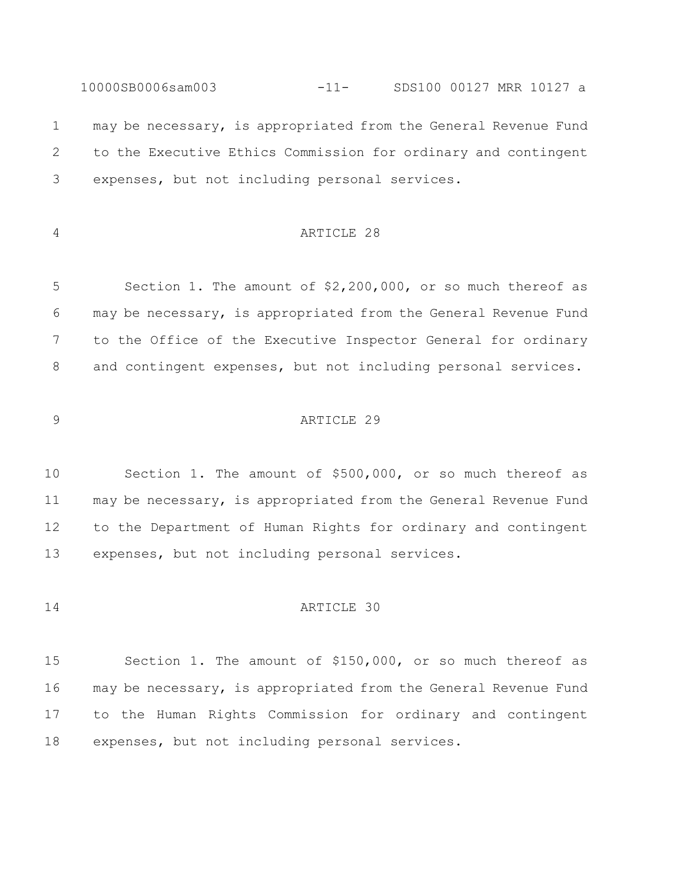10000SB0006sam003 -11- SDS100 00127 MRR 10127 a may be necessary, is appropriated from the General Revenue Fund to the Executive Ethics Commission for ordinary and contingent expenses, but not including personal services.

# ARTICLE 28

 Section 1. The amount of \$2,200,000, or so much thereof as may be necessary, is appropriated from the General Revenue Fund to the Office of the Executive Inspector General for ordinary 8 and contingent expenses, but not including personal services.

## ARTICLE 29

 Section 1. The amount of \$500,000, or so much thereof as may be necessary, is appropriated from the General Revenue Fund to the Department of Human Rights for ordinary and contingent expenses, but not including personal services.

## ARTICLE 30

 Section 1. The amount of \$150,000, or so much thereof as may be necessary, is appropriated from the General Revenue Fund to the Human Rights Commission for ordinary and contingent expenses, but not including personal services.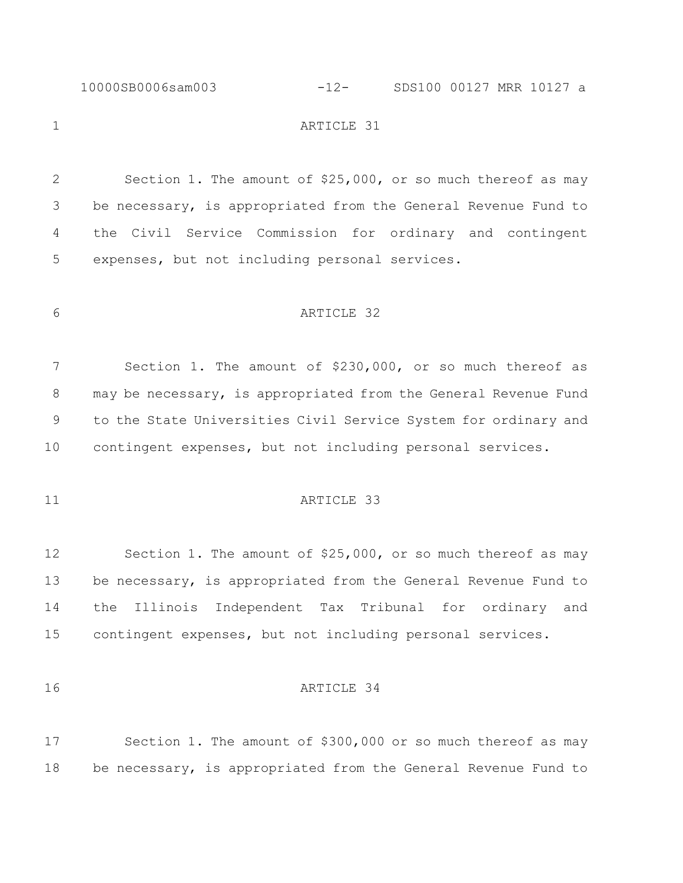10000SB0006sam003 -12- SDS100 00127 MRR 10127 a

1 ARTICLE 31

 Section 1. The amount of \$25,000, or so much thereof as may be necessary, is appropriated from the General Revenue Fund to the Civil Service Commission for ordinary and contingent expenses, but not including personal services.

ARTICLE 32

 Section 1. The amount of \$230,000, or so much thereof as may be necessary, is appropriated from the General Revenue Fund to the State Universities Civil Service System for ordinary and contingent expenses, but not including personal services.

## 11 ARTICLE 33

 Section 1. The amount of \$25,000, or so much thereof as may 13 be necessary, is appropriated from the General Revenue Fund to the Illinois Independent Tax Tribunal for ordinary and contingent expenses, but not including personal services.

## ARTICLE 34

 Section 1. The amount of \$300,000 or so much thereof as may be necessary, is appropriated from the General Revenue Fund to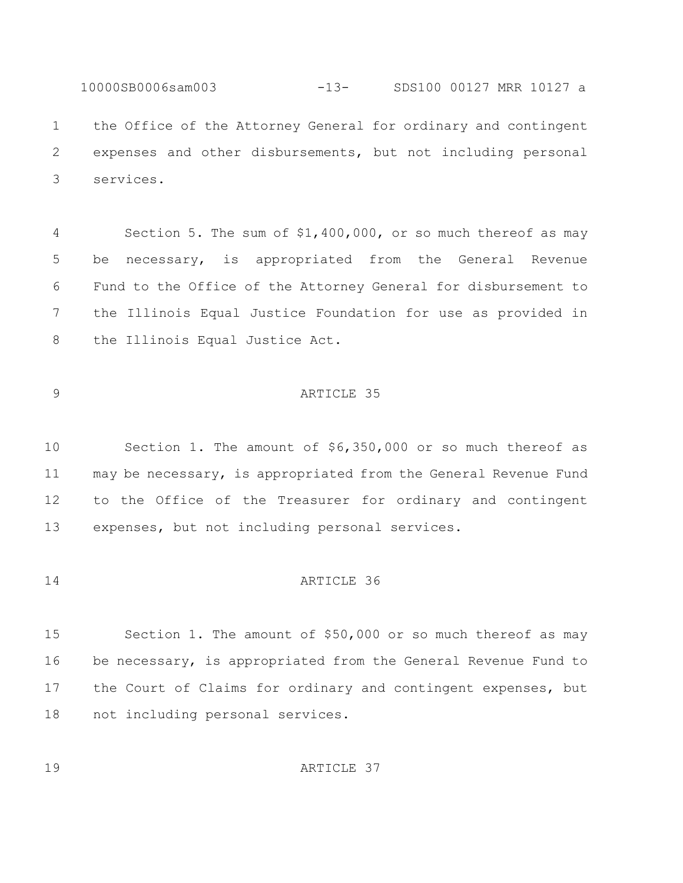10000SB0006sam003 -13- SDS100 00127 MRR 10127 a the Office of the Attorney General for ordinary and contingent expenses and other disbursements, but not including personal services.

 Section 5. The sum of \$1,400,000, or so much thereof as may be necessary, is appropriated from the General Revenue Fund to the Office of the Attorney General for disbursement to the Illinois Equal Justice Foundation for use as provided in the Illinois Equal Justice Act.

## ARTICLE 35

 Section 1. The amount of \$6,350,000 or so much thereof as may be necessary, is appropriated from the General Revenue Fund to the Office of the Treasurer for ordinary and contingent expenses, but not including personal services.

#### ARTICLE 36

 Section 1. The amount of \$50,000 or so much thereof as may be necessary, is appropriated from the General Revenue Fund to the Court of Claims for ordinary and contingent expenses, but not including personal services.

19 ARTICLE 37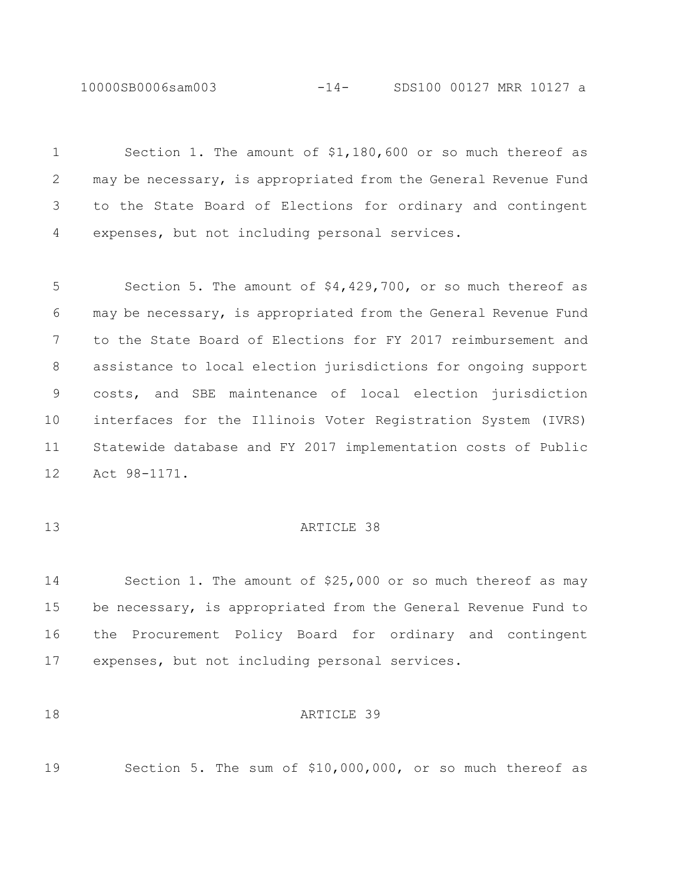10000SB0006sam003 -14- SDS100 00127 MRR 10127 a

 Section 1. The amount of \$1,180,600 or so much thereof as may be necessary, is appropriated from the General Revenue Fund to the State Board of Elections for ordinary and contingent expenses, but not including personal services.

 Section 5. The amount of \$4,429,700, or so much thereof as may be necessary, is appropriated from the General Revenue Fund to the State Board of Elections for FY 2017 reimbursement and assistance to local election jurisdictions for ongoing support costs, and SBE maintenance of local election jurisdiction interfaces for the Illinois Voter Registration System (IVRS) Statewide database and FY 2017 implementation costs of Public Act 98-1171.

## **ARTICLE** 38

 Section 1. The amount of \$25,000 or so much thereof as may be necessary, is appropriated from the General Revenue Fund to the Procurement Policy Board for ordinary and contingent expenses, but not including personal services.

#### 18 ARTICLE 39

Section 5. The sum of \$10,000,000, or so much thereof as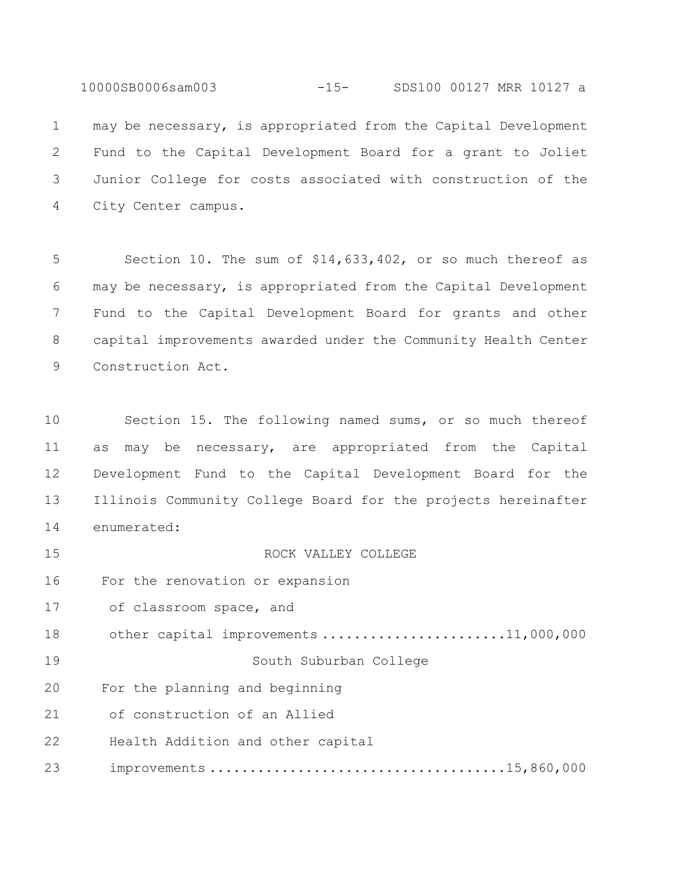10000SB0006sam003 -15- SDS100 00127 MRR 10127 a may be necessary, is appropriated from the Capital Development Fund to the Capital Development Board for a grant to Joliet Junior College for costs associated with construction of the City Center campus.

 Section 10. The sum of \$14,633,402, or so much thereof as may be necessary, is appropriated from the Capital Development Fund to the Capital Development Board for grants and other capital improvements awarded under the Community Health Center Construction Act.

 Section 15. The following named sums, or so much thereof as may be necessary, are appropriated from the Capital Development Fund to the Capital Development Board for the Illinois Community College Board for the projects hereinafter enumerated:

ROCK VALLEY COLLEGE

For the renovation or expansion

17 of classroom space, and

18 other capital improvements ..........................11,000,000

South Suburban College

For the planning and beginning

21 of construction of an Allied

Health Addition and other capital

23 improvements .....................................15,860,000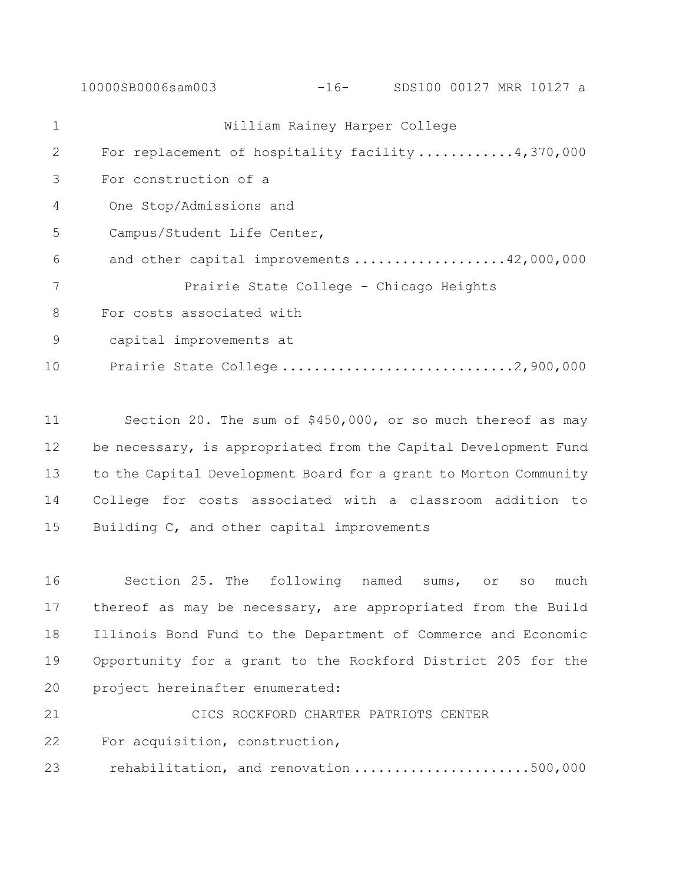10000SB0006sam003 -16- SDS100 00127 MRR 10127 a William Rainey Harper College For replacement of hospitality facility ............4,370,000 For construction of a 4 One Stop/Admissions and 5 Campus/Student Life Center, 6 and other capital improvements ...................42,000,000 Prairie State College – Chicago Heights For costs associated with 9 capital improvements at 10 Prairie State College .................................2,900,000

 Section 20. The sum of \$450,000, or so much thereof as may 12 be necessary, is appropriated from the Capital Development Fund to the Capital Development Board for a grant to Morton Community College for costs associated with a classroom addition to Building C, and other capital improvements

 Section 25. The following named sums, or so much thereof as may be necessary, are appropriated from the Build Illinois Bond Fund to the Department of Commerce and Economic Opportunity for a grant to the Rockford District 205 for the project hereinafter enumerated:

 CICS ROCKFORD CHARTER PATRIOTS CENTER For acquisition, construction, 23 rehabilitation, and renovation ......................500,000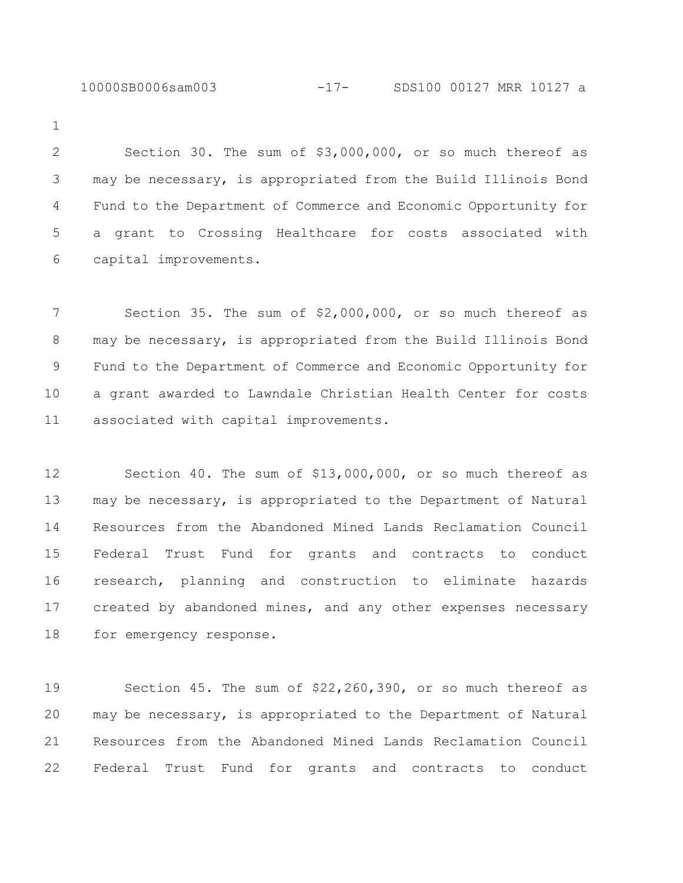10000SB0006sam003 -17- SDS100 00127 MRR 10127 a

 Section 30. The sum of \$3,000,000, or so much thereof as may be necessary, is appropriated from the Build Illinois Bond Fund to the Department of Commerce and Economic Opportunity for a grant to Crossing Healthcare for costs associated with capital improvements.

 Section 35. The sum of \$2,000,000, or so much thereof as may be necessary, is appropriated from the Build Illinois Bond Fund to the Department of Commerce and Economic Opportunity for a grant awarded to Lawndale Christian Health Center for costs associated with capital improvements.

 Section 40. The sum of \$13,000,000, or so much thereof as may be necessary, is appropriated to the Department of Natural Resources from the Abandoned Mined Lands Reclamation Council Federal Trust Fund for grants and contracts to conduct research, planning and construction to eliminate hazards created by abandoned mines, and any other expenses necessary for emergency response.

 Section 45. The sum of \$22,260,390, or so much thereof as may be necessary, is appropriated to the Department of Natural Resources from the Abandoned Mined Lands Reclamation Council Federal Trust Fund for grants and contracts to conduct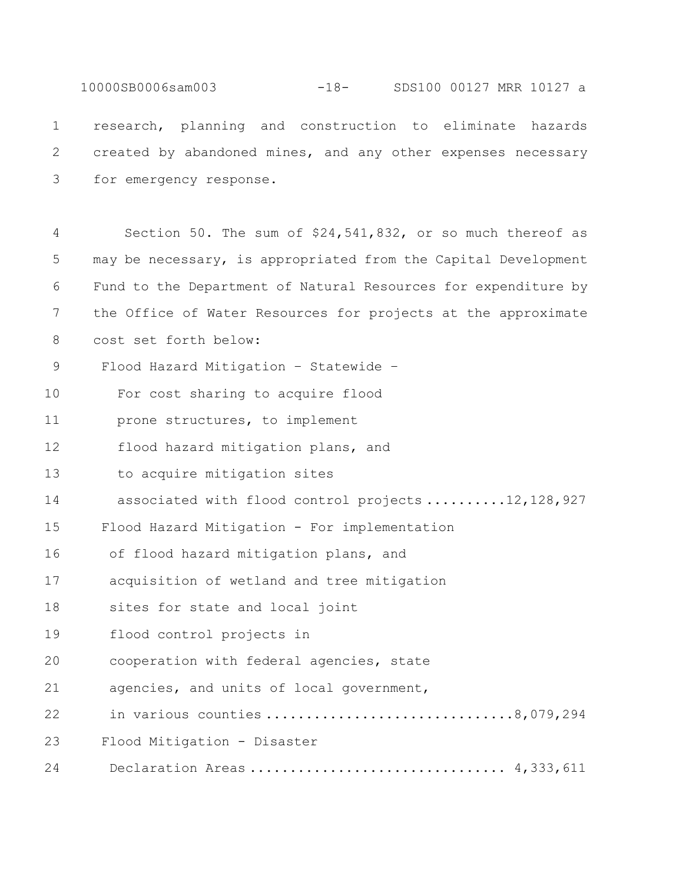10000SB0006sam003 -18- SDS100 00127 MRR 10127 a

1 research, planning and construction to eliminate hazards 2 created by abandoned mines, and any other expenses necessary 3 for emergency response.

4 Section 50. The sum of \$24,541,832, or so much thereof as 5 may be necessary, is appropriated from the Capital Development 6 Fund to the Department of Natural Resources for expenditure by 7 the Office of Water Resources for projects at the approximate 8 cost set forth below: 9 Flood Hazard Mitigation – Statewide – 10 For cost sharing to acquire flood 11 prone structures, to implement 12 flood hazard mitigation plans, and 13 to acquire mitigation sites 14 associated with flood control projects ..........12,128,927 15 Flood Hazard Mitigation - For implementation 16 of flood hazard mitigation plans, and 17 acquisition of wetland and tree mitigation 18 sites for state and local joint 19 flood control projects in 20 cooperation with federal agencies, state 21 agencies, and units of local government, 22 in various counties ...............................8,079,294 23 Flood Mitigation - Disaster 24 Declaration Areas .................................. 4,333,611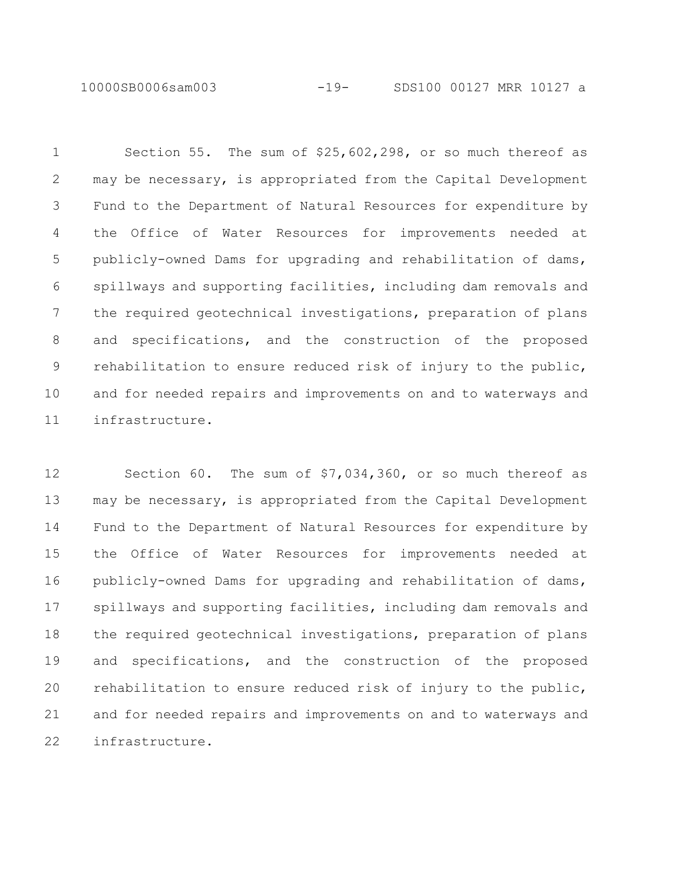10000SB0006sam003 -19- SDS100 00127 MRR 10127 a

 Section 55. The sum of \$25,602,298, or so much thereof as may be necessary, is appropriated from the Capital Development Fund to the Department of Natural Resources for expenditure by the Office of Water Resources for improvements needed at publicly-owned Dams for upgrading and rehabilitation of dams, spillways and supporting facilities, including dam removals and the required geotechnical investigations, preparation of plans and specifications, and the construction of the proposed rehabilitation to ensure reduced risk of injury to the public, and for needed repairs and improvements on and to waterways and infrastructure.

 Section 60. The sum of \$7,034,360, or so much thereof as may be necessary, is appropriated from the Capital Development Fund to the Department of Natural Resources for expenditure by the Office of Water Resources for improvements needed at publicly-owned Dams for upgrading and rehabilitation of dams, spillways and supporting facilities, including dam removals and the required geotechnical investigations, preparation of plans and specifications, and the construction of the proposed rehabilitation to ensure reduced risk of injury to the public, and for needed repairs and improvements on and to waterways and infrastructure.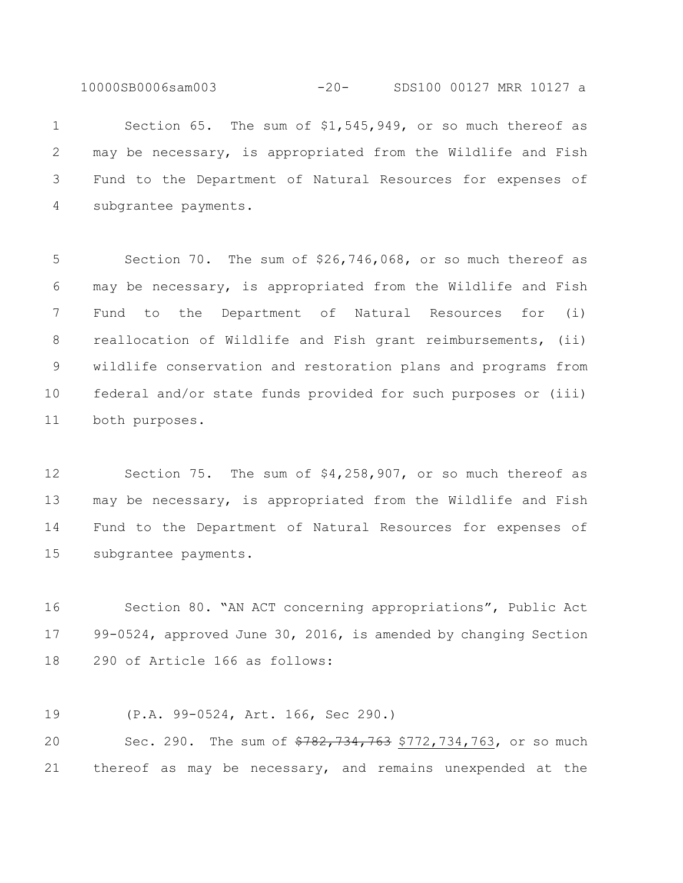10000SB0006sam003 -20- SDS100 00127 MRR 10127 a

 Section 65. The sum of \$1,545,949, or so much thereof as may be necessary, is appropriated from the Wildlife and Fish Fund to the Department of Natural Resources for expenses of subgrantee payments.

 Section 70. The sum of \$26,746,068, or so much thereof as may be necessary, is appropriated from the Wildlife and Fish Fund to the Department of Natural Resources for (i) reallocation of Wildlife and Fish grant reimbursements, (ii) wildlife conservation and restoration plans and programs from federal and/or state funds provided for such purposes or (iii) both purposes.

 Section 75. The sum of \$4,258,907, or so much thereof as may be necessary, is appropriated from the Wildlife and Fish Fund to the Department of Natural Resources for expenses of subgrantee payments.

 Section 80. "AN ACT concerning appropriations", Public Act 99-0524, approved June 30, 2016, is amended by changing Section 290 of Article 166 as follows:

(P.A. 99-0524, Art. 166, Sec 290.)

20 Sec. 290. The sum of  $\frac{2782}{734}$ , 763, 734, 763, or so much thereof as may be necessary, and remains unexpended at the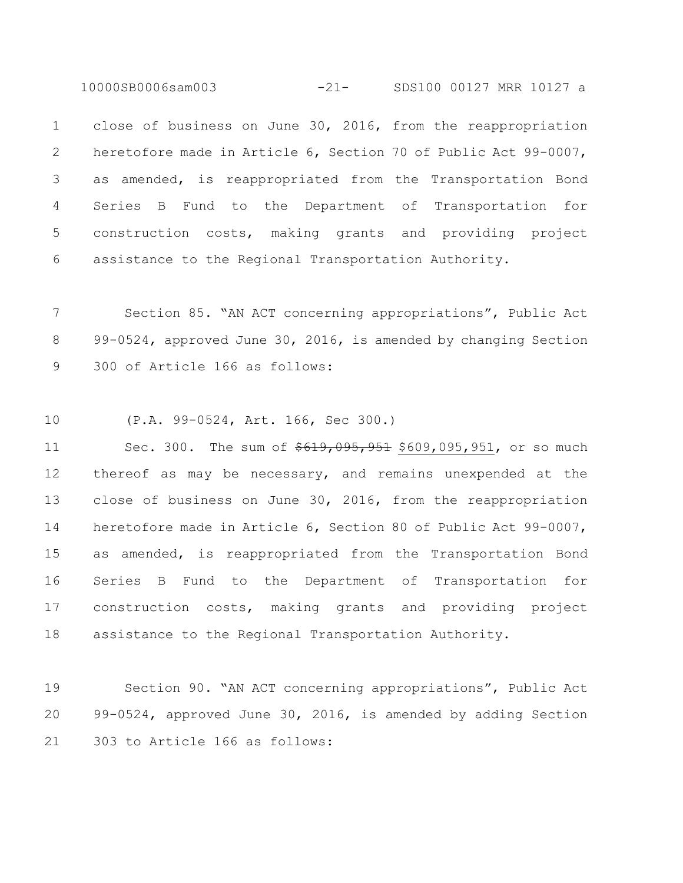10000SB0006sam003 -21- SDS100 00127 MRR 10127 a

 close of business on June 30, 2016, from the reappropriation heretofore made in Article 6, Section 70 of Public Act 99-0007, as amended, is reappropriated from the Transportation Bond Series B Fund to the Department of Transportation for construction costs, making grants and providing project assistance to the Regional Transportation Authority.

 Section 85. "AN ACT concerning appropriations", Public Act 99-0524, approved June 30, 2016, is amended by changing Section 300 of Article 166 as follows:

(P.A. 99-0524, Art. 166, Sec 300.)

11 Sec. 300. The sum of  $\frac{619,095,951}{609,095,951}$ , or so much thereof as may be necessary, and remains unexpended at the close of business on June 30, 2016, from the reappropriation heretofore made in Article 6, Section 80 of Public Act 99-0007, as amended, is reappropriated from the Transportation Bond Series B Fund to the Department of Transportation for construction costs, making grants and providing project assistance to the Regional Transportation Authority.

 Section 90. "AN ACT concerning appropriations", Public Act 99-0524, approved June 30, 2016, is amended by adding Section 303 to Article 166 as follows: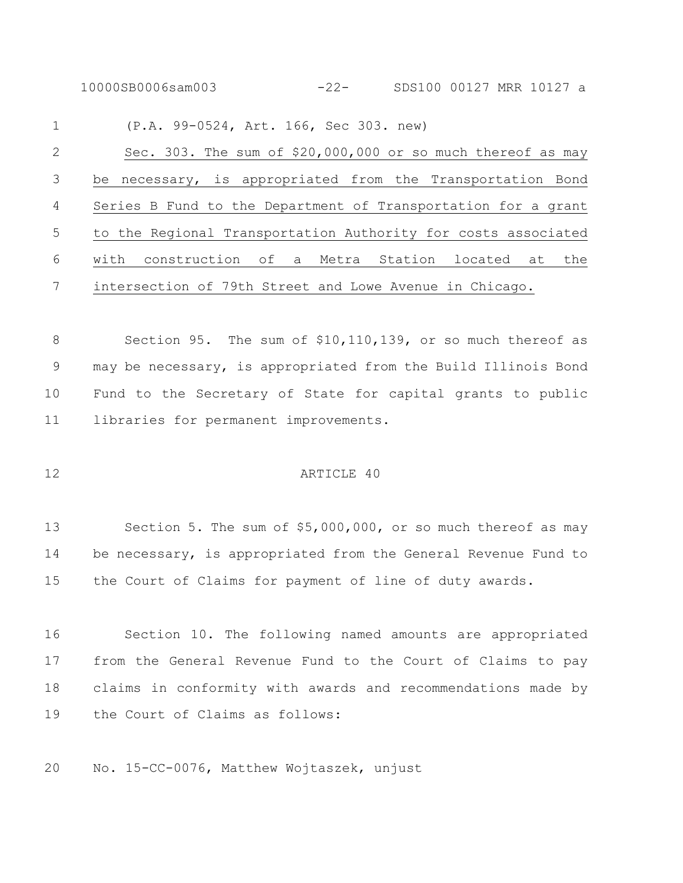10000SB0006sam003 -22- SDS100 00127 MRR 10127 a

 (P.A. 99-0524, Art. 166, Sec 303. new) Sec. 303. The sum of \$20,000,000 or so much thereof as may be necessary, is appropriated from the Transportation Bond Series B Fund to the Department of Transportation for a grant to the Regional Transportation Authority for costs associated with construction of a Metra Station located at the intersection of 79th Street and Lowe Avenue in Chicago.

 Section 95. The sum of \$10,110,139, or so much thereof as may be necessary, is appropriated from the Build Illinois Bond Fund to the Secretary of State for capital grants to public libraries for permanent improvements.

#### 12 ARTICLE 40

 Section 5. The sum of \$5,000,000, or so much thereof as may be necessary, is appropriated from the General Revenue Fund to the Court of Claims for payment of line of duty awards.

 Section 10. The following named amounts are appropriated from the General Revenue Fund to the Court of Claims to pay claims in conformity with awards and recommendations made by the Court of Claims as follows:

No. 15-CC-0076, Matthew Wojtaszek, unjust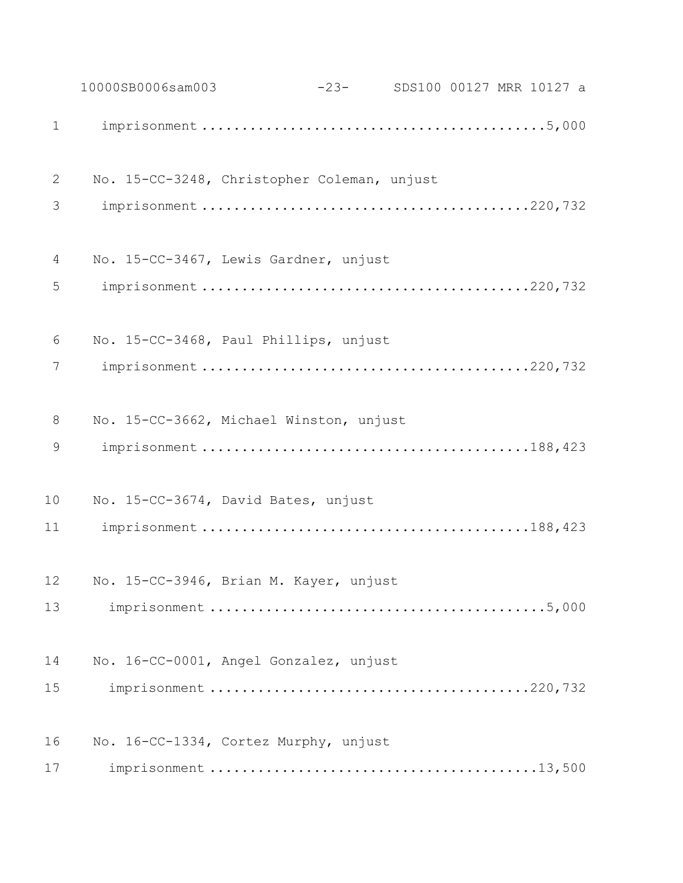|             | 10000SB0006sam003                           | -23- SDS100 00127 MRR 10127 a |  |  |
|-------------|---------------------------------------------|-------------------------------|--|--|
| $\mathbf 1$ |                                             |                               |  |  |
| 2           | No. 15-CC-3248, Christopher Coleman, unjust |                               |  |  |
| 3           |                                             |                               |  |  |
| 4           | No. 15-CC-3467, Lewis Gardner, unjust       |                               |  |  |
| 5           |                                             |                               |  |  |
| 6           | No. 15-CC-3468, Paul Phillips, unjust       |                               |  |  |
| 7           |                                             |                               |  |  |
| 8           | No. 15-CC-3662, Michael Winston, unjust     |                               |  |  |
| 9           |                                             |                               |  |  |
| 10          | No. 15-CC-3674, David Bates, unjust         |                               |  |  |
| 11          |                                             |                               |  |  |
| 12          | No. 15-CC-3946, Brian M. Kayer, unjust      |                               |  |  |
| 13          |                                             |                               |  |  |
| 14          | No. 16-CC-0001, Angel Gonzalez, unjust      |                               |  |  |
| 15          |                                             |                               |  |  |
| 16          | No. 16-CC-1334, Cortez Murphy, unjust       |                               |  |  |
| 17          |                                             |                               |  |  |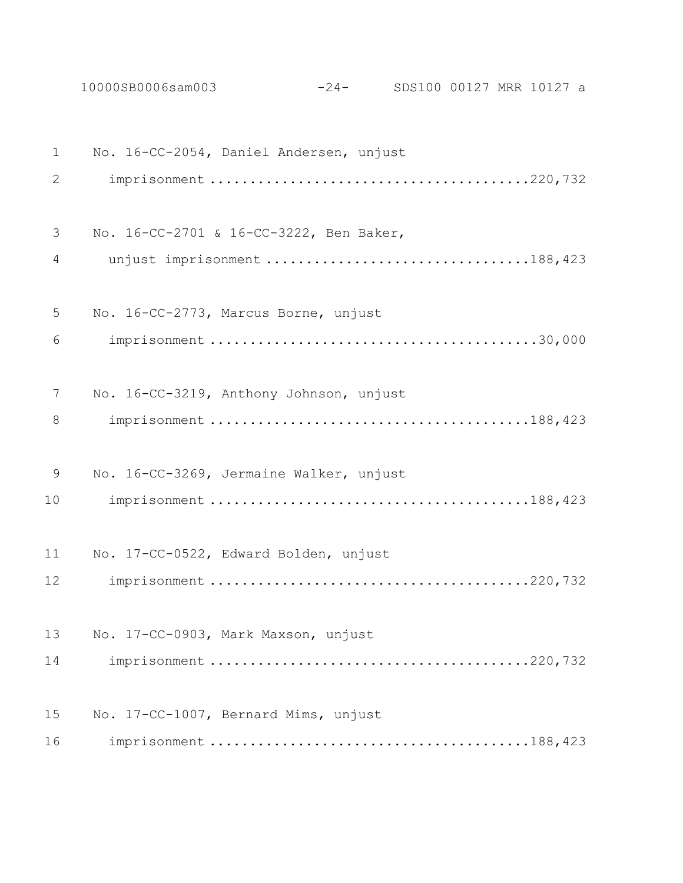10000SB0006sam003 -24- SDS100 00127 MRR 10127 a

| $\mathbf 1$    | No. 16-CC-2054, Daniel Andersen, unjust |
|----------------|-----------------------------------------|
| 2              |                                         |
| 3              | No. 16-CC-2701 & 16-CC-3222, Ben Baker, |
| $\overline{4}$ | unjust imprisonment 188,423             |
| 5              | No. 16-CC-2773, Marcus Borne, unjust    |
| 6              |                                         |
| 7              | No. 16-CC-3219, Anthony Johnson, unjust |
| 8              |                                         |
| 9              | No. 16-CC-3269, Jermaine Walker, unjust |
| 10             |                                         |
| 11             | No. 17-CC-0522, Edward Bolden, unjust   |
| 12             |                                         |
| 13             | No. 17-CC-0903, Mark Maxson, unjust     |
| 14             |                                         |
| 15             | No. 17-CC-1007, Bernard Mims, unjust    |
| 16             |                                         |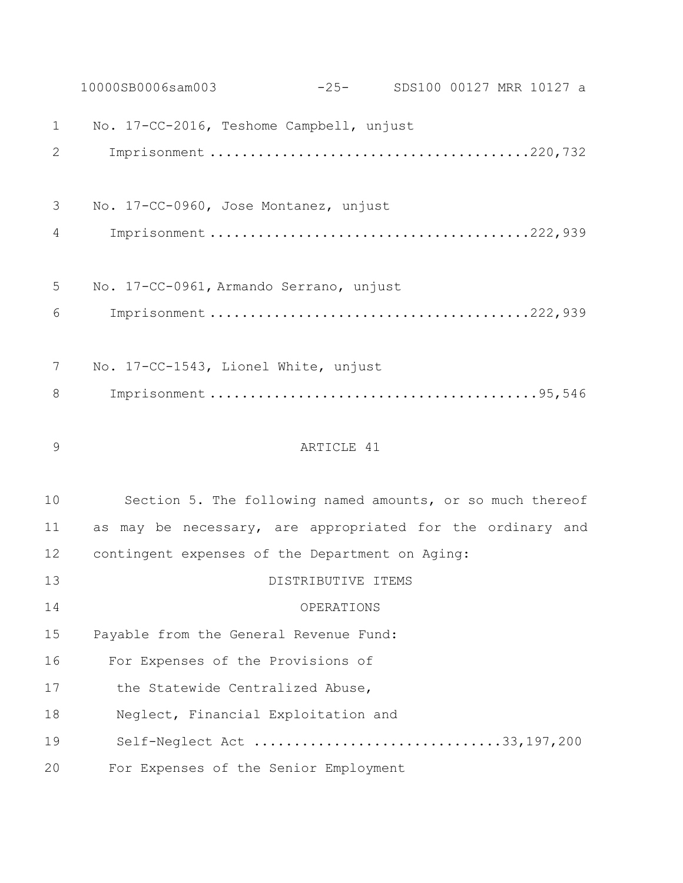|                | 10000SB0006sam003<br>-25- SDS100 00127 MRR 10127 a         |
|----------------|------------------------------------------------------------|
| $\mathbf 1$    | No. 17-CC-2016, Teshome Campbell, unjust                   |
| $\overline{2}$ |                                                            |
|                |                                                            |
| 3              | No. 17-CC-0960, Jose Montanez, unjust                      |
| 4              |                                                            |
|                |                                                            |
| 5              | No. 17-CC-0961, Armando Serrano, unjust                    |
| 6              |                                                            |
|                |                                                            |
| 7              | No. 17-CC-1543, Lionel White, unjust                       |
| 8              |                                                            |
|                |                                                            |
|                |                                                            |
| 9              | ARTICLE 41                                                 |
|                |                                                            |
| 10             | Section 5. The following named amounts, or so much thereof |
| 11             | as may be necessary, are appropriated for the ordinary and |
| 12             | contingent expenses of the Department on Aging:            |
| 13             | DISTRIBUTIVE ITEMS                                         |
| 14             | OPERATIONS                                                 |
| 15             | Payable from the General Revenue Fund:                     |
| 16             | For Expenses of the Provisions of                          |
| 17             | the Statewide Centralized Abuse,                           |
| 18             | Neglect, Financial Exploitation and                        |
| 19             | Self-Neglect Act 33,197,200                                |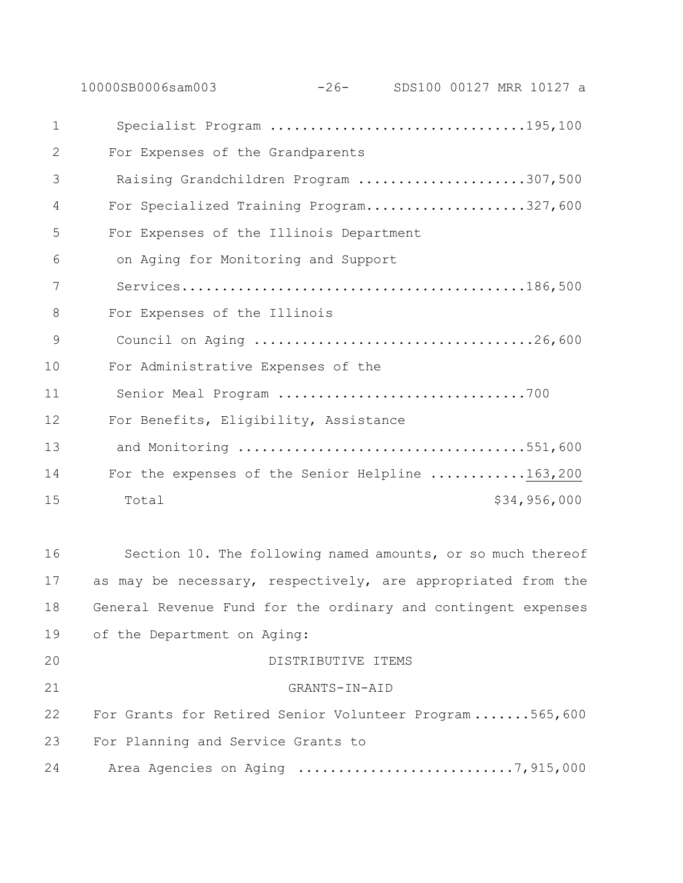|                | $-26-$<br>10000SB0006sam003<br>SDS100 00127 MRR 10127 a       |
|----------------|---------------------------------------------------------------|
| $\mathbf 1$    | Specialist Program 195,100                                    |
| $\mathbf{2}$   | For Expenses of the Grandparents                              |
| 3              | Raising Grandchildren Program 307,500                         |
| 4              | For Specialized Training Program327,600                       |
| 5              | For Expenses of the Illinois Department                       |
| 6              | on Aging for Monitoring and Support                           |
| 7              |                                                               |
| 8              | For Expenses of the Illinois                                  |
| $\overline{9}$ | Council on Aging 26,600                                       |
| 10             | For Administrative Expenses of the                            |
| 11             |                                                               |
| 12             | For Benefits, Eligibility, Assistance                         |
| 13             | and Monitoring 551,600                                        |
| 14             | For the expenses of the Senior Helpline 163,200               |
| 15             | \$34,956,000<br>Total                                         |
|                |                                                               |
| 16             | Section 10. The following named amounts, or so much thereof   |
| 17             | as may be necessary, respectively, are appropriated from the  |
| 18             | General Revenue Fund for the ordinary and contingent expenses |
| 19             | of the Department on Aging:                                   |
| 20             | DISTRIBUTIVE ITEMS                                            |
| 21             | GRANTS-IN-AID                                                 |

 For Grants for Retired Senior Volunteer Program .......565,600 For Planning and Service Grants to

24 Area Agencies on Aging .................................7,915,000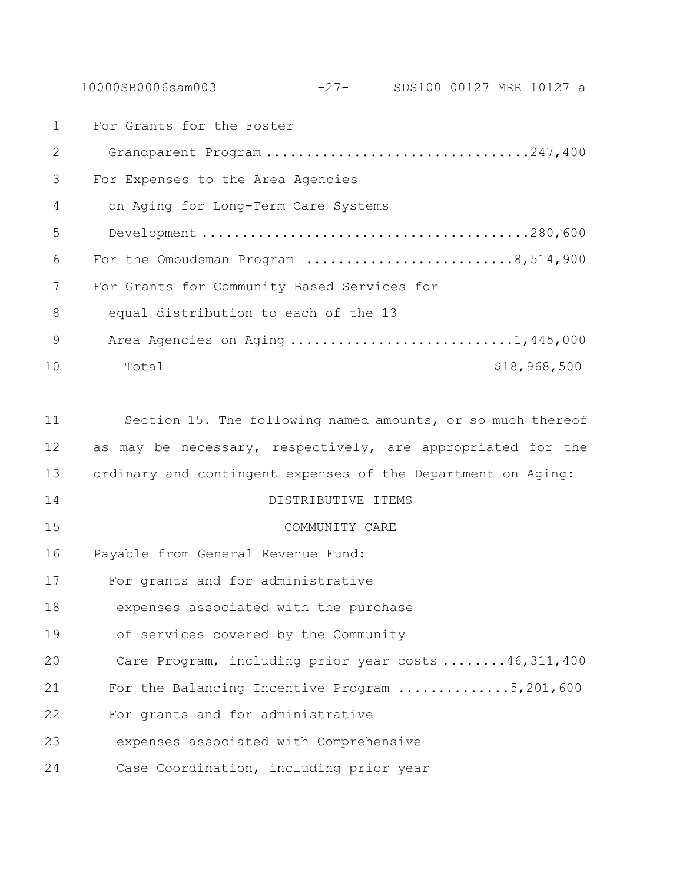10000SB0006sam003 -27- SDS100 00127 MRR 10127 a

 For Grants for the Foster Grandparent Program .................................247,400 For Expenses to the Area Agencies on Aging for Long-Term Care Systems Development .........................................280,600 For the Ombudsman Program ..........................8,514,900 For Grants for Community Based Services for equal distribution to each of the 13 9 Area Agencies on Aging ..............................1,445,000 10 Total \$18,968,500 Section 15. The following named amounts, or so much thereof as may be necessary, respectively, are appropriated for the ordinary and contingent expenses of the Department on Aging: DISTRIBUTIVE ITEMS COMMUNITY CARE Payable from General Revenue Fund: For grants and for administrative expenses associated with the purchase of services covered by the Community Care Program, including prior year costs ........46,311,400

For the Balancing Incentive Program ..............5,201,600

For grants and for administrative

expenses associated with Comprehensive

Case Coordination, including prior year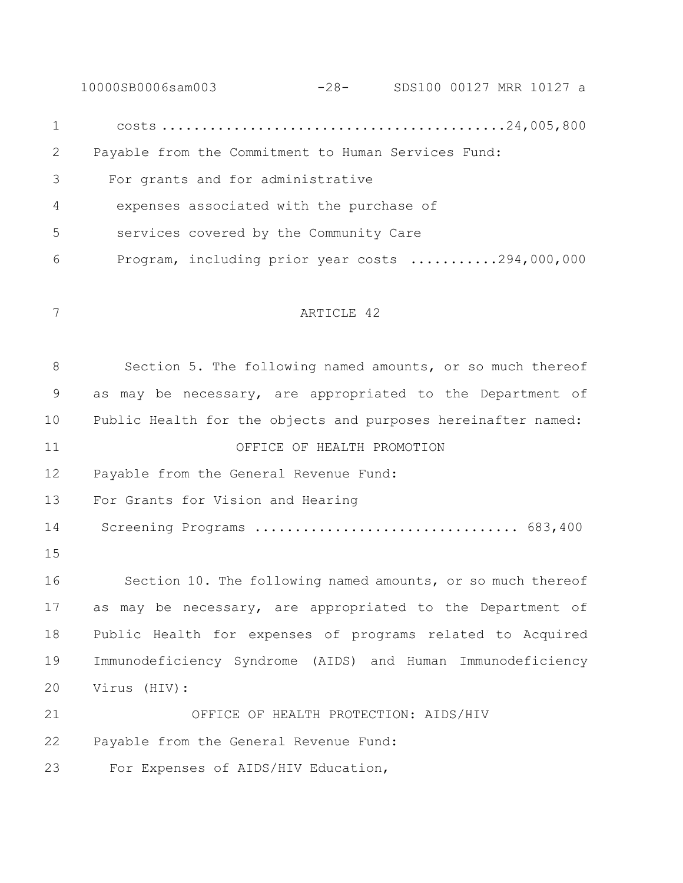10000SB0006sam003 -28- SDS100 00127 MRR 10127 a costs ...........................................24,005,800 Payable from the Commitment to Human Services Fund: For grants and for administrative expenses associated with the purchase of services covered by the Community Care Program, including prior year costs ...........294,000,000 ARTICLE 42 Section 5. The following named amounts, or so much thereof as may be necessary, are appropriated to the Department of Public Health for the objects and purposes hereinafter named: OFFICE OF HEALTH PROMOTION Payable from the General Revenue Fund: For Grants for Vision and Hearing Screening Programs ................................. 683,400 Section 10. The following named amounts, or so much thereof as may be necessary, are appropriated to the Department of Public Health for expenses of programs related to Acquired Immunodeficiency Syndrome (AIDS) and Human Immunodeficiency Virus (HIV): OFFICE OF HEALTH PROTECTION: AIDS/HIV Payable from the General Revenue Fund: 23 For Expenses of AIDS/HIV Education,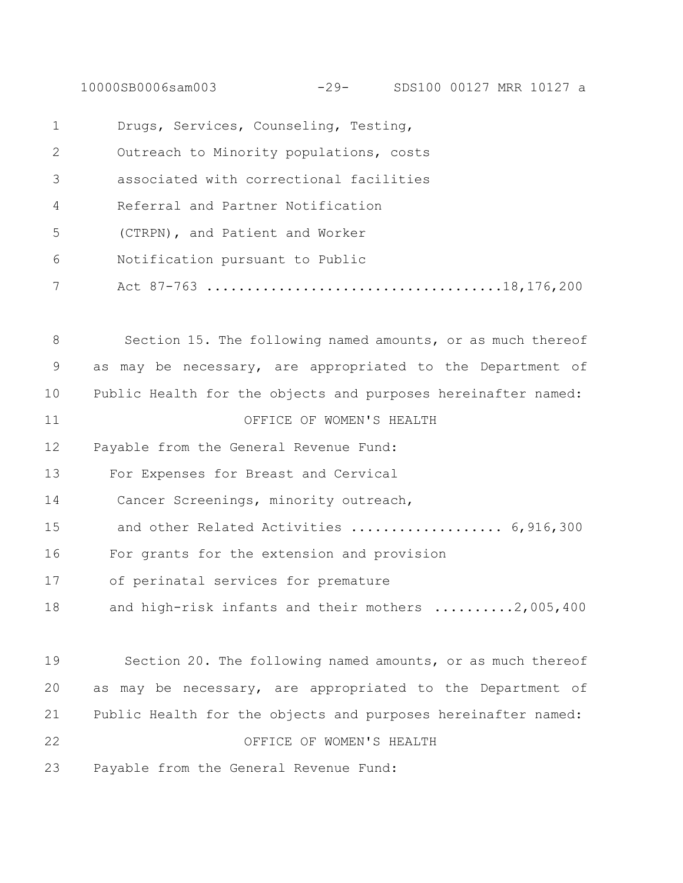10000SB0006sam003 -29- SDS100 00127 MRR 10127 a

| $\mathbf 1$  | Drugs, Services, Counseling, Testing,                         |  |  |  |
|--------------|---------------------------------------------------------------|--|--|--|
| $\mathbf{2}$ | Outreach to Minority populations, costs                       |  |  |  |
| 3            | associated with correctional facilities                       |  |  |  |
| 4            | Referral and Partner Notification                             |  |  |  |
| 5            | (CTRPN), and Patient and Worker                               |  |  |  |
| 6            | Notification pursuant to Public                               |  |  |  |
| 7            |                                                               |  |  |  |
| 8            | Section 15. The following named amounts, or as much thereof   |  |  |  |
| 9            | as may be necessary, are appropriated to the Department of    |  |  |  |
| 10           | Public Health for the objects and purposes hereinafter named: |  |  |  |
| 11           | OFFICE OF WOMEN'S HEALTH                                      |  |  |  |
| 12           | Payable from the General Revenue Fund:                        |  |  |  |
| 13           | For Expenses for Breast and Cervical                          |  |  |  |
| 14           | Cancer Screenings, minority outreach,                         |  |  |  |
| 15           | and other Related Activities  6,916,300                       |  |  |  |
| 16           | For grants for the extension and provision                    |  |  |  |
| 17           | of perinatal services for premature                           |  |  |  |
| 18           | and high-risk infants and their mothers 2,005,400             |  |  |  |
| 19           | Section 20. The following named amounts, or as much thereof   |  |  |  |
| 20           | as may be necessary, are appropriated to the Department of    |  |  |  |
| 21           | Public Health for the objects and purposes hereinafter named: |  |  |  |
| 22           | OFFICE OF WOMEN'S HEALTH                                      |  |  |  |
| 23           | Payable from the General Revenue Fund:                        |  |  |  |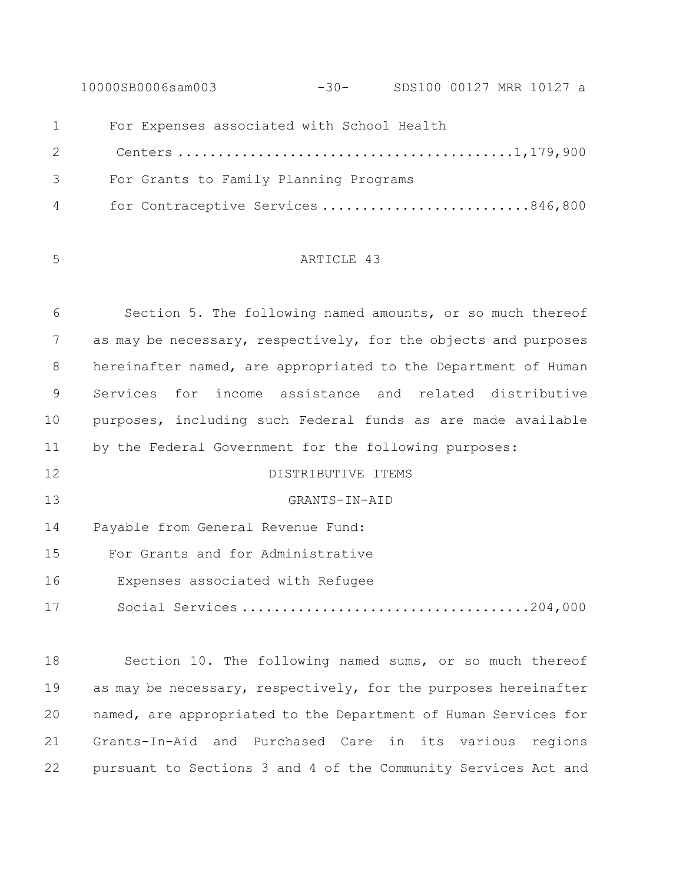10000SB0006sam003 -30- SDS100 00127 MRR 10127 a 1 For Expenses associated with School Health Centers ..........................................1,179,900 3 For Grants to Family Planning Programs 4 for Contraceptive Services ..........................846,800

## ARTICLE 43

 Section 5. The following named amounts, or so much thereof as may be necessary, respectively, for the objects and purposes hereinafter named, are appropriated to the Department of Human Services for income assistance and related distributive purposes, including such Federal funds as are made available by the Federal Government for the following purposes:

DISTRIBUTIVE ITEMS

GRANTS-IN-AID

Payable from General Revenue Fund:

For Grants and for Administrative

- 16 Expenses associated with Refugee
- 17 Social Services ....................................204,000

 Section 10. The following named sums, or so much thereof 19 as may be necessary, respectively, for the purposes hereinafter named, are appropriated to the Department of Human Services for Grants-In-Aid and Purchased Care in its various regions pursuant to Sections 3 and 4 of the Community Services Act and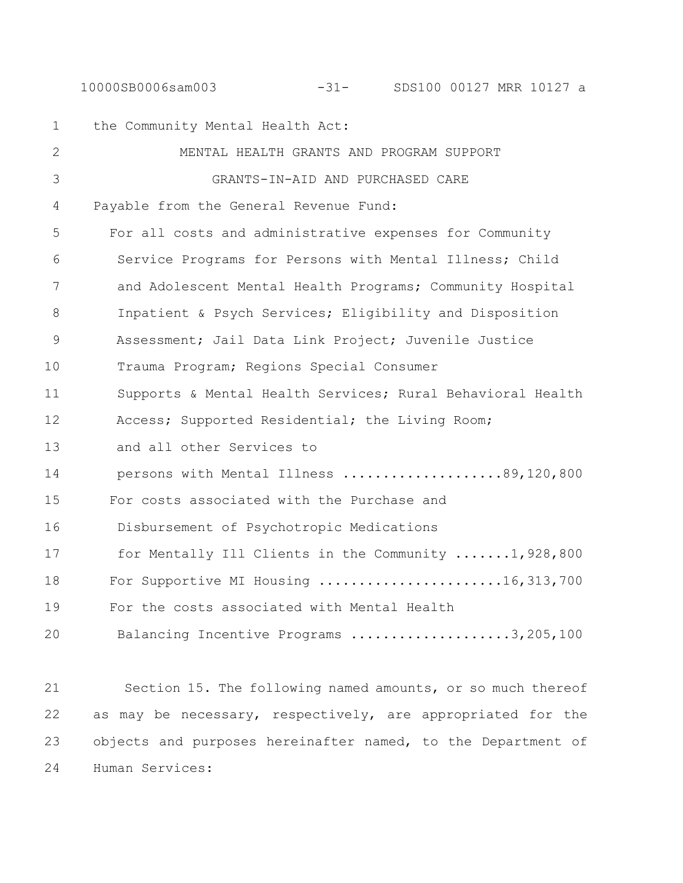#### 10000SB0006sam003 -31- SDS100 00127 MRR 10127 a

1 the Community Mental Health Act: 2 MENTAL HEALTH GRANTS AND PROGRAM SUPPORT 3 GRANTS-IN-AID AND PURCHASED CARE 4 Payable from the General Revenue Fund: 5 For all costs and administrative expenses for Community 6 Service Programs for Persons with Mental Illness; Child 7 and Adolescent Mental Health Programs; Community Hospital 8 Inpatient & Psych Services; Eligibility and Disposition 9 Assessment; Jail Data Link Project; Juvenile Justice 10 Trauma Program; Regions Special Consumer 11 Supports & Mental Health Services; Rural Behavioral Health 12 Access; Supported Residential; the Living Room; 13 and all other Services to 14 persons with Mental Illness ....................89,120,800 15 For costs associated with the Purchase and 16 Disbursement of Psychotropic Medications 17 for Mentally Ill Clients in the Community .......1,928,800 18 For Supportive MI Housing .......................16,313,700 19 For the costs associated with Mental Health 20 Balancing Incentive Programs ....................3,205,100

 Section 15. The following named amounts, or so much thereof as may be necessary, respectively, are appropriated for the objects and purposes hereinafter named, to the Department of Human Services: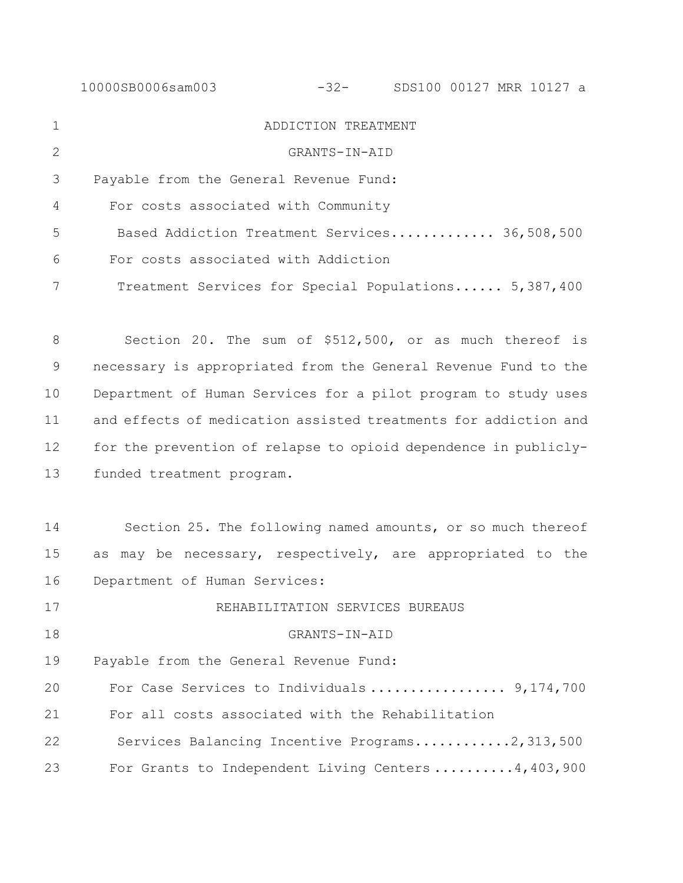10000SB0006sam003 -32- SDS100 00127 MRR 10127 a ADDICTION TREATMENT GRANTS-IN-AID Payable from the General Revenue Fund: 4 For costs associated with Community 5 Based Addiction Treatment Services............. 36,508,500 6 For costs associated with Addiction 7 Treatment Services for Special Populations...... 5,387,400 Section 20. The sum of \$512,500, or as much thereof is necessary is appropriated from the General Revenue Fund to the Department of Human Services for a pilot program to study uses and effects of medication assisted treatments for addiction and for the prevention of relapse to opioid dependence in publicly- funded treatment program. Section 25. The following named amounts, or so much thereof as may be necessary, respectively, are appropriated to the Department of Human Services: REHABILITATION SERVICES BUREAUS GRANTS-IN-AID Payable from the General Revenue Fund: 20 For Case Services to Individuals ................. 9,174,700 21 For all costs associated with the Rehabilitation 22 Services Balancing Incentive Programs............2,313,500 23 For Grants to Independent Living Centers ..........4,403,900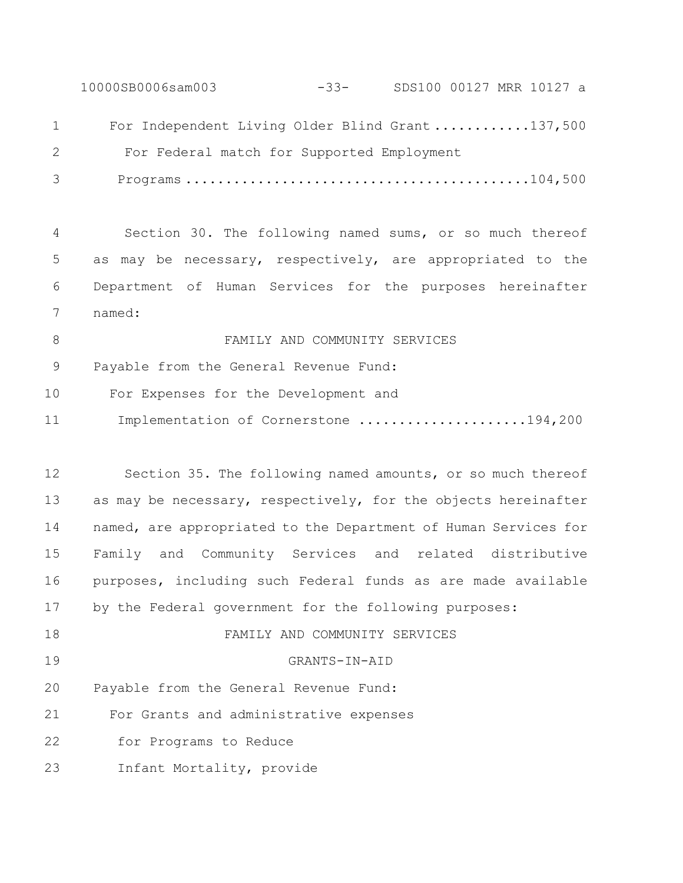10000SB0006sam003 -33- SDS100 00127 MRR 10127 a 1 For Independent Living Older Blind Grant ............137,500 For Federal match for Supported Employment 3 Programs ...........................................104,500

 Section 30. The following named sums, or so much thereof as may be necessary, respectively, are appropriated to the Department of Human Services for the purposes hereinafter named:

8 FAMILY AND COMMUNITY SERVICES Payable from the General Revenue Fund: 10 For Expenses for the Development and 11 Implementation of Cornerstone ....................194,200

 Section 35. The following named amounts, or so much thereof as may be necessary, respectively, for the objects hereinafter named, are appropriated to the Department of Human Services for Family and Community Services and related distributive purposes, including such Federal funds as are made available by the Federal government for the following purposes: FAMILY AND COMMUNITY SERVICES GRANTS-IN-AID Payable from the General Revenue Fund: 21 For Grants and administrative expenses 22 for Programs to Reduce

23 Infant Mortality, provide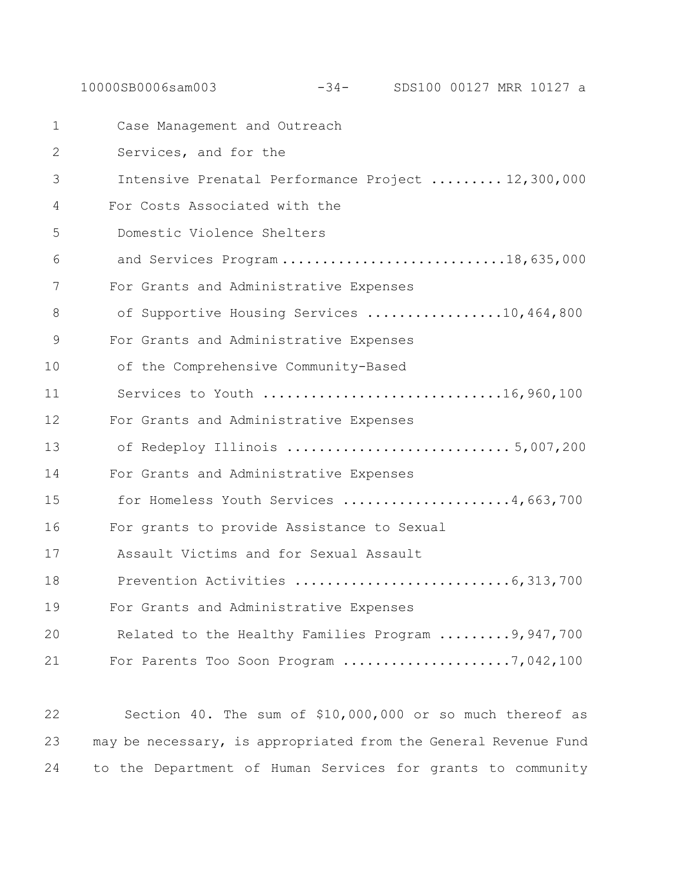1 Case Management and Outreach 2 Services, and for the 3 Intensive Prenatal Performance Project ......... 12,300,000 4 For Costs Associated with the 5 Domestic Violence Shelters 6 and Services Program ............................18,635,000 7 For Grants and Administrative Expenses 8 of Supportive Housing Services .................10,464,800 9 For Grants and Administrative Expenses 10 of the Comprehensive Community-Based 11 Services to Youth ..............................16,960,100 12 For Grants and Administrative Expenses 13 of Redeploy Illinois ............................ 5,007,200 14 For Grants and Administrative Expenses 15 for Homeless Youth Services .....................4,663,700 16 For grants to provide Assistance to Sexual 17 Assault Victims and for Sexual Assault 18 Prevention Activities ...........................6,313,700 19 For Grants and Administrative Expenses 20 Related to the Healthy Families Program .........9,947,700 21 For Parents Too Soon Program .....................7,042,100

10000SB0006sam003 -34- SDS100 00127 MRR 10127 a

22 Section 40. The sum of \$10,000,000 or so much thereof as 23 may be necessary, is appropriated from the General Revenue Fund 24 to the Department of Human Services for grants to community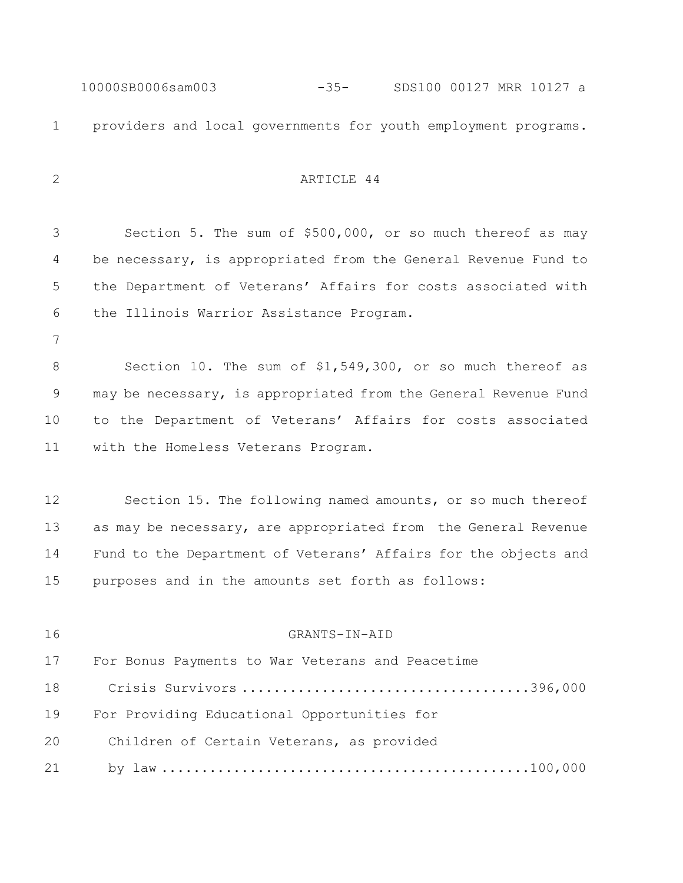10000SB0006sam003 -35- SDS100 00127 MRR 10127 a providers and local governments for youth employment programs. 2 ARTICLE 44 Section 5. The sum of \$500,000, or so much thereof as may be necessary, is appropriated from the General Revenue Fund to the Department of Veterans' Affairs for costs associated with the Illinois Warrior Assistance Program. Section 10. The sum of \$1,549,300, or so much thereof as may be necessary, is appropriated from the General Revenue Fund to the Department of Veterans' Affairs for costs associated with the Homeless Veterans Program. Section 15. The following named amounts, or so much thereof as may be necessary, are appropriated from the General Revenue Fund to the Department of Veterans' Affairs for the objects and purposes and in the amounts set forth as follows: GRANTS-IN-AID For Bonus Payments to War Veterans and Peacetime Crisis Survivors ....................................396,000 For Providing Educational Opportunities for Children of Certain Veterans, as provided by law ..............................................100,000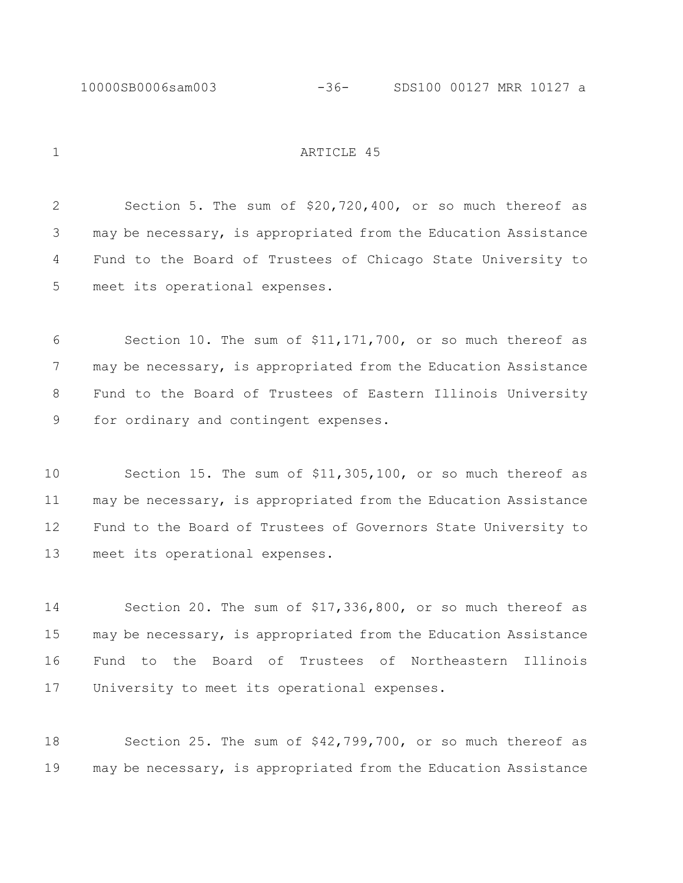1 ARTICLE 45

 Section 5. The sum of \$20,720,400, or so much thereof as may be necessary, is appropriated from the Education Assistance Fund to the Board of Trustees of Chicago State University to meet its operational expenses.

 Section 10. The sum of \$11,171,700, or so much thereof as may be necessary, is appropriated from the Education Assistance Fund to the Board of Trustees of Eastern Illinois University for ordinary and contingent expenses.

 Section 15. The sum of \$11,305,100, or so much thereof as may be necessary, is appropriated from the Education Assistance Fund to the Board of Trustees of Governors State University to meet its operational expenses.

 Section 20. The sum of \$17,336,800, or so much thereof as may be necessary, is appropriated from the Education Assistance Fund to the Board of Trustees of Northeastern Illinois University to meet its operational expenses.

 Section 25. The sum of \$42,799,700, or so much thereof as may be necessary, is appropriated from the Education Assistance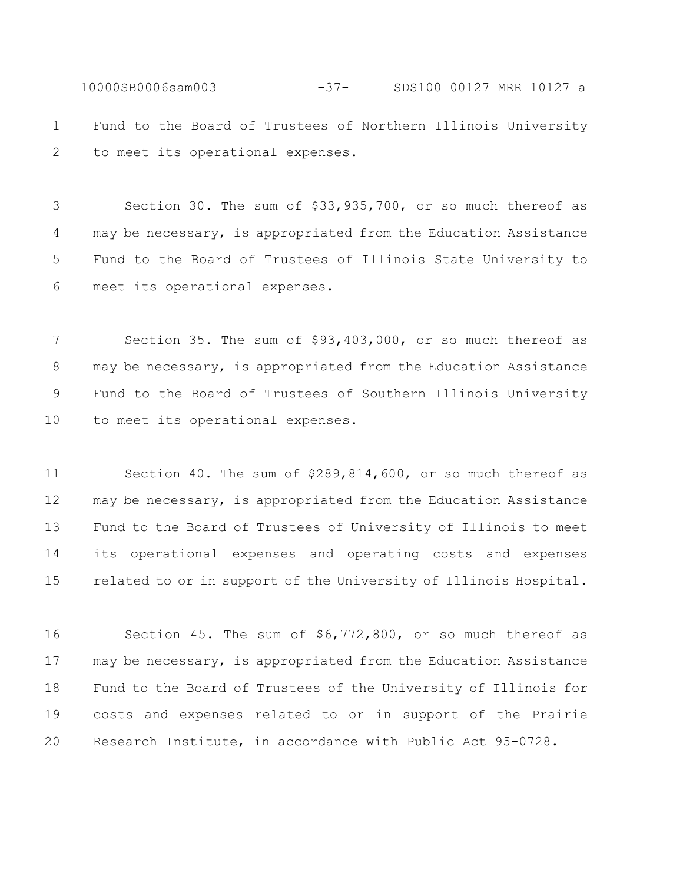10000SB0006sam003 -37- SDS100 00127 MRR 10127 a Fund to the Board of Trustees of Northern Illinois University to meet its operational expenses.

 Section 30. The sum of \$33,935,700, or so much thereof as may be necessary, is appropriated from the Education Assistance Fund to the Board of Trustees of Illinois State University to meet its operational expenses.

 Section 35. The sum of \$93,403,000, or so much thereof as may be necessary, is appropriated from the Education Assistance Fund to the Board of Trustees of Southern Illinois University to meet its operational expenses.

 Section 40. The sum of \$289,814,600, or so much thereof as may be necessary, is appropriated from the Education Assistance Fund to the Board of Trustees of University of Illinois to meet its operational expenses and operating costs and expenses related to or in support of the University of Illinois Hospital.

 Section 45. The sum of \$6,772,800, or so much thereof as may be necessary, is appropriated from the Education Assistance Fund to the Board of Trustees of the University of Illinois for costs and expenses related to or in support of the Prairie Research Institute, in accordance with Public Act 95-0728.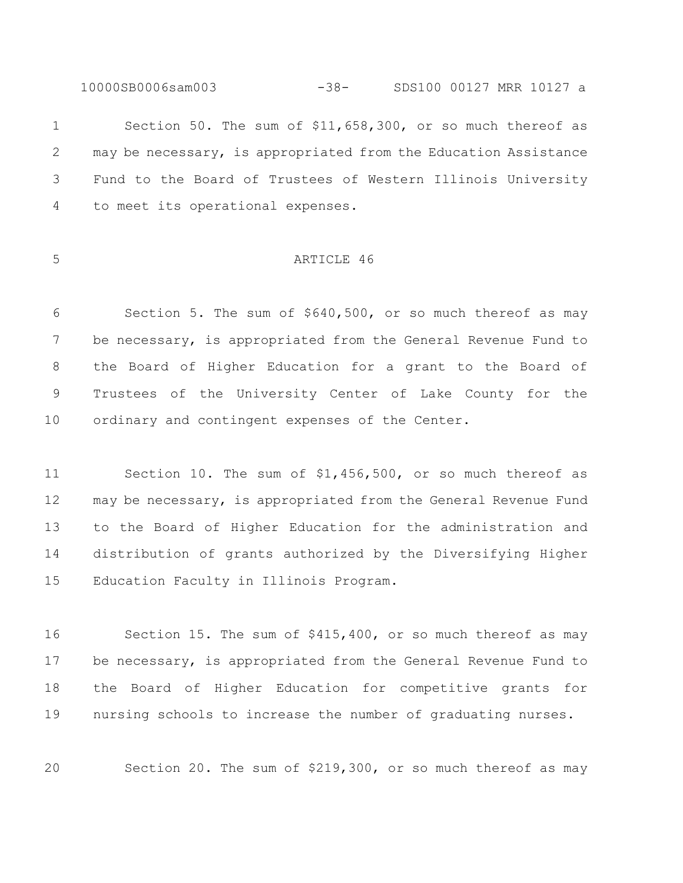10000SB0006sam003 -38- SDS100 00127 MRR 10127 a

 Section 50. The sum of \$11,658,300, or so much thereof as may be necessary, is appropriated from the Education Assistance Fund to the Board of Trustees of Western Illinois University to meet its operational expenses.

## ARTICLE 46

 Section 5. The sum of \$640,500, or so much thereof as may be necessary, is appropriated from the General Revenue Fund to the Board of Higher Education for a grant to the Board of Trustees of the University Center of Lake County for the ordinary and contingent expenses of the Center.

 Section 10. The sum of \$1,456,500, or so much thereof as may be necessary, is appropriated from the General Revenue Fund to the Board of Higher Education for the administration and distribution of grants authorized by the Diversifying Higher Education Faculty in Illinois Program.

 Section 15. The sum of \$415,400, or so much thereof as may be necessary, is appropriated from the General Revenue Fund to the Board of Higher Education for competitive grants for nursing schools to increase the number of graduating nurses.

Section 20. The sum of \$219,300, or so much thereof as may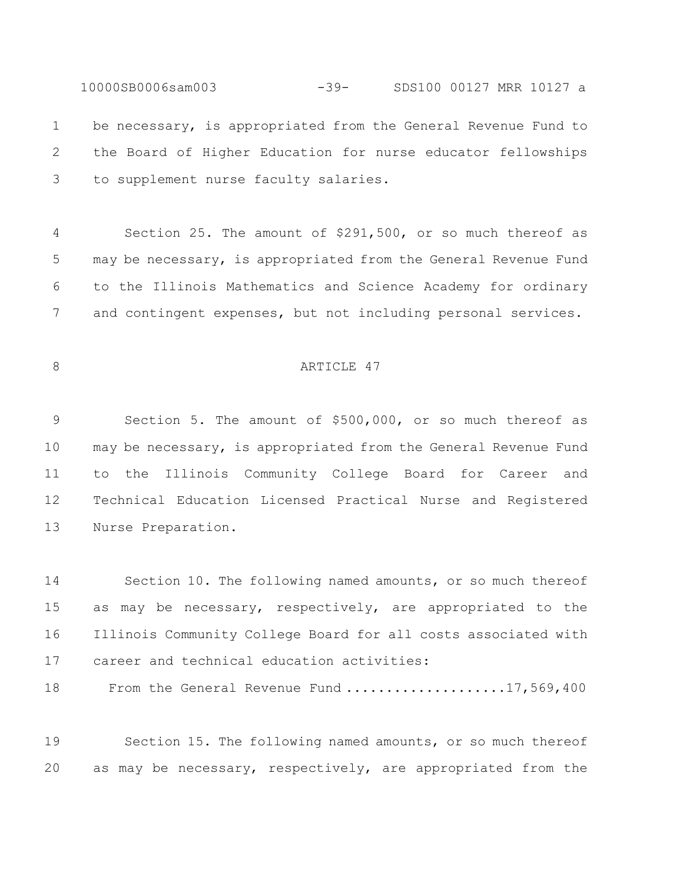10000SB0006sam003 -39- SDS100 00127 MRR 10127 a be necessary, is appropriated from the General Revenue Fund to the Board of Higher Education for nurse educator fellowships to supplement nurse faculty salaries.

 Section 25. The amount of \$291,500, or so much thereof as may be necessary, is appropriated from the General Revenue Fund to the Illinois Mathematics and Science Academy for ordinary and contingent expenses, but not including personal services.

## 8 ARTICLE 47

 Section 5. The amount of \$500,000, or so much thereof as may be necessary, is appropriated from the General Revenue Fund to the Illinois Community College Board for Career and Technical Education Licensed Practical Nurse and Registered Nurse Preparation.

 Section 10. The following named amounts, or so much thereof as may be necessary, respectively, are appropriated to the Illinois Community College Board for all costs associated with career and technical education activities:

18 From the General Revenue Fund ....................17,569,400

 Section 15. The following named amounts, or so much thereof as may be necessary, respectively, are appropriated from the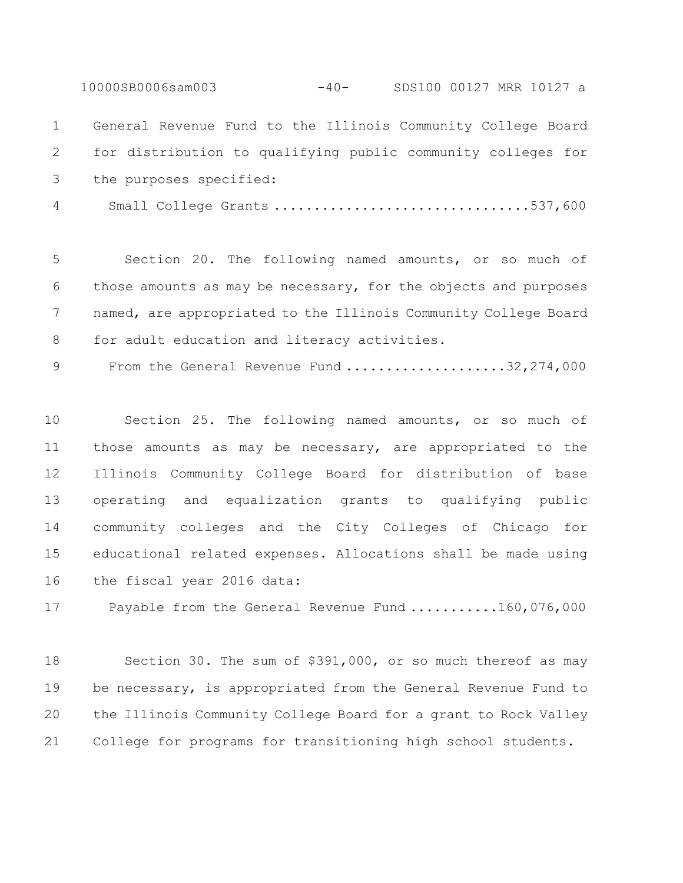General Revenue Fund to the Illinois Community College Board for distribution to qualifying public community colleges for the purposes specified:

10000SB0006sam003 -40- SDS100 00127 MRR 10127 a

Small College Grants ................................537,600

 Section 20. The following named amounts, or so much of those amounts as may be necessary, for the objects and purposes named, are appropriated to the Illinois Community College Board 8 for adult education and literacy activities.

9 From the General Revenue Fund .....................32,274,000

 Section 25. The following named amounts, or so much of those amounts as may be necessary, are appropriated to the Illinois Community College Board for distribution of base operating and equalization grants to qualifying public community colleges and the City Colleges of Chicago for educational related expenses. Allocations shall be made using the fiscal year 2016 data:

17 Payable from the General Revenue Fund ...........160,076,000

 Section 30. The sum of \$391,000, or so much thereof as may be necessary, is appropriated from the General Revenue Fund to the Illinois Community College Board for a grant to Rock Valley College for programs for transitioning high school students.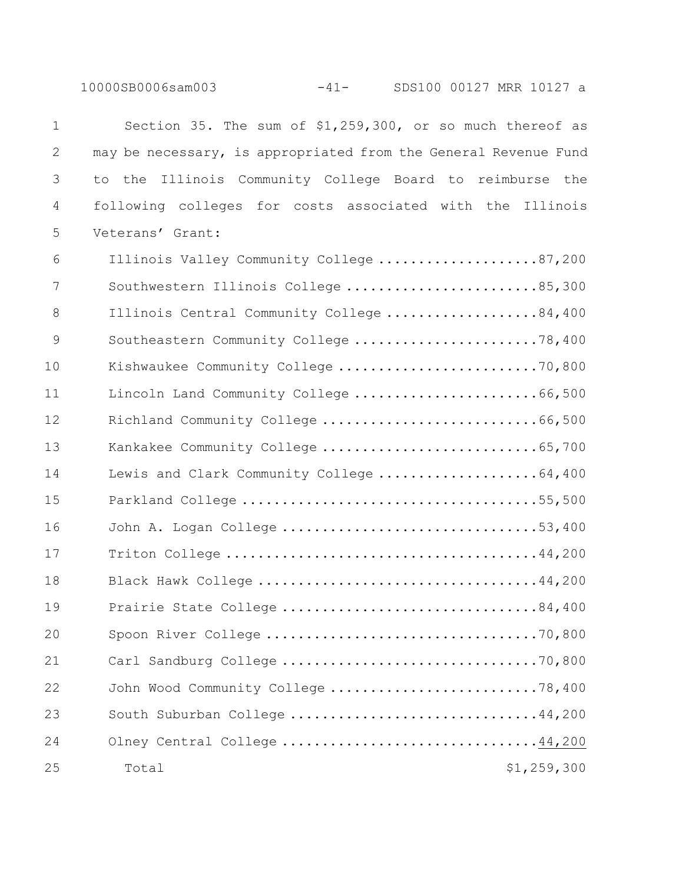10000SB0006sam003 -41- SDS100 00127 MRR 10127 a

| $\mathbf 1$    | Section 35. The sum of \$1,259,300, or so much thereof as       |
|----------------|-----------------------------------------------------------------|
| $\mathbf{2}$   | may be necessary, is appropriated from the General Revenue Fund |
| 3              | the Illinois Community College Board to reimburse<br>the<br>to  |
| 4              | following colleges for costs associated with the Illinois       |
| 5              | Veterans' Grant:                                                |
| 6              | Illinois Valley Community College 87,200                        |
| 7              | Southwestern Illinois College 85,300                            |
| 8              | Illinois Central Community College 84,400                       |
| $\overline{9}$ | Southeastern Community College 78,400                           |
| 10             | Kishwaukee Community College 70,800                             |
| 11             | Lincoln Land Community College 66,500                           |
| 12             | Richland Community College 66,500                               |
| 13             | Kankakee Community College 65,700                               |
| 14             | Lewis and Clark Community College 64,400                        |
| 15             |                                                                 |
| 16             | John A. Logan College 53,400                                    |
| 17             |                                                                 |
| 18             |                                                                 |
| 19             | Prairie State College 84,400                                    |
| 20             |                                                                 |
| 21             |                                                                 |
| 22             | John Wood Community College 78,400                              |
| 23             | South Suburban College 44,200                                   |
| 24             | Olney Central College 44,200                                    |
| 25             | \$1,259,300<br>Total                                            |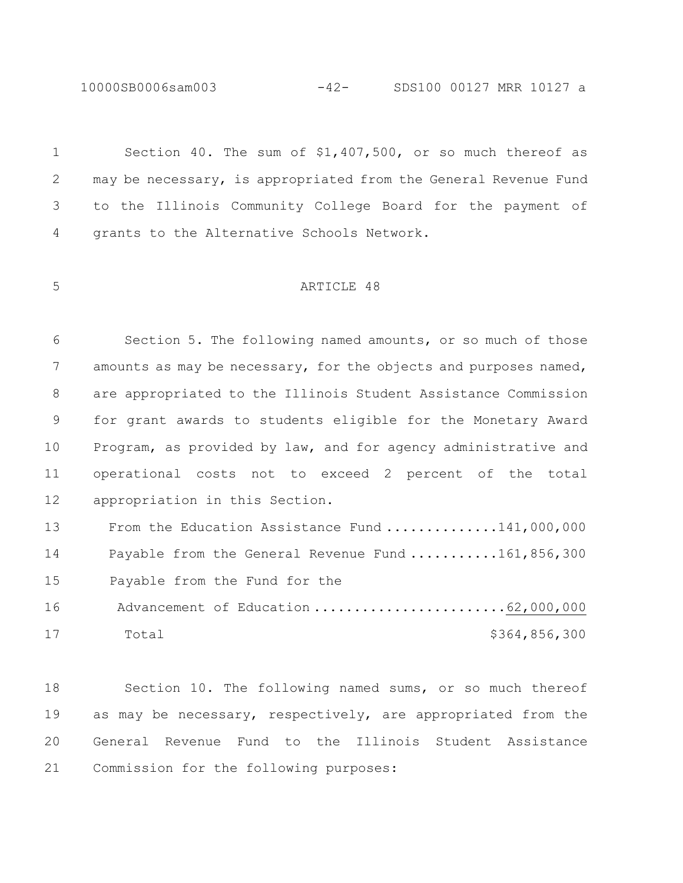10000SB0006sam003

 Section 40. The sum of \$1,407,500, or so much thereof as may be necessary, is appropriated from the General Revenue Fund to the Illinois Community College Board for the payment of grants to the Alternative Schools Network. ARTICLE 48 Section 5. The following named amounts, or so much of those 7 amounts as may be necessary, for the objects and purposes named, are appropriated to the Illinois Student Assistance Commission for grant awards to students eligible for the Monetary Award Program, as provided by law, and for agency administrative and operational costs not to exceed 2 percent of the total appropriation in this Section. 13 From the Education Assistance Fund ..............141,000,000 14 Payable from the General Revenue Fund ...........161,856,300 15 Payable from the Fund for the 16 Advancement of Education .............................62,000,000 Total \$364,856,300 Section 10. The following named sums, or so much thereof

19 as may be necessary, respectively, are appropriated from the General Revenue Fund to the Illinois Student Assistance Commission for the following purposes: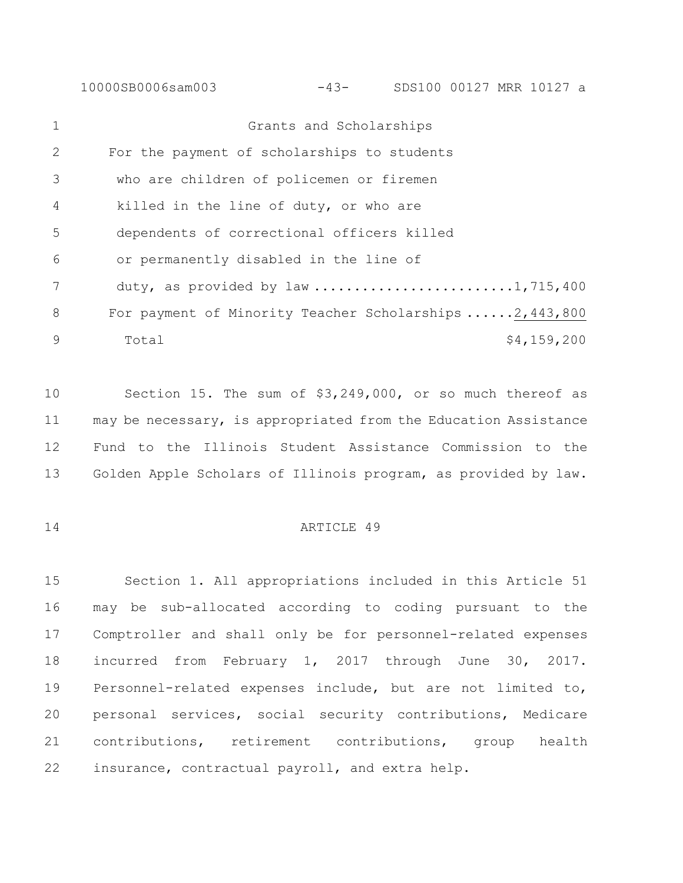10000SB0006sam003 -43- SDS100 00127 MRR 10127 a

| $\mathbf{1}$  | Grants and Scholarships                                  |
|---------------|----------------------------------------------------------|
| 2             | For the payment of scholarships to students              |
| $\mathcal{S}$ | who are children of policemen or firemen                 |
| 4             | killed in the line of duty, or who are                   |
| .5            | dependents of correctional officers killed               |
| 6             | or permanently disabled in the line of                   |
|               | duty, as provided by law 1,715,400                       |
| 8             | For payment of Minority Teacher Scholarships 2, 443, 800 |
| 9             | \$4,159,200<br>Total                                     |

 Section 15. The sum of \$3,249,000, or so much thereof as may be necessary, is appropriated from the Education Assistance Fund to the Illinois Student Assistance Commission to the Golden Apple Scholars of Illinois program, as provided by law.

## ARTICLE 49

 Section 1. All appropriations included in this Article 51 may be sub-allocated according to coding pursuant to the Comptroller and shall only be for personnel-related expenses incurred from February 1, 2017 through June 30, 2017. Personnel-related expenses include, but are not limited to, personal services, social security contributions, Medicare contributions, retirement contributions, group health insurance, contractual payroll, and extra help.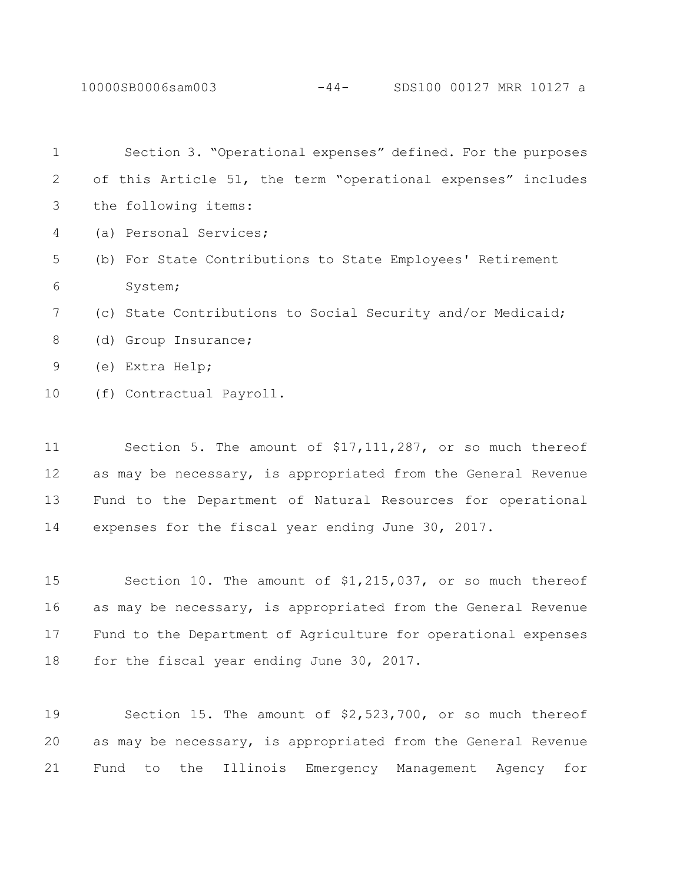10000SB0006sam003 -44- SDS100 00127 MRR 10127 a

| $\mathbf{1}$ | Section 3. "Operational expenses" defined. For the purposes   |
|--------------|---------------------------------------------------------------|
| 2            | of this Article 51, the term "operational expenses" includes  |
| 3            | the following items:                                          |
| 4            | (a) Personal Services;                                        |
| 5            | (b) For State Contributions to State Employees' Retirement    |
| 6            | System;                                                       |
| 7            | (c) State Contributions to Social Security and/or Medicaid;   |
| 8            | (d) Group Insurance;                                          |
| 9            | (e) Extra Help;                                               |
| 10           | (f) Contractual Payroll.                                      |
|              |                                                               |
| 11           | Section 5. The amount of $$17,111,287$ , or so much thereof   |
| 12           | as may be necessary, is appropriated from the General Revenue |
| 13           | Fund to the Department of Natural Resources for operational   |
| 14           | expenses for the fiscal year ending June 30, 2017.            |

 Section 10. The amount of \$1,215,037, or so much thereof as may be necessary, is appropriated from the General Revenue Fund to the Department of Agriculture for operational expenses 18 for the fiscal year ending June 30, 2017.

 Section 15. The amount of \$2,523,700, or so much thereof as may be necessary, is appropriated from the General Revenue Fund to the Illinois Emergency Management Agency for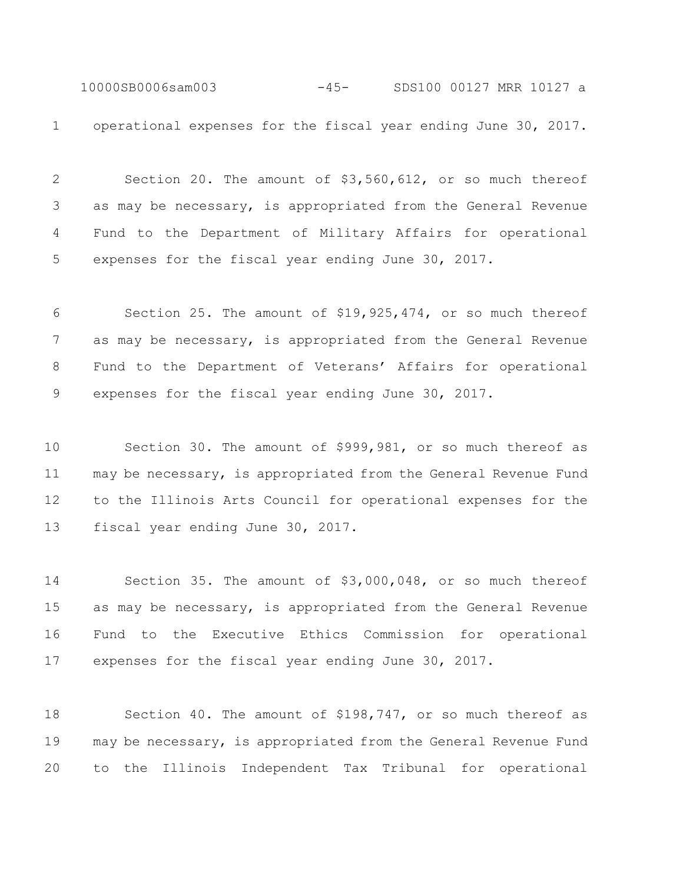10000SB0006sam003 -45- SDS100 00127 MRR 10127 a operational expenses for the fiscal year ending June 30, 2017.

 Section 20. The amount of \$3,560,612, or so much thereof as may be necessary, is appropriated from the General Revenue Fund to the Department of Military Affairs for operational expenses for the fiscal year ending June 30, 2017.

 Section 25. The amount of \$19,925,474, or so much thereof as may be necessary, is appropriated from the General Revenue Fund to the Department of Veterans' Affairs for operational expenses for the fiscal year ending June 30, 2017.

 Section 30. The amount of \$999,981, or so much thereof as may be necessary, is appropriated from the General Revenue Fund to the Illinois Arts Council for operational expenses for the fiscal year ending June 30, 2017.

 Section 35. The amount of \$3,000,048, or so much thereof as may be necessary, is appropriated from the General Revenue Fund to the Executive Ethics Commission for operational expenses for the fiscal year ending June 30, 2017.

 Section 40. The amount of \$198,747, or so much thereof as may be necessary, is appropriated from the General Revenue Fund to the Illinois Independent Tax Tribunal for operational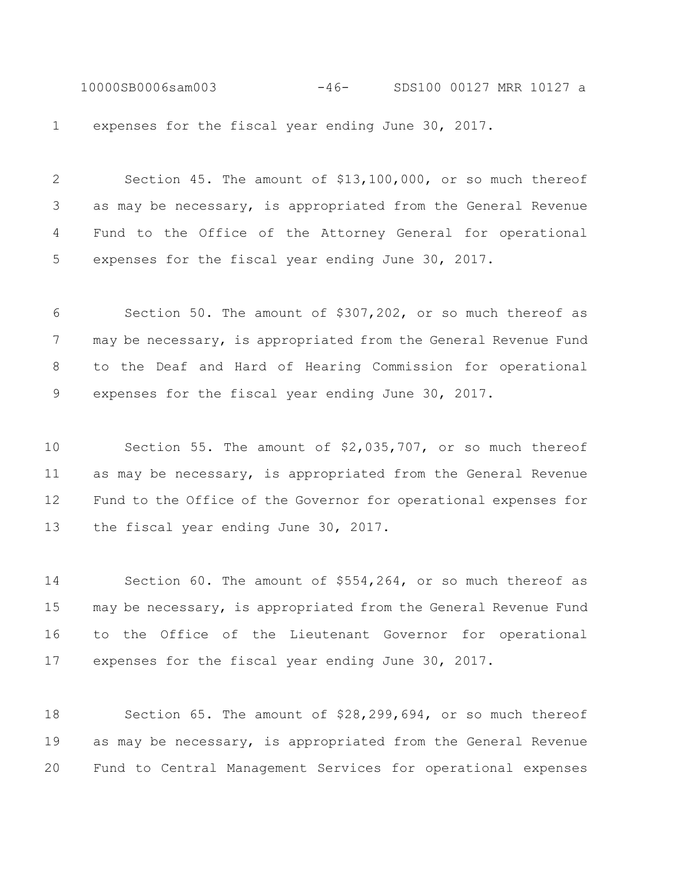10000SB0006sam003 -46- SDS100 00127 MRR 10127 a expenses for the fiscal year ending June 30, 2017.

 Section 45. The amount of \$13,100,000, or so much thereof as may be necessary, is appropriated from the General Revenue Fund to the Office of the Attorney General for operational expenses for the fiscal year ending June 30, 2017.

 Section 50. The amount of \$307,202, or so much thereof as may be necessary, is appropriated from the General Revenue Fund to the Deaf and Hard of Hearing Commission for operational expenses for the fiscal year ending June 30, 2017.

 Section 55. The amount of \$2,035,707, or so much thereof as may be necessary, is appropriated from the General Revenue Fund to the Office of the Governor for operational expenses for 13 the fiscal year ending June 30, 2017.

 Section 60. The amount of \$554,264, or so much thereof as may be necessary, is appropriated from the General Revenue Fund to the Office of the Lieutenant Governor for operational expenses for the fiscal year ending June 30, 2017.

 Section 65. The amount of \$28,299,694, or so much thereof as may be necessary, is appropriated from the General Revenue Fund to Central Management Services for operational expenses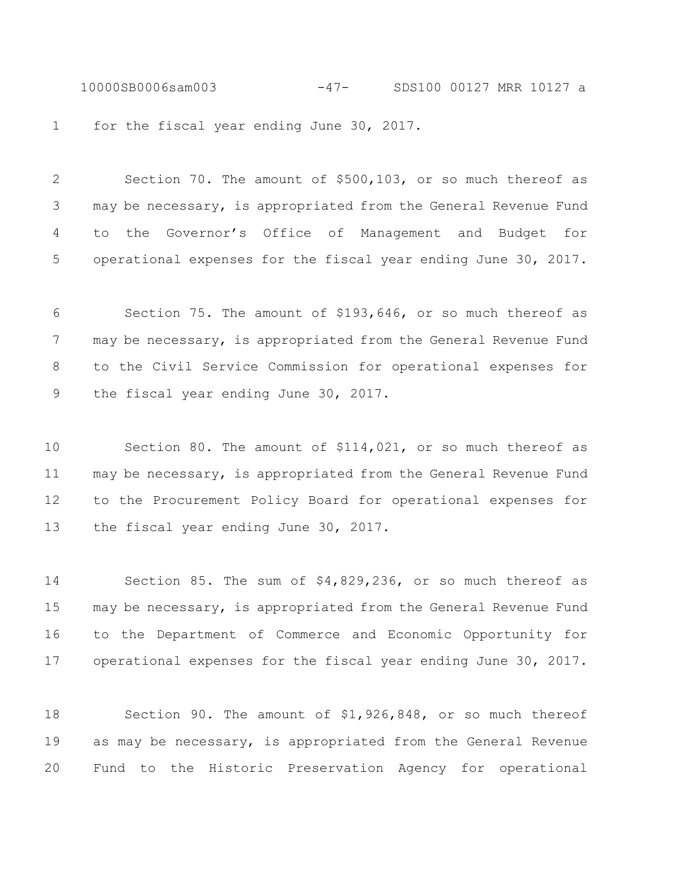10000SB0006sam003 -47- SDS100 00127 MRR 10127 a 1 for the fiscal year ending June 30, 2017.

 Section 70. The amount of \$500,103, or so much thereof as may be necessary, is appropriated from the General Revenue Fund to the Governor's Office of Management and Budget for operational expenses for the fiscal year ending June 30, 2017.

 Section 75. The amount of \$193,646, or so much thereof as 7 may be necessary, is appropriated from the General Revenue Fund to the Civil Service Commission for operational expenses for the fiscal year ending June 30, 2017.

 Section 80. The amount of \$114,021, or so much thereof as may be necessary, is appropriated from the General Revenue Fund to the Procurement Policy Board for operational expenses for 13 the fiscal year ending June 30, 2017.

 Section 85. The sum of \$4,829,236, or so much thereof as may be necessary, is appropriated from the General Revenue Fund to the Department of Commerce and Economic Opportunity for operational expenses for the fiscal year ending June 30, 2017.

 Section 90. The amount of \$1,926,848, or so much thereof as may be necessary, is appropriated from the General Revenue Fund to the Historic Preservation Agency for operational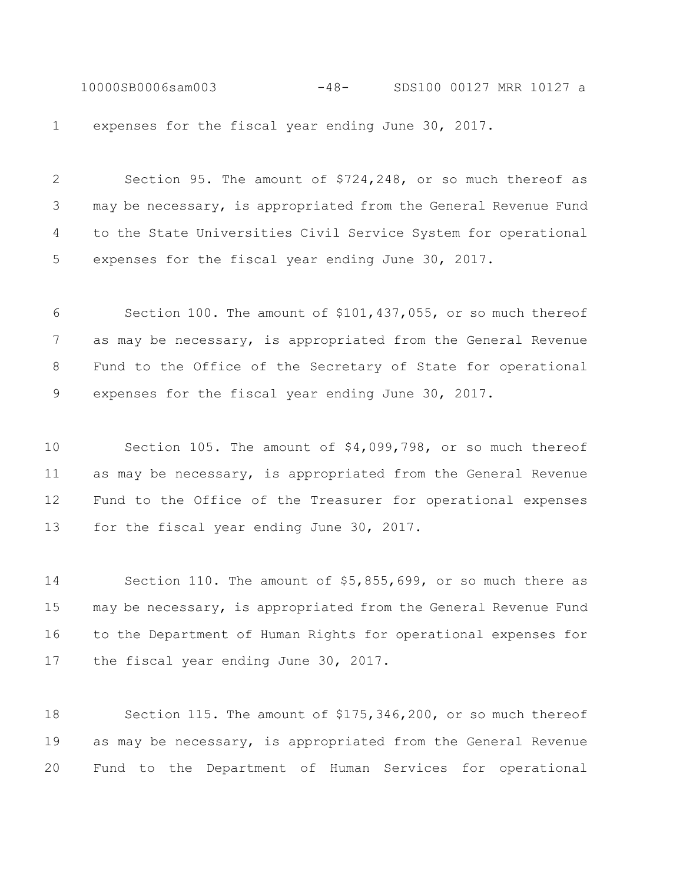10000SB0006sam003 -48- SDS100 00127 MRR 10127 a expenses for the fiscal year ending June 30, 2017.

 Section 95. The amount of \$724,248, or so much thereof as may be necessary, is appropriated from the General Revenue Fund to the State Universities Civil Service System for operational expenses for the fiscal year ending June 30, 2017.

 Section 100. The amount of \$101,437,055, or so much thereof as may be necessary, is appropriated from the General Revenue Fund to the Office of the Secretary of State for operational expenses for the fiscal year ending June 30, 2017.

 Section 105. The amount of \$4,099,798, or so much thereof as may be necessary, is appropriated from the General Revenue Fund to the Office of the Treasurer for operational expenses 13 for the fiscal year ending June 30, 2017.

 Section 110. The amount of \$5,855,699, or so much there as may be necessary, is appropriated from the General Revenue Fund to the Department of Human Rights for operational expenses for 17 the fiscal year ending June 30, 2017.

 Section 115. The amount of \$175,346,200, or so much thereof as may be necessary, is appropriated from the General Revenue Fund to the Department of Human Services for operational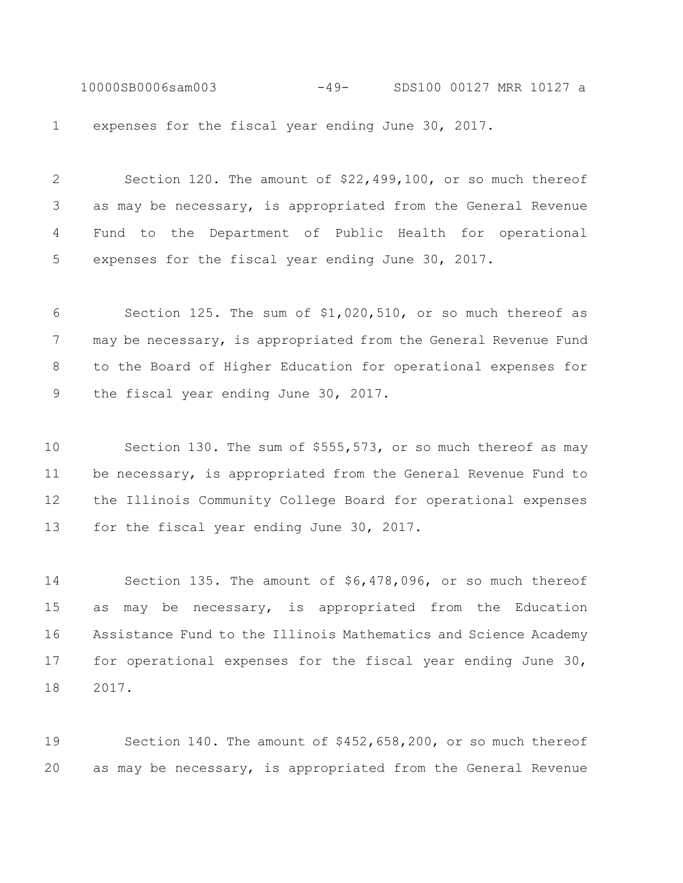10000SB0006sam003 -49- SDS100 00127 MRR 10127 a expenses for the fiscal year ending June 30, 2017.

 Section 120. The amount of \$22,499,100, or so much thereof as may be necessary, is appropriated from the General Revenue Fund to the Department of Public Health for operational expenses for the fiscal year ending June 30, 2017.

 Section 125. The sum of \$1,020,510, or so much thereof as 7 may be necessary, is appropriated from the General Revenue Fund to the Board of Higher Education for operational expenses for the fiscal year ending June 30, 2017.

 Section 130. The sum of \$555,573, or so much thereof as may be necessary, is appropriated from the General Revenue Fund to the Illinois Community College Board for operational expenses 13 for the fiscal year ending June 30, 2017.

 Section 135. The amount of \$6,478,096, or so much thereof as may be necessary, is appropriated from the Education Assistance Fund to the Illinois Mathematics and Science Academy for operational expenses for the fiscal year ending June 30, 2017.

 Section 140. The amount of \$452,658,200, or so much thereof as may be necessary, is appropriated from the General Revenue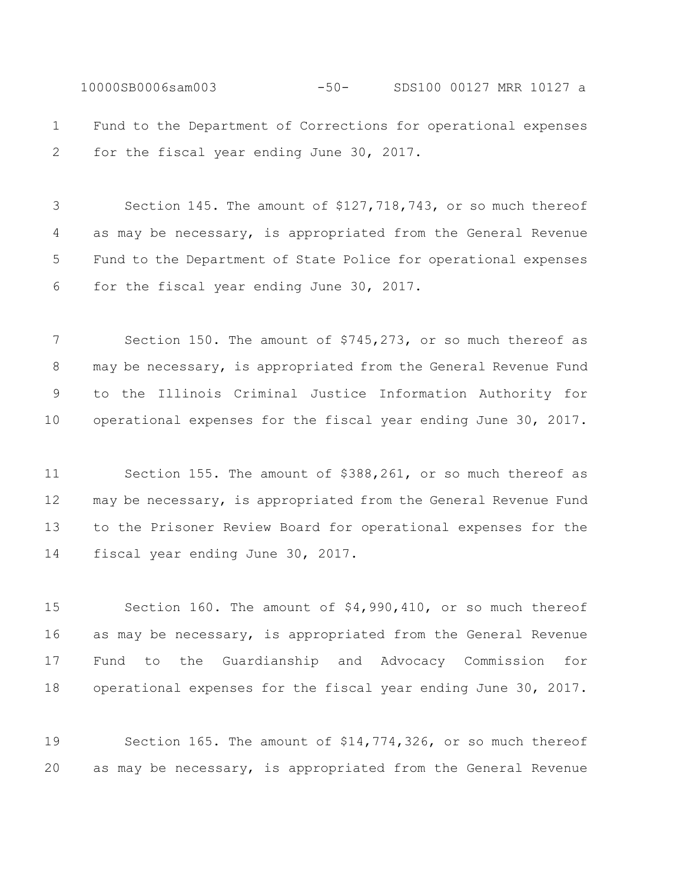10000SB0006sam003 -50- SDS100 00127 MRR 10127 a Fund to the Department of Corrections for operational expenses for the fiscal year ending June 30, 2017.

 Section 145. The amount of \$127,718,743, or so much thereof as may be necessary, is appropriated from the General Revenue Fund to the Department of State Police for operational expenses for the fiscal year ending June 30, 2017.

 Section 150. The amount of \$745,273, or so much thereof as may be necessary, is appropriated from the General Revenue Fund to the Illinois Criminal Justice Information Authority for operational expenses for the fiscal year ending June 30, 2017.

 Section 155. The amount of \$388,261, or so much thereof as may be necessary, is appropriated from the General Revenue Fund to the Prisoner Review Board for operational expenses for the fiscal year ending June 30, 2017.

 Section 160. The amount of \$4,990,410, or so much thereof as may be necessary, is appropriated from the General Revenue Fund to the Guardianship and Advocacy Commission for operational expenses for the fiscal year ending June 30, 2017.

 Section 165. The amount of \$14,774,326, or so much thereof as may be necessary, is appropriated from the General Revenue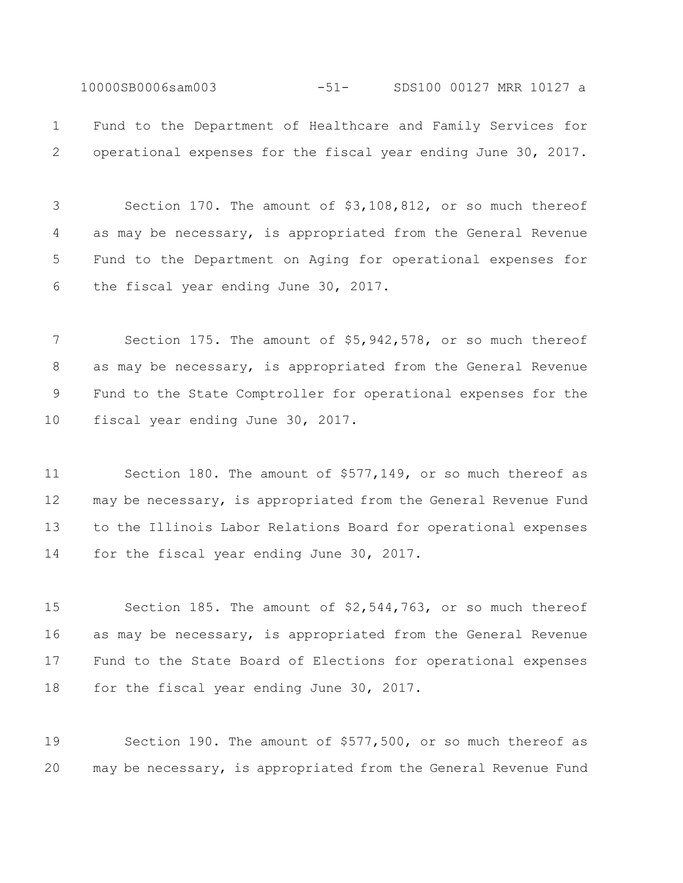10000SB0006sam003 -51- SDS100 00127 MRR 10127 a Fund to the Department of Healthcare and Family Services for operational expenses for the fiscal year ending June 30, 2017.

 Section 170. The amount of \$3,108,812, or so much thereof as may be necessary, is appropriated from the General Revenue Fund to the Department on Aging for operational expenses for the fiscal year ending June 30, 2017.

 Section 175. The amount of \$5,942,578, or so much thereof as may be necessary, is appropriated from the General Revenue Fund to the State Comptroller for operational expenses for the fiscal year ending June 30, 2017.

 Section 180. The amount of \$577,149, or so much thereof as may be necessary, is appropriated from the General Revenue Fund to the Illinois Labor Relations Board for operational expenses for the fiscal year ending June 30, 2017.

 Section 185. The amount of \$2,544,763, or so much thereof as may be necessary, is appropriated from the General Revenue Fund to the State Board of Elections for operational expenses 18 for the fiscal year ending June 30, 2017.

 Section 190. The amount of \$577,500, or so much thereof as may be necessary, is appropriated from the General Revenue Fund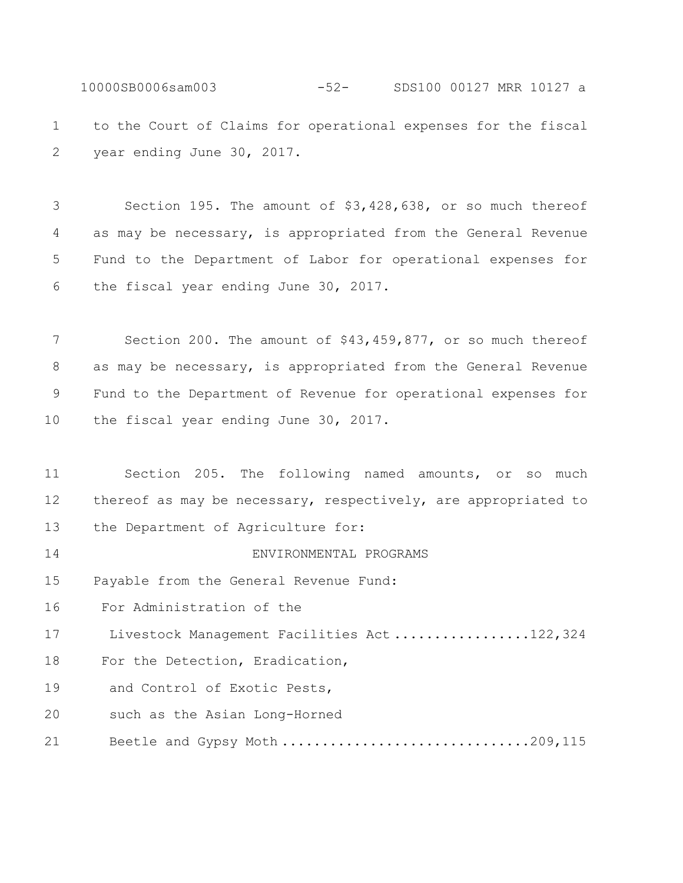10000SB0006sam003 -52- SDS100 00127 MRR 10127 a to the Court of Claims for operational expenses for the fiscal year ending June 30, 2017.

 Section 195. The amount of \$3,428,638, or so much thereof as may be necessary, is appropriated from the General Revenue Fund to the Department of Labor for operational expenses for the fiscal year ending June 30, 2017.

 Section 200. The amount of \$43,459,877, or so much thereof as may be necessary, is appropriated from the General Revenue Fund to the Department of Revenue for operational expenses for 10 the fiscal year ending June 30, 2017.

 Section 205. The following named amounts, or so much thereof as may be necessary, respectively, are appropriated to the Department of Agriculture for: ENVIRONMENTAL PROGRAMS Payable from the General Revenue Fund: For Administration of the 17 Livestock Management Facilities Act .................122,324 For the Detection, Eradication, 19 and Control of Exotic Pests, 20 such as the Asian Long-Horned 21 Beetle and Gypsy Moth ..................................209,115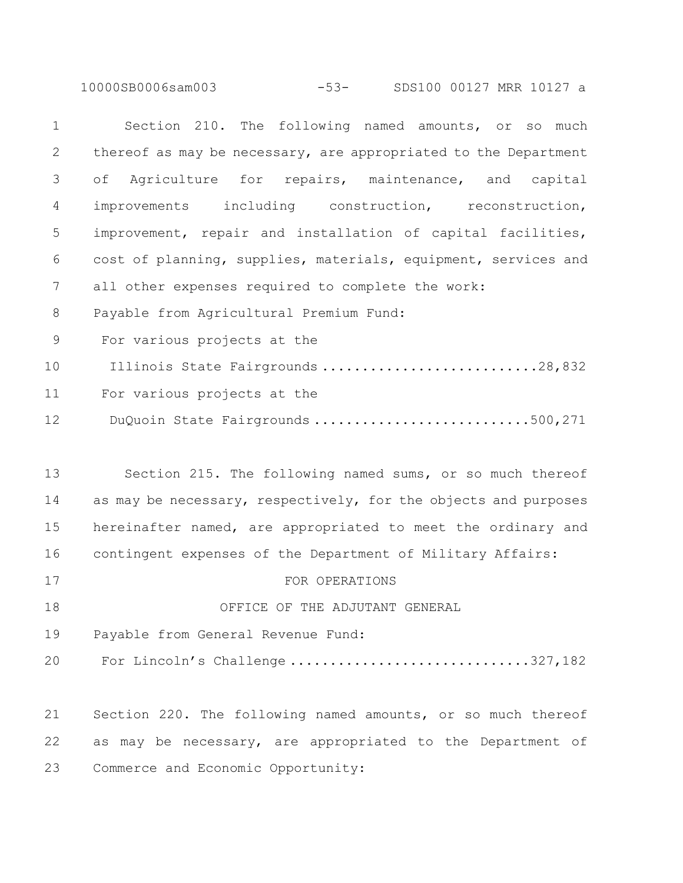10000SB0006sam003 -53- SDS100 00127 MRR 10127 a

| $\mathbf 1$    | Section 210. The following named amounts, or so much            |
|----------------|-----------------------------------------------------------------|
| $\overline{2}$ | thereof as may be necessary, are appropriated to the Department |
| 3              | Agriculture for repairs, maintenance, and capital<br>оf         |
| 4              | improvements including construction, reconstruction,            |
| 5              | improvement, repair and installation of capital facilities,     |
| 6              | cost of planning, supplies, materials, equipment, services and  |
| $7\phantom{.}$ | all other expenses required to complete the work:               |
| 8              | Payable from Agricultural Premium Fund:                         |
| 9              | For various projects at the                                     |
| 10             | Illinois State Fairgrounds 28,832                               |
| 11             | For various projects at the                                     |
| 12             | DuQuoin State Fairgrounds 500,271                               |
|                |                                                                 |
| 13             | Section 215. The following named sums, or so much thereof       |
| 14             | as may be necessary, respectively, for the objects and purposes |
| 15             | hereinafter named, are appropriated to meet the ordinary and    |
| 16             | contingent expenses of the Department of Military Affairs:      |
| 17             | FOR OPERATIONS                                                  |
| 18             | OFFICE OF THE ADJUTANT GENERAL                                  |

Payable from General Revenue Fund:

20 For Lincoln's Challenge ................................327,182

 Section 220. The following named amounts, or so much thereof as may be necessary, are appropriated to the Department of Commerce and Economic Opportunity: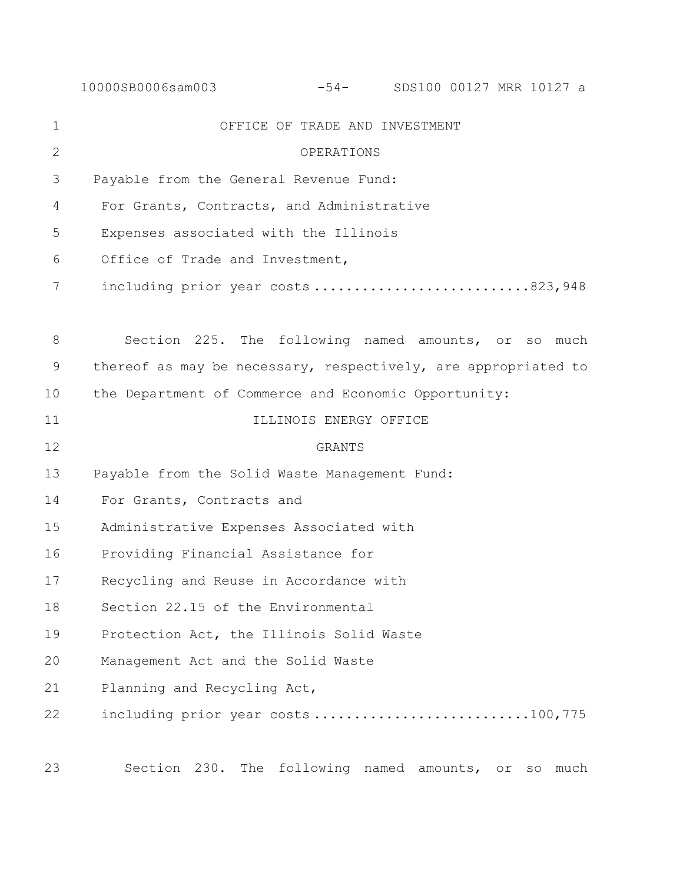|               | 10000SB0006sam003                                              |                        |  |  | -54- SDS100 00127 MRR 10127 a |  |  |
|---------------|----------------------------------------------------------------|------------------------|--|--|-------------------------------|--|--|
| $\mathbf{1}$  | OFFICE OF TRADE AND INVESTMENT                                 |                        |  |  |                               |  |  |
| $\mathbf{2}$  | OPERATIONS                                                     |                        |  |  |                               |  |  |
| 3             | Payable from the General Revenue Fund:                         |                        |  |  |                               |  |  |
| 4             | For Grants, Contracts, and Administrative                      |                        |  |  |                               |  |  |
| 5             | Expenses associated with the Illinois                          |                        |  |  |                               |  |  |
| 6             | Office of Trade and Investment,                                |                        |  |  |                               |  |  |
| 7             | including prior year costs823,948                              |                        |  |  |                               |  |  |
|               |                                                                |                        |  |  |                               |  |  |
| 8             | Section 225. The following named amounts, or so much           |                        |  |  |                               |  |  |
| $\mathcal{G}$ | thereof as may be necessary, respectively, are appropriated to |                        |  |  |                               |  |  |
| 10            | the Department of Commerce and Economic Opportunity:           |                        |  |  |                               |  |  |
| 11            |                                                                | ILLINOIS ENERGY OFFICE |  |  |                               |  |  |
| 12            |                                                                | <b>GRANTS</b>          |  |  |                               |  |  |
| 13            | Payable from the Solid Waste Management Fund:                  |                        |  |  |                               |  |  |
| 14            | For Grants, Contracts and                                      |                        |  |  |                               |  |  |
| 15            | Administrative Expenses Associated with                        |                        |  |  |                               |  |  |
| 16            | Providing Financial Assistance for                             |                        |  |  |                               |  |  |
| 17            | Recycling and Reuse in Accordance with                         |                        |  |  |                               |  |  |
| 18            | Section 22.15 of the Environmental                             |                        |  |  |                               |  |  |
| 19            | Protection Act, the Illinois Solid Waste                       |                        |  |  |                               |  |  |
| 20            | Management Act and the Solid Waste                             |                        |  |  |                               |  |  |
| 21            | Planning and Recycling Act,                                    |                        |  |  |                               |  |  |
| 22            | including prior year costs100,775                              |                        |  |  |                               |  |  |
|               |                                                                |                        |  |  |                               |  |  |

Section 230. The following named amounts, or so much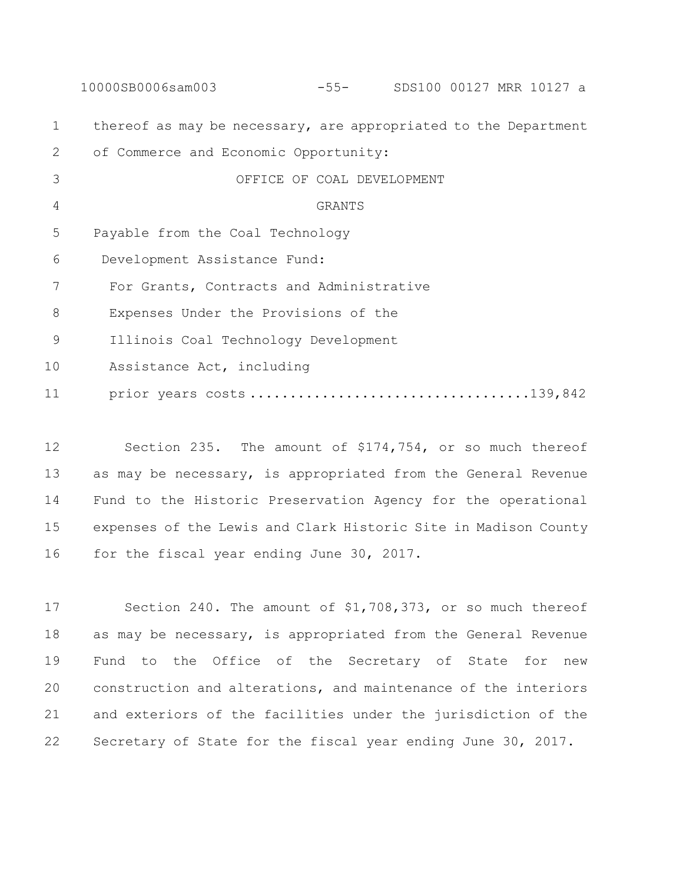|             | 10000SB0006sam003<br>SDS100 00127 MRR 10127 a<br>$-55-$         |
|-------------|-----------------------------------------------------------------|
| $\mathbf 1$ | thereof as may be necessary, are appropriated to the Department |
| 2           | of Commerce and Economic Opportunity:                           |
| 3           | OFFICE OF COAL DEVELOPMENT                                      |
| 4           | <b>GRANTS</b>                                                   |
| 5           | Payable from the Coal Technology                                |
| 6           | Development Assistance Fund:                                    |
| 7           | For Grants, Contracts and Administrative                        |
| 8           | Expenses Under the Provisions of the                            |
| 9           | Illinois Coal Technology Development                            |
| 10          | Assistance Act, including                                       |
| 11          |                                                                 |

 Section 235. The amount of \$174,754, or so much thereof as may be necessary, is appropriated from the General Revenue Fund to the Historic Preservation Agency for the operational expenses of the Lewis and Clark Historic Site in Madison County 16 for the fiscal year ending June 30, 2017.

 Section 240. The amount of \$1,708,373, or so much thereof as may be necessary, is appropriated from the General Revenue Fund to the Office of the Secretary of State for new construction and alterations, and maintenance of the interiors and exteriors of the facilities under the jurisdiction of the Secretary of State for the fiscal year ending June 30, 2017.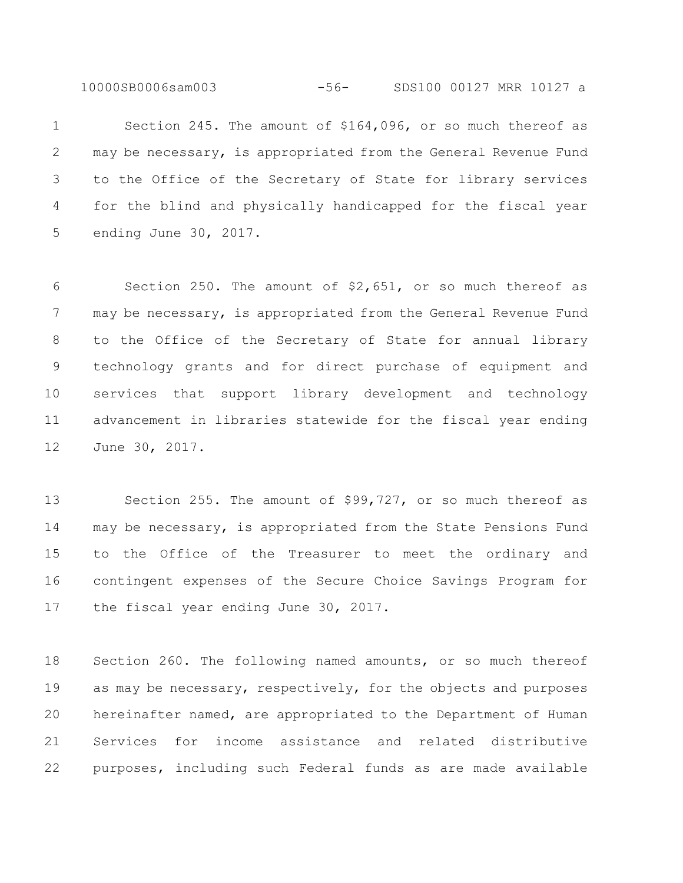10000SB0006sam003 -56- SDS100 00127 MRR 10127 a

 Section 245. The amount of \$164,096, or so much thereof as may be necessary, is appropriated from the General Revenue Fund to the Office of the Secretary of State for library services for the blind and physically handicapped for the fiscal year ending June 30, 2017.

 Section 250. The amount of \$2,651, or so much thereof as 7 may be necessary, is appropriated from the General Revenue Fund to the Office of the Secretary of State for annual library technology grants and for direct purchase of equipment and services that support library development and technology advancement in libraries statewide for the fiscal year ending June 30, 2017.

 Section 255. The amount of \$99,727, or so much thereof as may be necessary, is appropriated from the State Pensions Fund to the Office of the Treasurer to meet the ordinary and contingent expenses of the Secure Choice Savings Program for the fiscal year ending June 30, 2017.

 Section 260. The following named amounts, or so much thereof 19 as may be necessary, respectively, for the objects and purposes hereinafter named, are appropriated to the Department of Human Services for income assistance and related distributive purposes, including such Federal funds as are made available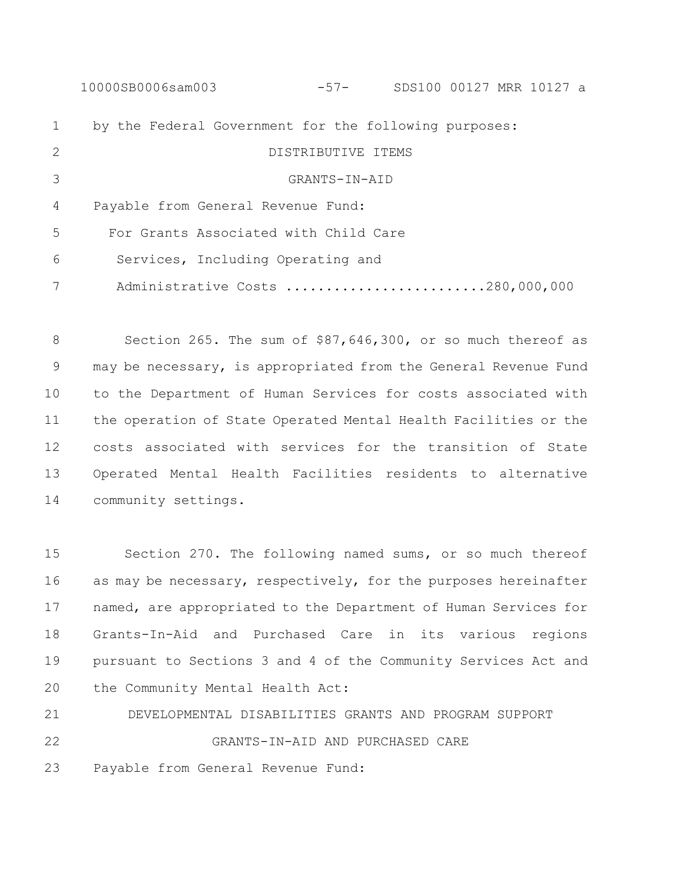10000SB0006sam003 -57- SDS100 00127 MRR 10127 a by the Federal Government for the following purposes: DISTRIBUTIVE ITEMS GRANTS-IN-AID Payable from General Revenue Fund: For Grants Associated with Child Care Services, Including Operating and 7 Administrative Costs ...........................280,000,000

8 Section 265. The sum of \$87,646,300, or so much thereof as may be necessary, is appropriated from the General Revenue Fund to the Department of Human Services for costs associated with the operation of State Operated Mental Health Facilities or the costs associated with services for the transition of State Operated Mental Health Facilities residents to alternative community settings.

 Section 270. The following named sums, or so much thereof as may be necessary, respectively, for the purposes hereinafter named, are appropriated to the Department of Human Services for Grants-In-Aid and Purchased Care in its various regions pursuant to Sections 3 and 4 of the Community Services Act and the Community Mental Health Act:

 DEVELOPMENTAL DISABILITIES GRANTS AND PROGRAM SUPPORT GRANTS-IN-AID AND PURCHASED CARE

Payable from General Revenue Fund: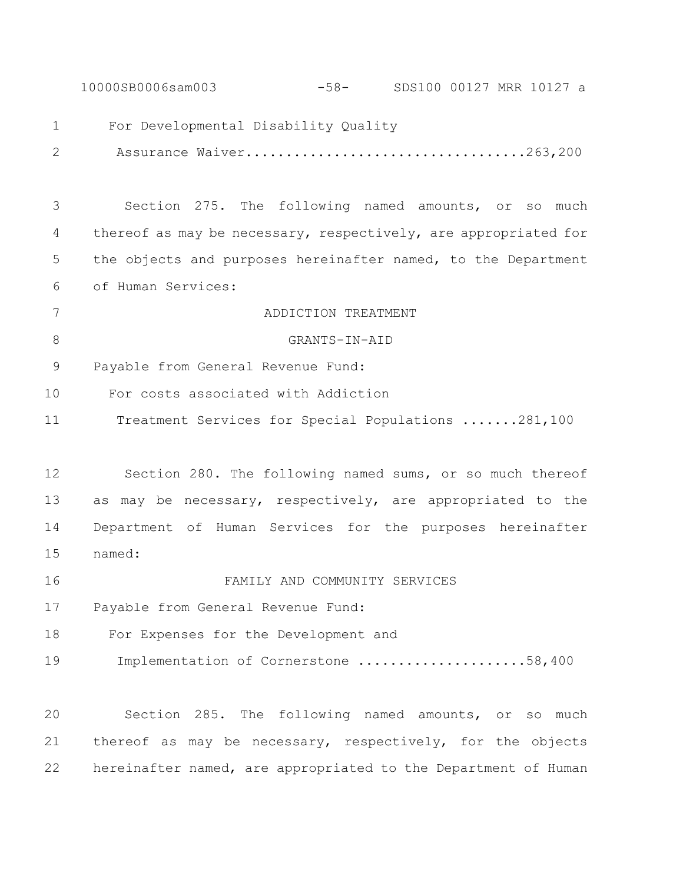10000SB0006sam003 -58- SDS100 00127 MRR 10127 a For Developmental Disability Quality Assurance Waiver...................................263,200 Section 275. The following named amounts, or so much thereof as may be necessary, respectively, are appropriated for the objects and purposes hereinafter named, to the Department of Human Services: ADDICTION TREATMENT GRANTS-IN-AID Payable from General Revenue Fund: For costs associated with Addiction Treatment Services for Special Populations .......281,100 Section 280. The following named sums, or so much thereof as may be necessary, respectively, are appropriated to the Department of Human Services for the purposes hereinafter named: FAMILY AND COMMUNITY SERVICES Payable from General Revenue Fund: For Expenses for the Development and 19 Implementation of Cornerstone .......................58,400 Section 285. The following named amounts, or so much thereof as may be necessary, respectively, for the objects hereinafter named, are appropriated to the Department of Human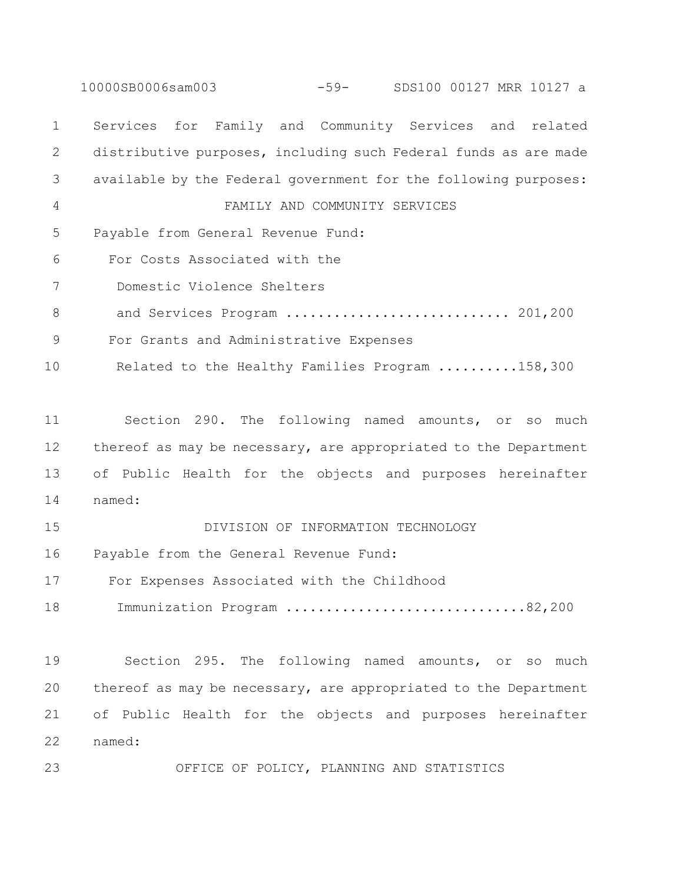10000SB0006sam003 -59- SDS100 00127 MRR 10127 a Services for Family and Community Services and related distributive purposes, including such Federal funds as are made available by the Federal government for the following purposes: FAMILY AND COMMUNITY SERVICES Payable from General Revenue Fund: For Costs Associated with the Domestic Violence Shelters 8 and Services Program ................................ 201,200 For Grants and Administrative Expenses Related to the Healthy Families Program ..........158,300 Section 290. The following named amounts, or so much thereof as may be necessary, are appropriated to the Department of Public Health for the objects and purposes hereinafter named: DIVISION OF INFORMATION TECHNOLOGY Payable from the General Revenue Fund: For Expenses Associated with the Childhood 18 Immunization Program ................................82,200 Section 295. The following named amounts, or so much thereof as may be necessary, are appropriated to the Department of Public Health for the objects and purposes hereinafter named:

OFFICE OF POLICY, PLANNING AND STATISTICS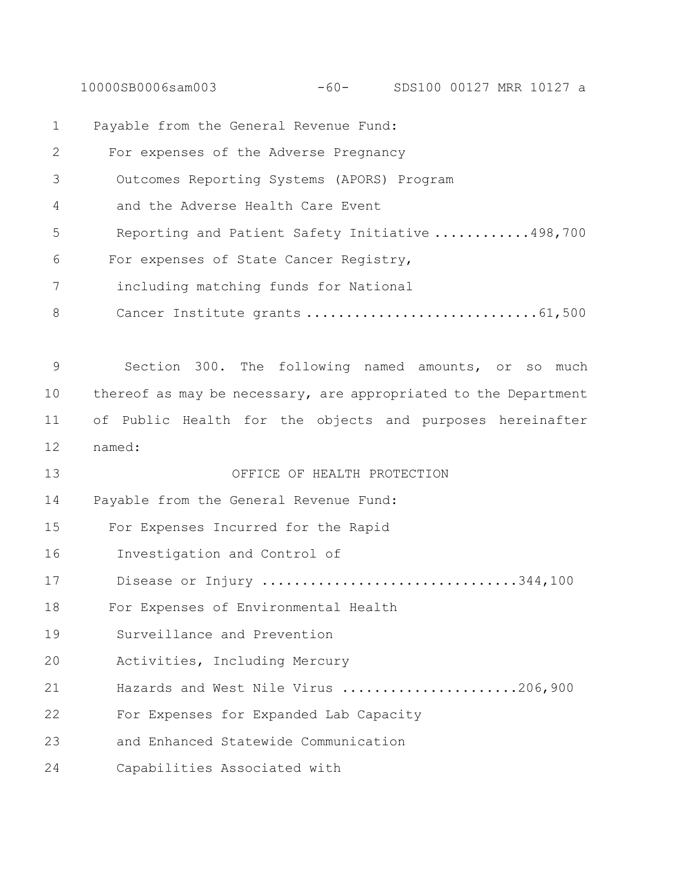10000SB0006sam003 -60- SDS100 00127 MRR 10127 a

| $\mathbf 1$   | Payable from the General Revenue Fund:                          |
|---------------|-----------------------------------------------------------------|
| 2             | For expenses of the Adverse Pregnancy                           |
| 3             | Outcomes Reporting Systems (APORS) Program                      |
| 4             | and the Adverse Health Care Event                               |
| 5             | Reporting and Patient Safety Initiative 498,700                 |
| 6             | For expenses of State Cancer Registry,                          |
| 7             | including matching funds for National                           |
| 8             | Cancer Institute grants  61,500                                 |
|               |                                                                 |
| $\mathcal{G}$ | Section 300. The following named amounts, or so much            |
| 10            | thereof as may be necessary, are appropriated to the Department |
| 11            | of Public Health for the objects and purposes hereinafter       |
| 12            | named:                                                          |
| 13            | OFFICE OF HEALTH PROTECTION                                     |
| 14            | Payable from the General Revenue Fund:                          |
| 15            | For Expenses Incurred for the Rapid                             |
| 16            | Investigation and Control of                                    |
| 17            | Disease or Injury 344,100                                       |
| 18            | For Expenses of Environmental Health                            |
| 19            | Surveillance and Prevention                                     |
| 20            | Activities, Including Mercury                                   |
| 21            | Hazards and West Nile Virus 206,900                             |
| 22            | For Expenses for Expanded Lab Capacity                          |
| 23            | and Enhanced Statewide Communication                            |
| 24            | Capabilities Associated with                                    |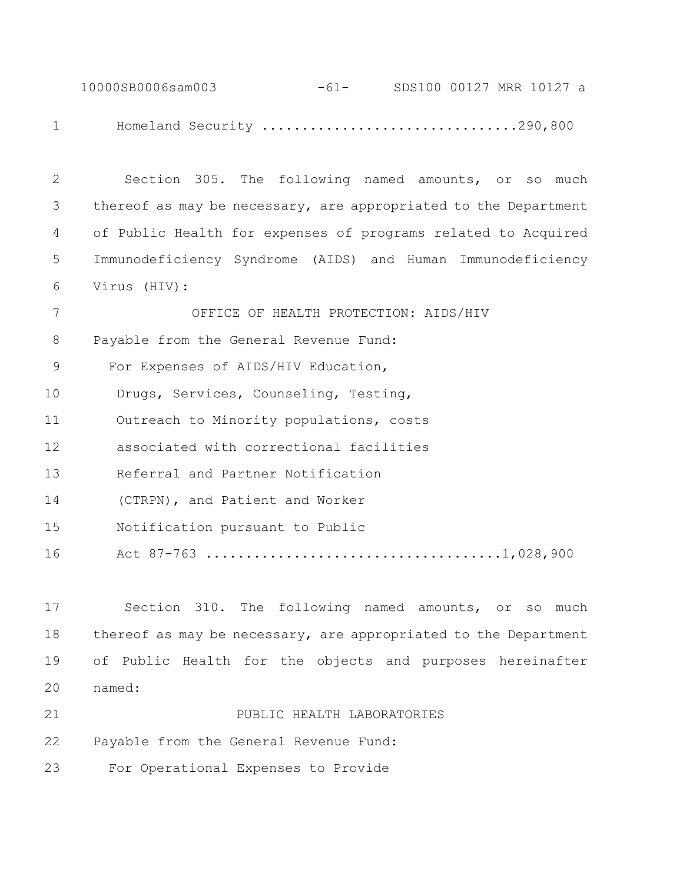10000SB0006sam003 -61- SDS100 00127 MRR 10127 a Homeland Security ................................290,800

 Section 305. The following named amounts, or so much thereof as may be necessary, are appropriated to the Department of Public Health for expenses of programs related to Acquired Immunodeficiency Syndrome (AIDS) and Human Immunodeficiency Virus (HIV): OFFICE OF HEALTH PROTECTION: AIDS/HIV Payable from the General Revenue Fund: For Expenses of AIDS/HIV Education, Drugs, Services, Counseling, Testing,

Outreach to Minority populations, costs

associated with correctional facilities

Referral and Partner Notification

(CTRPN), and Patient and Worker

Notification pursuant to Public

Act 87-763 .....................................1,028,900

 Section 310. The following named amounts, or so much thereof as may be necessary, are appropriated to the Department of Public Health for the objects and purposes hereinafter named:

**PUBLIC HEALTH LABORATORIES** 

Payable from the General Revenue Fund:

For Operational Expenses to Provide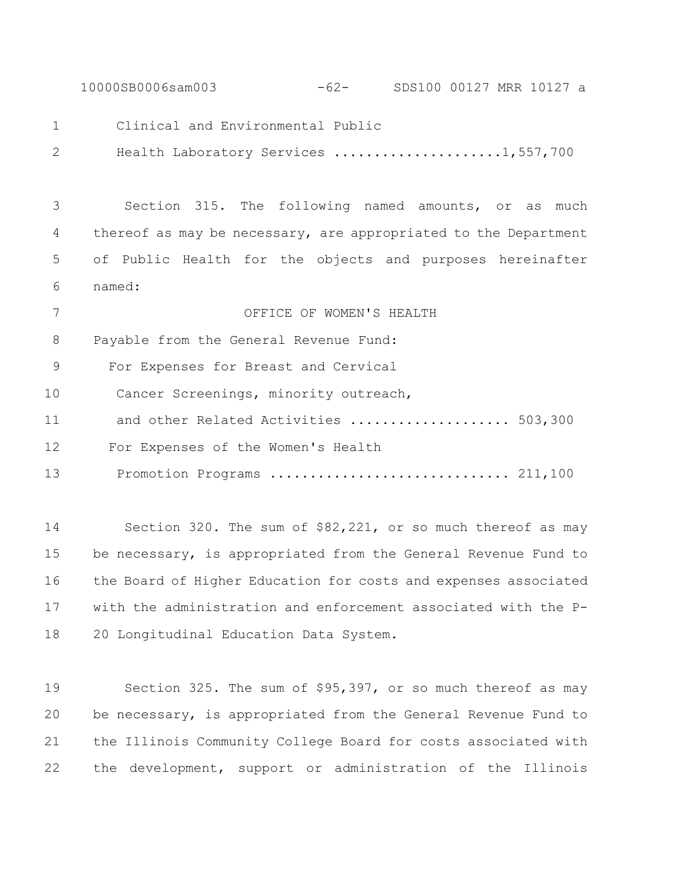10000SB0006sam003 -62- SDS100 00127 MRR 10127 a

Clinical and Environmental Public

Health Laboratory Services .....................1,557,700

 Section 315. The following named amounts, or as much thereof as may be necessary, are appropriated to the Department of Public Health for the objects and purposes hereinafter named:

 OFFICE OF WOMEN'S HEALTH Payable from the General Revenue Fund: For Expenses for Breast and Cervical Cancer Screenings, minority outreach, 11 and other Related Activities ......................... 503,300 For Expenses of the Women's Health Promotion Programs .............................. 211,100

 Section 320. The sum of \$82,221, or so much thereof as may be necessary, is appropriated from the General Revenue Fund to the Board of Higher Education for costs and expenses associated with the administration and enforcement associated with the P-20 Longitudinal Education Data System.

 Section 325. The sum of \$95,397, or so much thereof as may be necessary, is appropriated from the General Revenue Fund to the Illinois Community College Board for costs associated with the development, support or administration of the Illinois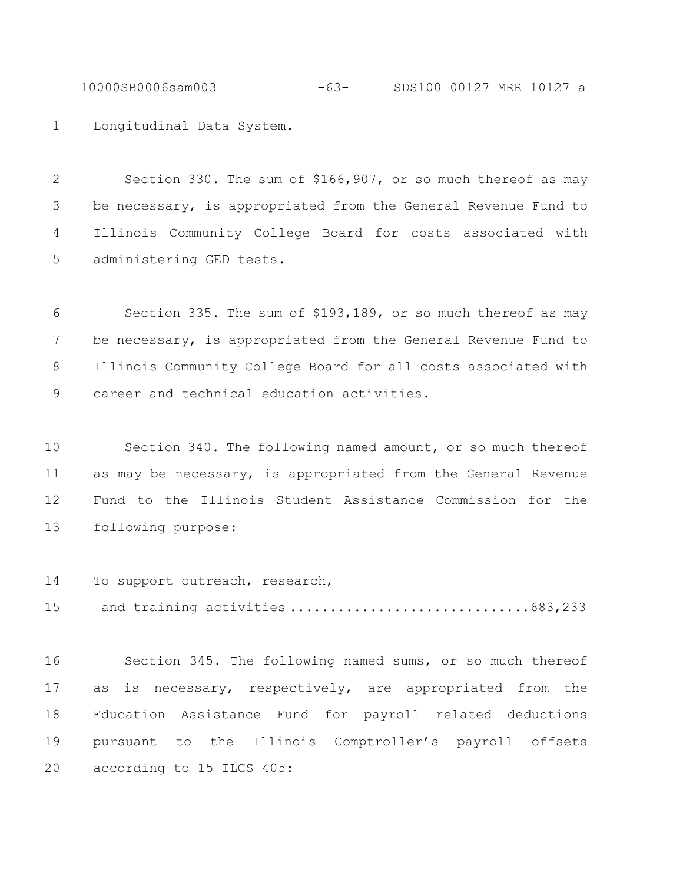10000SB0006sam003 -63- SDS100 00127 MRR 10127 a

Longitudinal Data System.

 Section 330. The sum of \$166,907, or so much thereof as may be necessary, is appropriated from the General Revenue Fund to Illinois Community College Board for costs associated with administering GED tests.

 Section 335. The sum of \$193,189, or so much thereof as may be necessary, is appropriated from the General Revenue Fund to Illinois Community College Board for all costs associated with career and technical education activities.

 Section 340. The following named amount, or so much thereof as may be necessary, is appropriated from the General Revenue Fund to the Illinois Student Assistance Commission for the following purpose:

To support outreach, research,

and training activities ..............................683,233

 Section 345. The following named sums, or so much thereof as is necessary, respectively, are appropriated from the Education Assistance Fund for payroll related deductions pursuant to the Illinois Comptroller's payroll offsets according to 15 ILCS 405: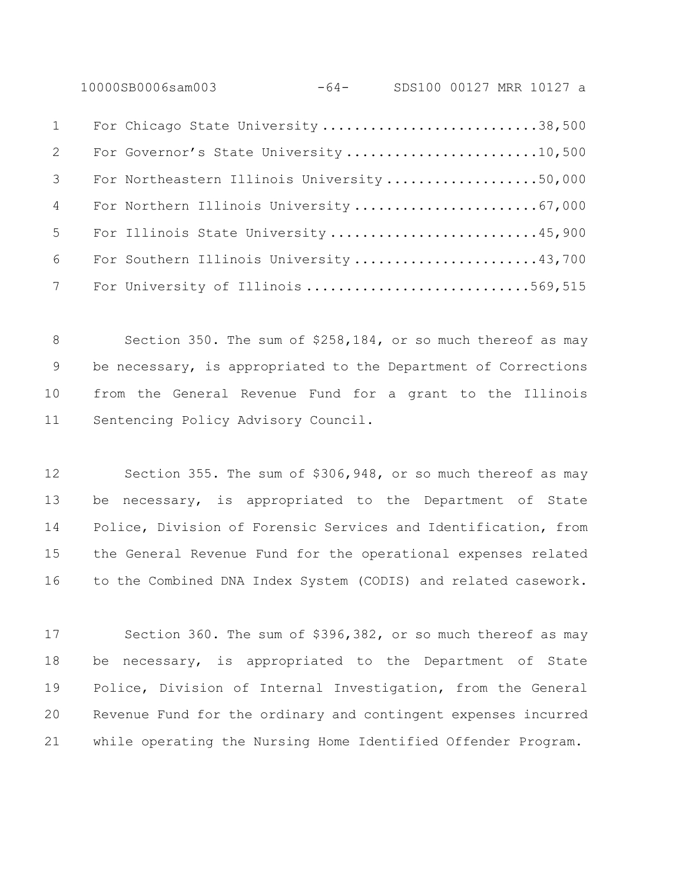10000SB0006sam003 -64- SDS100 00127 MRR 10127 a

| $1 \quad \blacksquare$ | For Chicago State University 38,500         |
|------------------------|---------------------------------------------|
| 2                      | For Governor's State University 10,500      |
| 3 <sup>7</sup>         | For Northeastern Illinois University 50,000 |
| $4\degree$             | For Northern Illinois University 67,000     |
| $5^{\circ}$            | For Illinois State University 45,900        |
| $6\overline{}$         | For Southern Illinois University 43,700     |
| $7\overline{ }$        | For University of Illinois 569,515          |

8 Section 350. The sum of \$258,184, or so much thereof as may be necessary, is appropriated to the Department of Corrections from the General Revenue Fund for a grant to the Illinois Sentencing Policy Advisory Council.

 Section 355. The sum of \$306,948, or so much thereof as may be necessary, is appropriated to the Department of State Police, Division of Forensic Services and Identification, from the General Revenue Fund for the operational expenses related to the Combined DNA Index System (CODIS) and related casework.

 Section 360. The sum of \$396,382, or so much thereof as may be necessary, is appropriated to the Department of State Police, Division of Internal Investigation, from the General Revenue Fund for the ordinary and contingent expenses incurred while operating the Nursing Home Identified Offender Program.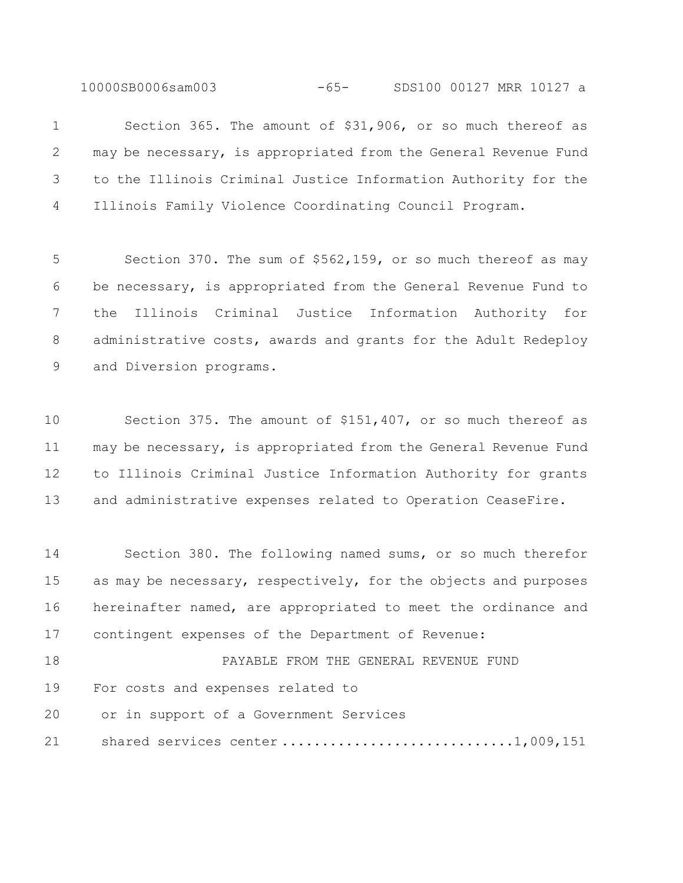10000SB0006sam003 -65- SDS100 00127 MRR 10127 a

 Section 365. The amount of \$31,906, or so much thereof as may be necessary, is appropriated from the General Revenue Fund to the Illinois Criminal Justice Information Authority for the Illinois Family Violence Coordinating Council Program.

 Section 370. The sum of \$562,159, or so much thereof as may be necessary, is appropriated from the General Revenue Fund to the Illinois Criminal Justice Information Authority for administrative costs, awards and grants for the Adult Redeploy and Diversion programs.

 Section 375. The amount of \$151,407, or so much thereof as may be necessary, is appropriated from the General Revenue Fund to Illinois Criminal Justice Information Authority for grants and administrative expenses related to Operation CeaseFire.

 Section 380. The following named sums, or so much therefor as may be necessary, respectively, for the objects and purposes hereinafter named, are appropriated to meet the ordinance and contingent expenses of the Department of Revenue:

18 PAYABLE FROM THE GENERAL REVENUE FUND For costs and expenses related to

or in support of a Government Services

21 shared services center ...............................1,009,151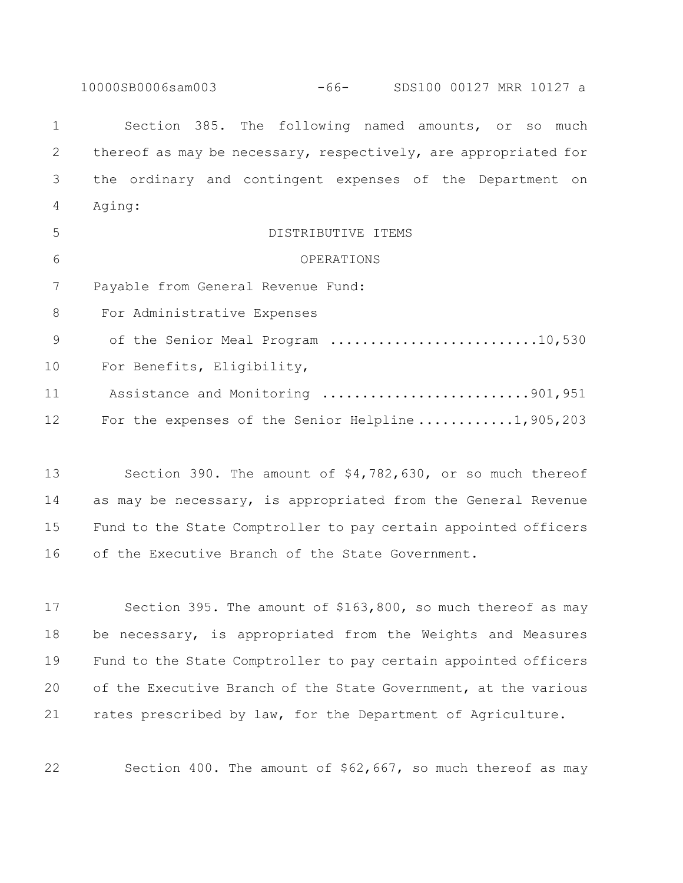10000SB0006sam003 -66- SDS100 00127 MRR 10127 a Section 385. The following named amounts, or so much thereof as may be necessary, respectively, are appropriated for the ordinary and contingent expenses of the Department on Aging: DISTRIBUTIVE ITEMS OPERATIONS Payable from General Revenue Fund: For Administrative Expenses 9 of the Senior Meal Program .............................10,530 For Benefits, Eligibility, 11 Assistance and Monitoring ..........................901,951 12 For the expenses of the Senior Helpline ............1,905,203

 Section 390. The amount of \$4,782,630, or so much thereof as may be necessary, is appropriated from the General Revenue Fund to the State Comptroller to pay certain appointed officers of the Executive Branch of the State Government.

 Section 395. The amount of \$163,800, so much thereof as may be necessary, is appropriated from the Weights and Measures Fund to the State Comptroller to pay certain appointed officers of the Executive Branch of the State Government, at the various rates prescribed by law, for the Department of Agriculture.

Section 400. The amount of \$62,667, so much thereof as may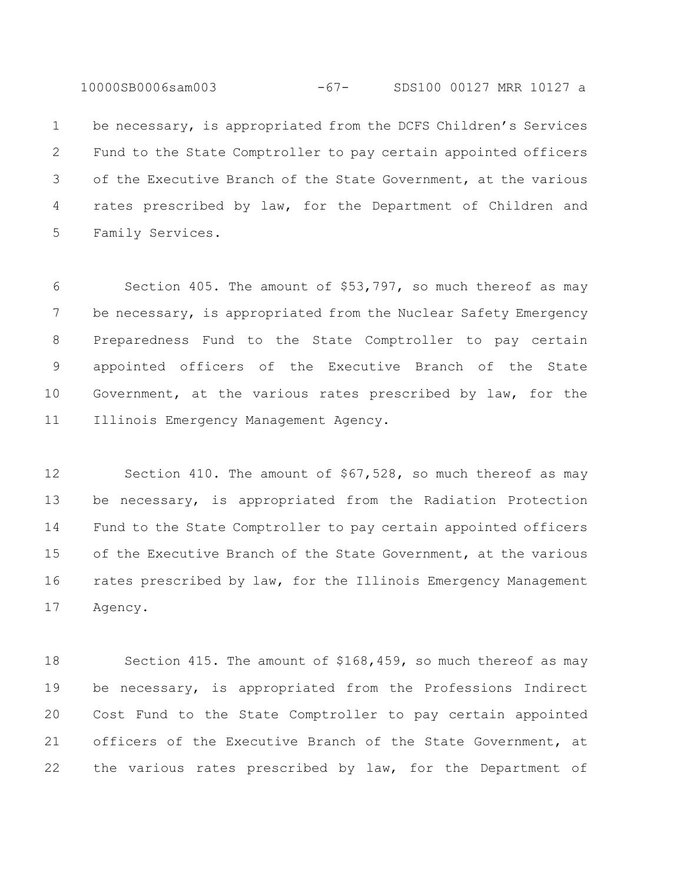10000SB0006sam003 -67- SDS100 00127 MRR 10127 a

 be necessary, is appropriated from the DCFS Children's Services Fund to the State Comptroller to pay certain appointed officers of the Executive Branch of the State Government, at the various rates prescribed by law, for the Department of Children and Family Services.

 Section 405. The amount of \$53,797, so much thereof as may 7 be necessary, is appropriated from the Nuclear Safety Emergency Preparedness Fund to the State Comptroller to pay certain appointed officers of the Executive Branch of the State Government, at the various rates prescribed by law, for the Illinois Emergency Management Agency.

 Section 410. The amount of \$67,528, so much thereof as may be necessary, is appropriated from the Radiation Protection Fund to the State Comptroller to pay certain appointed officers of the Executive Branch of the State Government, at the various rates prescribed by law, for the Illinois Emergency Management Agency.

 Section 415. The amount of \$168,459, so much thereof as may be necessary, is appropriated from the Professions Indirect Cost Fund to the State Comptroller to pay certain appointed officers of the Executive Branch of the State Government, at the various rates prescribed by law, for the Department of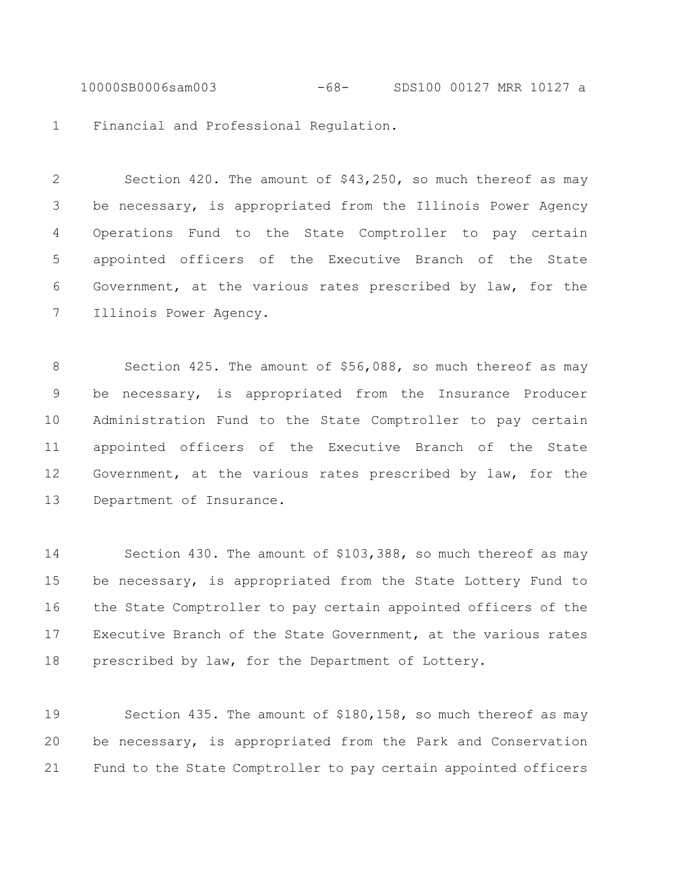10000SB0006sam003 -68- SDS100 00127 MRR 10127 a

Financial and Professional Regulation.

 Section 420. The amount of \$43,250, so much thereof as may be necessary, is appropriated from the Illinois Power Agency Operations Fund to the State Comptroller to pay certain appointed officers of the Executive Branch of the State Government, at the various rates prescribed by law, for the Illinois Power Agency.

8 Section 425. The amount of \$56,088, so much thereof as may be necessary, is appropriated from the Insurance Producer Administration Fund to the State Comptroller to pay certain appointed officers of the Executive Branch of the State Government, at the various rates prescribed by law, for the Department of Insurance.

 Section 430. The amount of \$103,388, so much thereof as may be necessary, is appropriated from the State Lottery Fund to the State Comptroller to pay certain appointed officers of the Executive Branch of the State Government, at the various rates prescribed by law, for the Department of Lottery.

 Section 435. The amount of \$180,158, so much thereof as may be necessary, is appropriated from the Park and Conservation Fund to the State Comptroller to pay certain appointed officers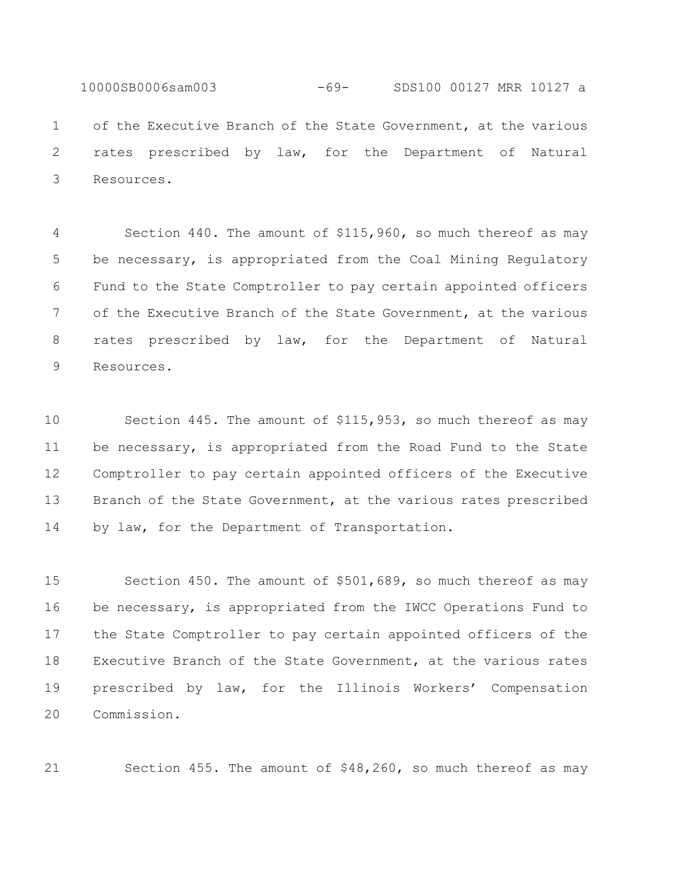10000SB0006sam003 -69- SDS100 00127 MRR 10127 a of the Executive Branch of the State Government, at the various rates prescribed by law, for the Department of Natural Resources.

 Section 440. The amount of \$115,960, so much thereof as may be necessary, is appropriated from the Coal Mining Regulatory Fund to the State Comptroller to pay certain appointed officers of the Executive Branch of the State Government, at the various rates prescribed by law, for the Department of Natural Resources.

 Section 445. The amount of \$115,953, so much thereof as may be necessary, is appropriated from the Road Fund to the State Comptroller to pay certain appointed officers of the Executive Branch of the State Government, at the various rates prescribed 14 by law, for the Department of Transportation.

 Section 450. The amount of \$501,689, so much thereof as may be necessary, is appropriated from the IWCC Operations Fund to the State Comptroller to pay certain appointed officers of the Executive Branch of the State Government, at the various rates prescribed by law, for the Illinois Workers' Compensation Commission.

Section 455. The amount of \$48,260, so much thereof as may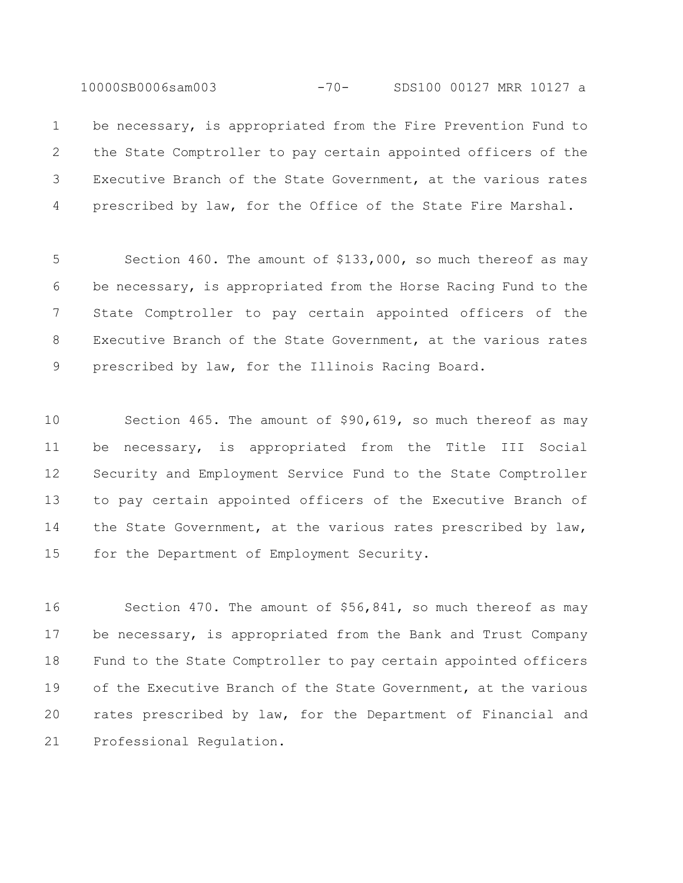10000SB0006sam003 -70- SDS100 00127 MRR 10127 a

 be necessary, is appropriated from the Fire Prevention Fund to the State Comptroller to pay certain appointed officers of the Executive Branch of the State Government, at the various rates prescribed by law, for the Office of the State Fire Marshal.

 Section 460. The amount of \$133,000, so much thereof as may be necessary, is appropriated from the Horse Racing Fund to the State Comptroller to pay certain appointed officers of the Executive Branch of the State Government, at the various rates prescribed by law, for the Illinois Racing Board.

 Section 465. The amount of \$90,619, so much thereof as may be necessary, is appropriated from the Title III Social Security and Employment Service Fund to the State Comptroller to pay certain appointed officers of the Executive Branch of 14 the State Government, at the various rates prescribed by law, for the Department of Employment Security.

 Section 470. The amount of \$56,841, so much thereof as may be necessary, is appropriated from the Bank and Trust Company Fund to the State Comptroller to pay certain appointed officers of the Executive Branch of the State Government, at the various rates prescribed by law, for the Department of Financial and Professional Regulation.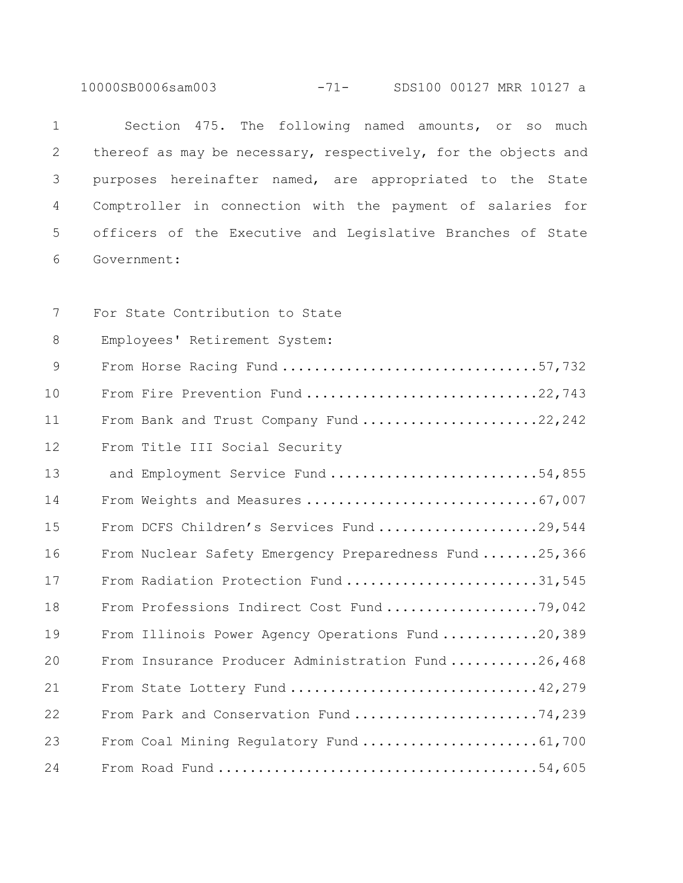10000SB0006sam003 -71- SDS100 00127 MRR 10127 a

 Section 475. The following named amounts, or so much 2 thereof as may be necessary, respectively, for the objects and purposes hereinafter named, are appropriated to the State Comptroller in connection with the payment of salaries for officers of the Executive and Legislative Branches of State Government:

 For State Contribution to State Employees' Retirement System: From Horse Racing Fund ................................57,732 10 From Fire Prevention Fund ...............................22,743 11 From Bank and Trust Company Fund .......................22,242 From Title III Social Security 13 and Employment Service Fund .............................54,855 14 From Weights and Measures ...................................67,007 From DCFS Children's Services Fund ....................29,544 From Nuclear Safety Emergency Preparedness Fund .......25,366 17 From Radiation Protection Fund ..........................31,545 18 From Professions Indirect Cost Fund .....................79,042 19 From Illinois Power Agency Operations Fund ............20,389 From Insurance Producer Administration Fund ...........26,468 From State Lottery Fund ...............................42,279 From Park and Conservation Fund .......................74,239 From Coal Mining Regulatory Fund ......................61,700 From Road Fund ........................................54,605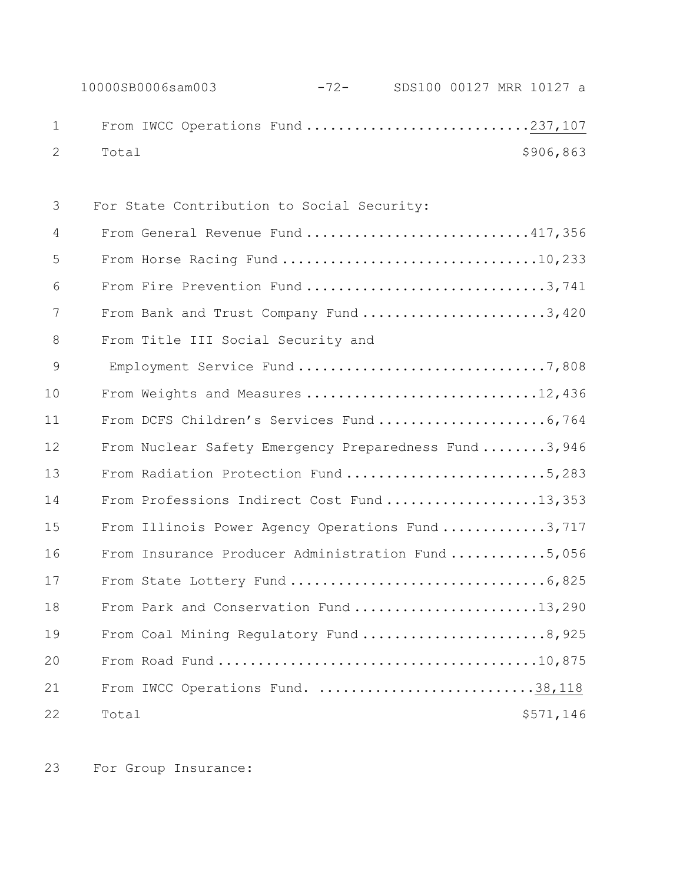|                   | 10000SB0006sam003 | $-72-$ | SDS100 00127 MRR 10127 a |  |           |  |
|-------------------|-------------------|--------|--------------------------|--|-----------|--|
| $1 \qquad \qquad$ |                   |        |                          |  |           |  |
|                   | 2 Total           |        |                          |  | \$906,863 |  |

| 3  | For State Contribution to Social Security:           |
|----|------------------------------------------------------|
| 4  | From General Revenue Fund 417,356                    |
| 5  | From Horse Racing Fund 10,233                        |
| 6  | From Fire Prevention Fund 3,741                      |
| 7  | From Bank and Trust Company Fund 3,420               |
| 8  | From Title III Social Security and                   |
| 9  | Employment Service Fund 7,808                        |
| 10 | From Weights and Measures 12,436                     |
| 11 |                                                      |
| 12 | From Nuclear Safety Emergency Preparedness Fund3,946 |
| 13 | From Radiation Protection Fund 5,283                 |
| 14 | From Professions Indirect Cost Fund 13,353           |
| 15 | From Illinois Power Agency Operations Fund3,717      |
| 16 | From Insurance Producer Administration Fund5,056     |
| 17 |                                                      |
| 18 | From Park and Conservation Fund 13,290               |
| 19 | From Coal Mining Regulatory Fund 8,925               |
| 20 |                                                      |
| 21 | From IWCC Operations Fund. 38,118                    |
| 22 | \$571,146<br>Total                                   |

For Group Insurance: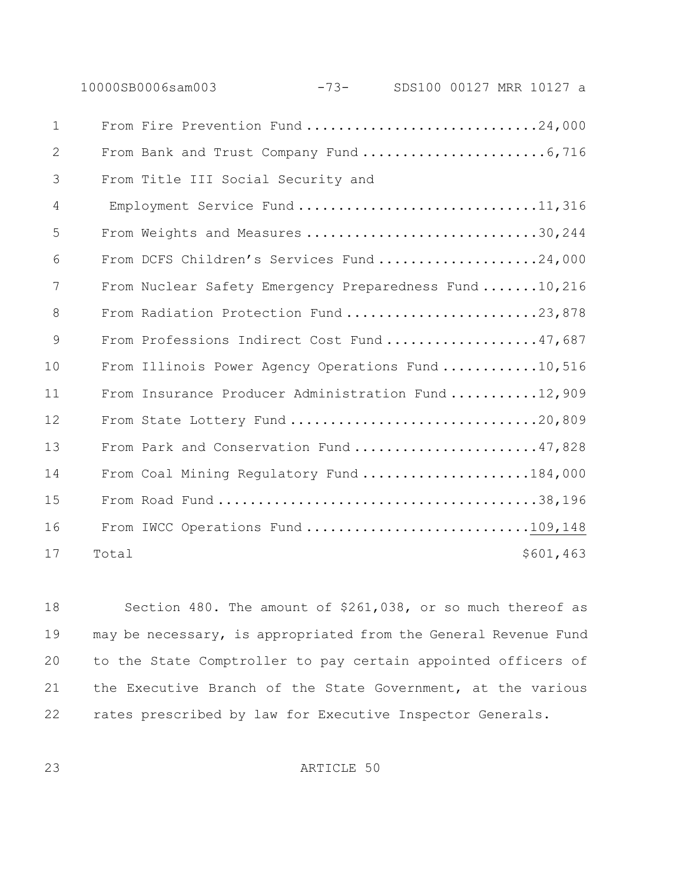|              |       | 10000SB0006sam003                                      | $-73-$ | SDS100 00127 MRR 10127 a |  |           |  |
|--------------|-------|--------------------------------------------------------|--------|--------------------------|--|-----------|--|
| $\mathbf{1}$ |       | From Fire Prevention Fund 24,000                       |        |                          |  |           |  |
| 2            |       |                                                        |        |                          |  |           |  |
| 3            |       | From Title III Social Security and                     |        |                          |  |           |  |
| 4            |       | Employment Service Fund 11,316                         |        |                          |  |           |  |
| 5            |       | From Weights and Measures 30,244                       |        |                          |  |           |  |
| 6            |       | From DCFS Children's Services Fund24,000               |        |                          |  |           |  |
| 7            |       | From Nuclear Safety Emergency Preparedness Fund 10,216 |        |                          |  |           |  |
| 8            |       | From Radiation Protection Fund 23,878                  |        |                          |  |           |  |
| 9            |       | From Professions Indirect Cost Fund 47,687             |        |                          |  |           |  |
| 10           |       | From Illinois Power Agency Operations Fund10,516       |        |                          |  |           |  |
| 11           |       | From Insurance Producer Administration Fund12,909      |        |                          |  |           |  |
| 12           |       | From State Lottery Fund 20,809                         |        |                          |  |           |  |
| 13           |       | From Park and Conservation Fund47,828                  |        |                          |  |           |  |
| 14           |       | From Coal Mining Regulatory Fund 184,000               |        |                          |  |           |  |
| 15           |       |                                                        |        |                          |  |           |  |
| 16           |       | From IWCC Operations Fund 109,148                      |        |                          |  |           |  |
| 17           | Total |                                                        |        |                          |  | \$601,463 |  |

 Section 480. The amount of \$261,038, or so much thereof as may be necessary, is appropriated from the General Revenue Fund to the State Comptroller to pay certain appointed officers of the Executive Branch of the State Government, at the various rates prescribed by law for Executive Inspector Generals.

ARTICLE 50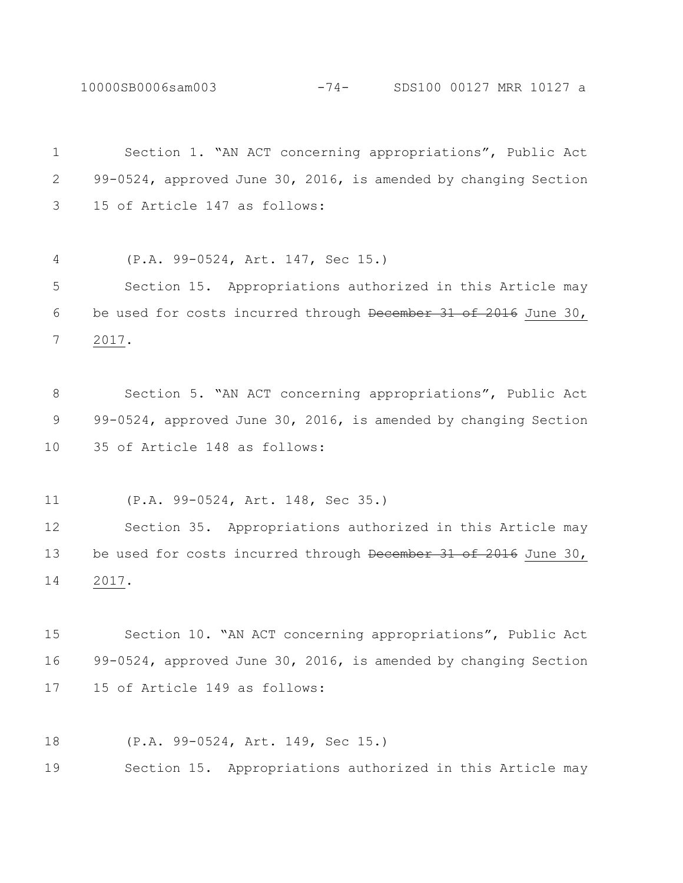10000SB0006sam003 -74- SDS100 00127 MRR 10127 a

 Section 1. "AN ACT concerning appropriations", Public Act 99-0524, approved June 30, 2016, is amended by changing Section 15 of Article 147 as follows: (P.A. 99-0524, Art. 147, Sec 15.) Section 15. Appropriations authorized in this Article may be used for costs incurred through December 31 of 2016 June 30, 2017. Section 5. "AN ACT concerning appropriations", Public Act 9 99-0524, approved June 30, 2016, is amended by changing Section 35 of Article 148 as follows: (P.A. 99-0524, Art. 148, Sec 35.) Section 35. Appropriations authorized in this Article may 13 be used for costs incurred through December 31 of 2016 June 30, 2017. Section 10. "AN ACT concerning appropriations", Public Act 99-0524, approved June 30, 2016, is amended by changing Section 15 of Article 149 as follows:

(P.A. 99-0524, Art. 149, Sec 15.)

Section 15. Appropriations authorized in this Article may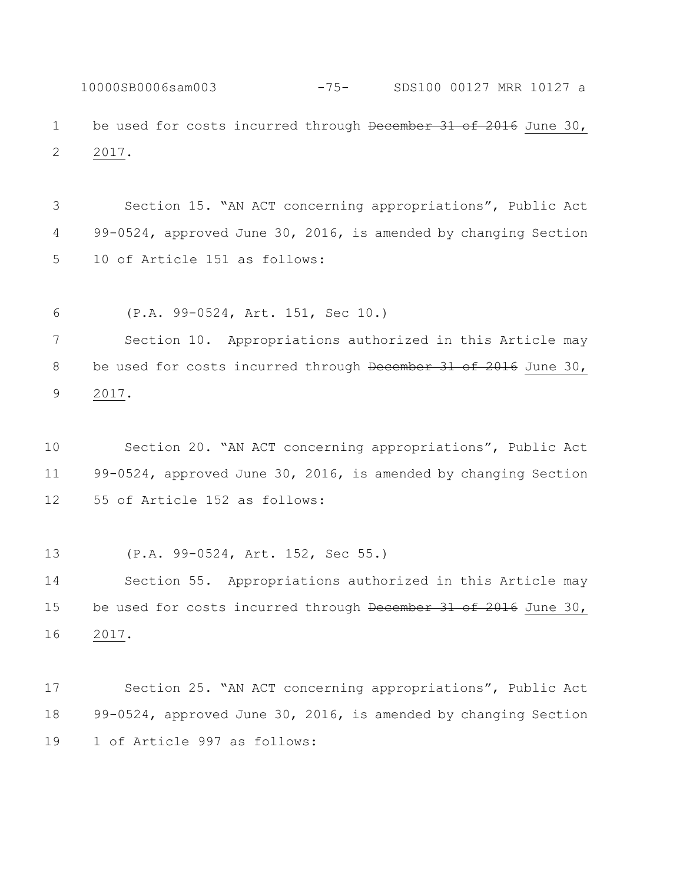10000SB0006sam003 -75- SDS100 00127 MRR 10127 a 1 be used for costs incurred through December 31 of 2016 June 30, 2017.

 Section 15. "AN ACT concerning appropriations", Public Act 99-0524, approved June 30, 2016, is amended by changing Section 10 of Article 151 as follows:

(P.A. 99-0524, Art. 151, Sec 10.)

 Section 10. Appropriations authorized in this Article may 8 be used for costs incurred through December 31 of 2016 June 30, 2017.

 Section 20. "AN ACT concerning appropriations", Public Act 99-0524, approved June 30, 2016, is amended by changing Section 55 of Article 152 as follows:

(P.A. 99-0524, Art. 152, Sec 55.)

 Section 55. Appropriations authorized in this Article may 15 be used for costs incurred through December 31 of 2016 June 30, 2017.

 Section 25. "AN ACT concerning appropriations", Public Act 99-0524, approved June 30, 2016, is amended by changing Section 1 of Article 997 as follows: